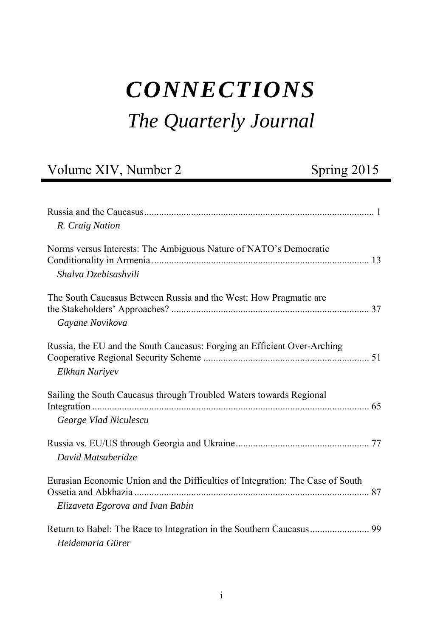# *CONNECTIONS The Quarterly Journal*

## Volume XIV, Number 2 Spring 2015

| R. Craig Nation                                                                                                    |  |
|--------------------------------------------------------------------------------------------------------------------|--|
| Norms versus Interests: The Ambiguous Nature of NATO's Democratic<br>Shalva Dzebisashvili                          |  |
| The South Caucasus Between Russia and the West: How Pragmatic are<br>Gayane Novikova                               |  |
| Russia, the EU and the South Caucasus: Forging an Efficient Over-Arching<br>Elkhan Nuriyev                         |  |
| Sailing the South Caucasus through Troubled Waters towards Regional<br>George Vlad Niculescu                       |  |
| David Matsaberidze                                                                                                 |  |
| Eurasian Economic Union and the Difficulties of Integration: The Case of South<br>Elizaveta Egorova and Ivan Babin |  |
| Heidemaria Gürer                                                                                                   |  |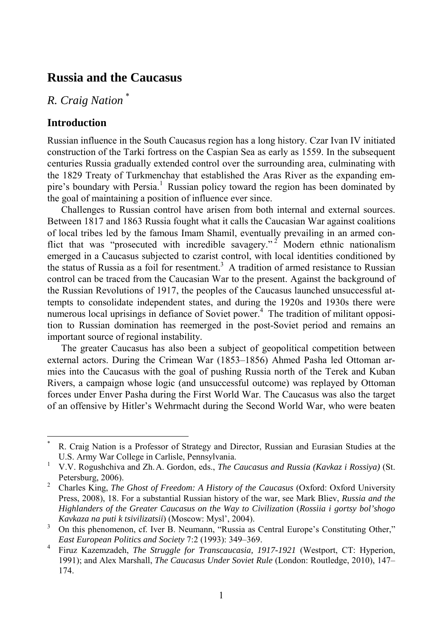#### **Russia and the Caucasus**

*R. Craig Nation* \*

#### **Introduction**

l

Russian influence in the South Caucasus region has a long history. Czar Ivan IV initiated construction of the Tarki fortress on the Caspian Sea as early as 1559. In the subsequent centuries Russia gradually extended control over the surrounding area, culminating with the 1829 Treaty of Turkmenchay that established the Aras River as the expanding empire's boundary with Persia.<sup>1</sup> Russian policy toward the region has been dominated by the goal of maintaining a position of influence ever since.

Challenges to Russian control have arisen from both internal and external sources. Between 1817 and 1863 Russia fought what it calls the Caucasian War against coalitions of local tribes led by the famous Imam Shamil, eventually prevailing in an armed conflict that was "prosecuted with incredible savagery."<sup>2</sup> Modern ethnic nationalism emerged in a Caucasus subjected to czarist control, with local identities conditioned by the status of Russia as a foil for resentment.<sup>3</sup> A tradition of armed resistance to Russian control can be traced from the Caucasian War to the present. Against the background of the Russian Revolutions of 1917, the peoples of the Caucasus launched unsuccessful attempts to consolidate independent states, and during the 1920s and 1930s there were numerous local uprisings in defiance of Soviet power.<sup>4</sup> The tradition of militant opposition to Russian domination has reemerged in the post-Soviet period and remains an important source of regional instability.

The greater Caucasus has also been a subject of geopolitical competition between external actors. During the Crimean War (1853–1856) Ahmed Pasha led Ottoman armies into the Caucasus with the goal of pushing Russia north of the Terek and Kuban Rivers, a campaign whose logic (and unsuccessful outcome) was replayed by Ottoman forces under Enver Pasha during the First World War. The Caucasus was also the target of an offensive by Hitler's Wehrmacht during the Second World War, who were beaten

<sup>\*</sup> R. Craig Nation is a Professor of Strategy and Director, Russian and Eurasian Studies at the U.S. Army War College in Carlisle, Pennsylvania. 1

V.V. Rogushchiva and Zh.A. Gordon, eds., *The Caucasus and Russia (Kavkaz i Rossiya)* (St. Petersburg, 2006).<br><sup>2</sup> Charles King The

Charles King, *The Ghost of Freedom: A History of the Caucasus* (Oxford: Oxford University Press, 2008), 18. For a substantial Russian history of the war, see Mark Bliev, *Russia and the Highlanders of the Greater Caucasus on the Way to Civilization* (*Rossiia i gortsy bol'shogo Kavkaza na puti k tsivilizatsii*) (Moscow: Mysl', 2004). 3

On this phenomenon, cf. Iver B. Neumann, "Russia as Central Europe's Constituting Other," *East European Politics and Society* 7:2 (1993): 349–369. 4

Firuz Kazemzadeh, *The Struggle for Transcaucasia, 1917-1921* (Westport, CT: Hyperion, 1991); and Alex Marshall, *The Caucasus Under Soviet Rule* (London: Routledge, 2010), 147– 174.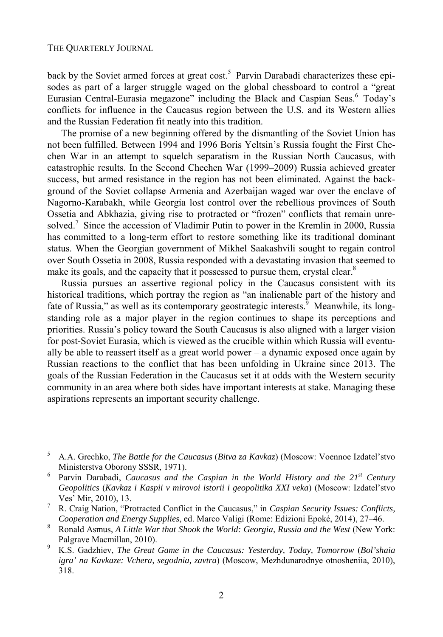l

back by the Soviet armed forces at great cost.<sup>5</sup> Parvin Darabadi characterizes these episodes as part of a larger struggle waged on the global chessboard to control a "great Eurasian Central-Eurasia megazone" including the Black and Caspian Seas.<sup>6</sup> Today's conflicts for influence in the Caucasus region between the U.S. and its Western allies and the Russian Federation fit neatly into this tradition.

The promise of a new beginning offered by the dismantling of the Soviet Union has not been fulfilled. Between 1994 and 1996 Boris Yeltsin's Russia fought the First Chechen War in an attempt to squelch separatism in the Russian North Caucasus, with catastrophic results. In the Second Chechen War (1999–2009) Russia achieved greater success, but armed resistance in the region has not been eliminated. Against the background of the Soviet collapse Armenia and Azerbaijan waged war over the enclave of Nagorno-Karabakh, while Georgia lost control over the rebellious provinces of South Ossetia and Abkhazia, giving rise to protracted or "frozen" conflicts that remain unresolved.<sup>7</sup> Since the accession of Vladimir Putin to power in the Kremlin in 2000, Russia has committed to a long-term effort to restore something like its traditional dominant status. When the Georgian government of Mikhel Saakashvili sought to regain control over South Ossetia in 2008, Russia responded with a devastating invasion that seemed to make its goals, and the capacity that it possessed to pursue them, crystal clear.<sup>8</sup>

Russia pursues an assertive regional policy in the Caucasus consistent with its historical traditions, which portray the region as "an inalienable part of the history and fate of Russia," as well as its contemporary geostrategic interests.<sup>9</sup> Meanwhile, its longstanding role as a major player in the region continues to shape its perceptions and priorities. Russia's policy toward the South Caucasus is also aligned with a larger vision for post-Soviet Eurasia, which is viewed as the crucible within which Russia will eventually be able to reassert itself as a great world power  $-$  a dynamic exposed once again by Russian reactions to the conflict that has been unfolding in Ukraine since 2013. The goals of the Russian Federation in the Caucasus set it at odds with the Western security community in an area where both sides have important interests at stake. Managing these aspirations represents an important security challenge.

<sup>5</sup> A.A. Grechko, *The Battle for the Caucasus* (*Bitva za Kavkaz*) (Moscow: Voennoe Izdatel'stvo Ministerstva Oborony SSSR, 1971).<br><sup>6</sup> Parvin Darabadi *Caucasus and th* 

Parvin Darabadi, *Caucasus and the Caspian in the World History and the 21<sup>st</sup> Century Geopolitics* (*Kavkaz i Kaspii v mirovoi istorii i geopolitika XXI veka*) (Moscow: Izdatel'stvo Ves' Mir, 2010), 13.<br> $7\frac{p}{\pi}C_{\text{min}}$  Mation "Pro

R. Craig Nation, "Protracted Conflict in the Caucasus," in *Caspian Security Issues: Conflicts, Cooperation and Energy Supplies*, ed. Marco Valigi (Rome: Edizioni Epoké, 2014), 27–46. 8

Ronald Asmus, *A Little War that Shook the World: Georgia, Russia and the West* (New York: Palgrave Macmillan, 2010).

K.S. Gadzhiev, *The Great Game in the Caucasus: Yesterday, Today, Tomorrow* (*Bol'shaia igra' na Kavkaze: Vchera, segodnia, zavtra*) (Moscow, Mezhdunarodnye otnosheniia, 2010), 318.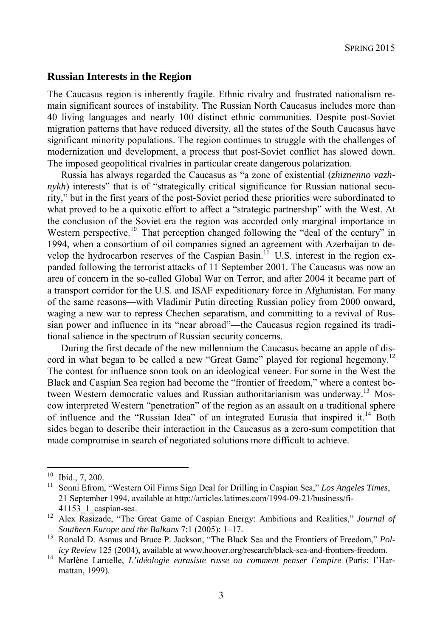#### **Russian Interests in the Region**

The Caucasus region is inherently fragile. Ethnic rivalry and frustrated nationalism remain significant sources of instability. The Russian North Caucasus includes more than 40 living languages and nearly 100 distinct ethnic communities. Despite post-Soviet migration patterns that have reduced diversity, all the states of the South Caucasus have significant minority populations. The region continues to struggle with the challenges of modernization and development, a process that post-Soviet conflict has slowed down. The imposed geopolitical rivalries in particular create dangerous polarization.

Russia has always regarded the Caucasus as "a zone of existential (*zhiznenno vazhnykh*) interests" that is of "strategically critical significance for Russian national security," but in the first years of the post-Soviet period these priorities were subordinated to what proved to be a quixotic effort to affect a "strategic partnership" with the West. At the conclusion of the Soviet era the region was accorded only marginal importance in Western perspective.<sup>10</sup> That perception changed following the "deal of the century" in 1994, when a consortium of oil companies signed an agreement with Azerbaijan to develop the hydrocarbon reserves of the Caspian Basin.<sup>11</sup> U.S. interest in the region expanded following the terrorist attacks of 11 September 2001. The Caucasus was now an area of concern in the so-called Global War on Terror, and after 2004 it became part of a transport corridor for the U.S. and ISAF expeditionary force in Afghanistan. For many of the same reasons—with Vladimir Putin directing Russian policy from 2000 onward, waging a new war to repress Chechen separatism, and committing to a revival of Russian power and influence in its "near abroad"—the Caucasus region regained its traditional salience in the spectrum of Russian security concerns.

During the first decade of the new millennium the Caucasus became an apple of discord in what began to be called a new "Great Game" played for regional hegemony.<sup>12</sup> The contest for influence soon took on an ideological veneer. For some in the West the Black and Caspian Sea region had become the "frontier of freedom," where a contest between Western democratic values and Russian authoritarianism was underway.<sup>13</sup> Moscow interpreted Western "penetration" of the region as an assault on a traditional sphere of influence and the "Russian Idea" of an integrated Eurasia that inspired it. $14$  Both sides began to describe their interaction in the Caucasus as a zero-sum competition that made compromise in search of negotiated solutions more difficult to achieve.

 $\frac{10}{11}$  Ibid., 7, 200.

<sup>11</sup> Sonni Efrom, "Western Oil Firms Sign Deal for Drilling in Caspian Sea," *Los Angeles Times*, 21 September 1994, available at http://articles.latimes.com/1994-09-21/business/fi-41153\_1\_caspian-sea. 12 Alex Rasizade, "The Great Game of Caspian Energy: Ambitions and Realities," *Journal of* 

*Southern Europe and the Balkans* 7:1 (2005): 1–17. 13 Ronald D. Asmus and Bruce P. Jackson, "The Black Sea and the Frontiers of Freedom," *Pol-*

*icy Review* 125 (2004), available at www.hoover.org/research/black-sea-and-frontiers-freedom. 14 Marlène Laruelle, *L'idéologie eurasiste russe ou comment penser l'empire* (Paris: l'Harmattan, 1999).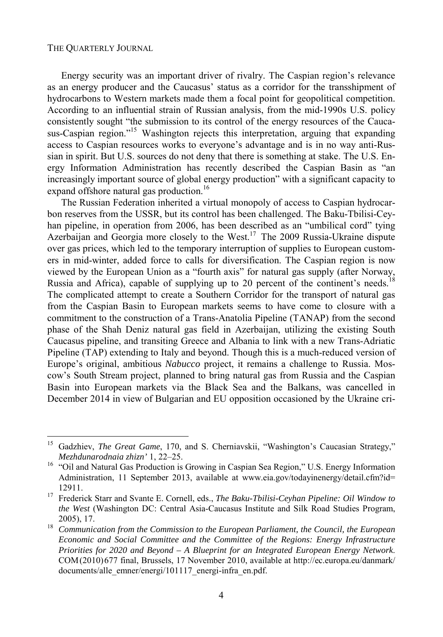l

Energy security was an important driver of rivalry. The Caspian region's relevance as an energy producer and the Caucasus' status as a corridor for the transshipment of hydrocarbons to Western markets made them a focal point for geopolitical competition. According to an influential strain of Russian analysis, from the mid-1990s U.S. policy consistently sought "the submission to its control of the energy resources of the Caucasus-Caspian region."<sup>15</sup> Washington rejects this interpretation, arguing that expanding access to Caspian resources works to everyone's advantage and is in no way anti-Russian in spirit. But U.S. sources do not deny that there is something at stake. The U.S. Energy Information Administration has recently described the Caspian Basin as "an increasingly important source of global energy production" with a significant capacity to expand offshore natural gas production.<sup>16</sup>

The Russian Federation inherited a virtual monopoly of access to Caspian hydrocarbon reserves from the USSR, but its control has been challenged. The Baku-Tbilisi-Ceyhan pipeline, in operation from 2006, has been described as an "umbilical cord" tying Azerbaijan and Georgia more closely to the West.<sup>17</sup> The 2009 Russia-Ukraine dispute over gas prices, which led to the temporary interruption of supplies to European customers in mid-winter, added force to calls for diversification. The Caspian region is now viewed by the European Union as a "fourth axis" for natural gas supply (after Norway, Russia and Africa), capable of supplying up to 20 percent of the continent's needs.<sup>18</sup> The complicated attempt to create a Southern Corridor for the transport of natural gas from the Caspian Basin to European markets seems to have come to closure with a commitment to the construction of a Trans-Anatolia Pipeline (TANAP) from the second phase of the Shah Deniz natural gas field in Azerbaijan, utilizing the existing South Caucasus pipeline, and transiting Greece and Albania to link with a new Trans-Adriatic Pipeline (TAP) extending to Italy and beyond. Though this is a much-reduced version of Europe's original, ambitious *Nabucco* project, it remains a challenge to Russia. Moscow's South Stream project, planned to bring natural gas from Russia and the Caspian Basin into European markets via the Black Sea and the Balkans, was cancelled in December 2014 in view of Bulgarian and EU opposition occasioned by the Ukraine cri-

<sup>&</sup>lt;sup>15</sup> Gadzhiev, *The Great Game*, 170, and S. Cherniavskii, "Washington's Caucasian Strategy," *Mezhdunarodnaia zhizn'* 1, 22–25.<br><sup>16</sup> "Oil and Natural Gas Production is Growing in Caspian Sea Region," U.S. Energy Information

Administration, 11 September 2013, available at www.eia.gov/todayinenergy/detail.cfm?id= 12911. 17 Frederick Starr and Svante E. Cornell, eds., *The Baku-Tbilisi-Ceyhan Pipeline: Oil Window to* 

*the West* (Washington DC: Central Asia-Caucasus Institute and Silk Road Studies Program, 2005), 17. 18 *Communication from the Commission to the European Parliament, the Council, the European* 

*Economic and Social Committee and the Committee of the Regions: Energy Infrastructure Priorities for 2020 and Beyond – A Blueprint for an Integrated European Energy Network*. COM(2010)677 final, Brussels, 17 November 2010, available at http://ec.europa.eu/danmark/ documents/alle\_emner/energi/101117\_energi-infra\_en.pdf.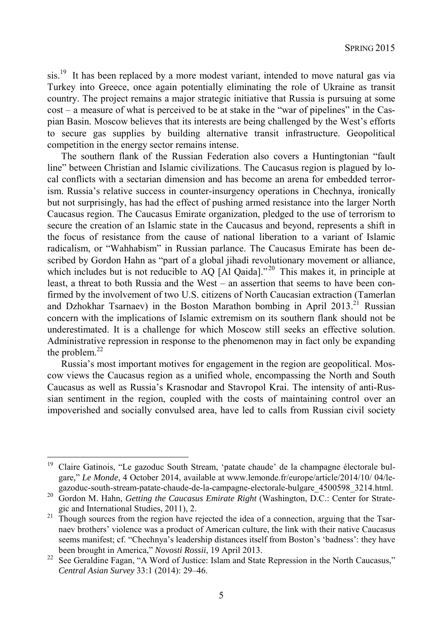sis.<sup>19</sup> It has been replaced by a more modest variant, intended to move natural gas via Turkey into Greece, once again potentially eliminating the role of Ukraine as transit country. The project remains a major strategic initiative that Russia is pursuing at some cost – a measure of what is perceived to be at stake in the "war of pipelines" in the Caspian Basin. Moscow believes that its interests are being challenged by the West's efforts to secure gas supplies by building alternative transit infrastructure. Geopolitical competition in the energy sector remains intense.

The southern flank of the Russian Federation also covers a Huntingtonian "fault line" between Christian and Islamic civilizations. The Caucasus region is plagued by local conflicts with a sectarian dimension and has become an arena for embedded terrorism. Russia's relative success in counter-insurgency operations in Chechnya, ironically but not surprisingly, has had the effect of pushing armed resistance into the larger North Caucasus region. The Caucasus Emirate organization, pledged to the use of terrorism to secure the creation of an Islamic state in the Caucasus and beyond, represents a shift in the focus of resistance from the cause of national liberation to a variant of Islamic radicalism, or "Wahhabism" in Russian parlance. The Caucasus Emirate has been described by Gordon Hahn as "part of a global jihadi revolutionary movement or alliance, which includes but is not reducible to AQ [Al Qaida]."<sup>20</sup> This makes it, in principle at least, a threat to both Russia and the West – an assertion that seems to have been confirmed by the involvement of two U.S. citizens of North Caucasian extraction (Tamerlan and Dzhokhar Tsarnaev) in the Boston Marathon bombing in April 2013.<sup>21</sup> Russian concern with the implications of Islamic extremism on its southern flank should not be underestimated. It is a challenge for which Moscow still seeks an effective solution. Administrative repression in response to the phenomenon may in fact only be expanding the problem. $^{22}$ 

Russia's most important motives for engagement in the region are geopolitical. Moscow views the Caucasus region as a unified whole, encompassing the North and South Caucasus as well as Russia's Krasnodar and Stavropol Krai. The intensity of anti-Russian sentiment in the region, coupled with the costs of maintaining control over an impoverished and socially convulsed area, have led to calls from Russian civil society

<sup>&</sup>lt;sup>19</sup> Claire Gatinois, "Le gazoduc South Stream, 'patate chaude' de la champagne électorale bulgare*,*" *Le Monde*, 4 October 2014, available at www.lemonde.fr/europe/article/2014/10/ 04/le-

gazoduc-south-stream-patate-chaude-de-la-campagne-electorale-bulgare\_4500598\_3214.html. 20 Gordon M. Hahn, *Getting the Caucasus Emirate Right* (Washington, D.C.: Center for Strategic and International Studies, 2011), 2.<br><sup>21</sup> Though sources from the region have rejected the idea of a connection, arguing that the Tsar-

naev brothers' violence was a product of American culture, the link with their native Caucasus seems manifest; cf. "Chechnya's leadership distances itself from Boston's 'badness': they have

been brought in America," *Novosti Rossii*, 19 April 2013.<br>See Geraldine Fagan, "A Word of Justice: Islam and State Repression in the North Caucasus," *Central Asian Survey* 33:1 (2014): 29–46.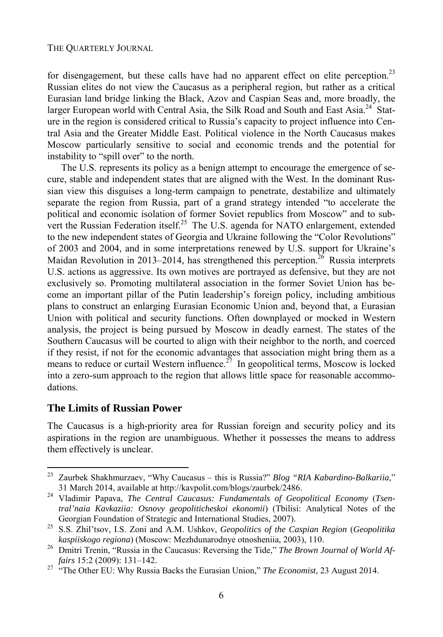for disengagement, but these calls have had no apparent effect on elite perception.<sup>23</sup> Russian elites do not view the Caucasus as a peripheral region, but rather as a critical Eurasian land bridge linking the Black, Azov and Caspian Seas and, more broadly, the larger European world with Central Asia, the Silk Road and South and East Asia.<sup>24</sup> Stature in the region is considered critical to Russia's capacity to project influence into Central Asia and the Greater Middle East. Political violence in the North Caucasus makes Moscow particularly sensitive to social and economic trends and the potential for instability to "spill over" to the north.

The U.S. represents its policy as a benign attempt to encourage the emergence of secure, stable and independent states that are aligned with the West. In the dominant Russian view this disguises a long-term campaign to penetrate, destabilize and ultimately separate the region from Russia, part of a grand strategy intended "to accelerate the political and economic isolation of former Soviet republics from Moscow" and to subvert the Russian Federation itself.<sup>25</sup> The U.S. agenda for NATO enlargement, extended to the new independent states of Georgia and Ukraine following the "Color Revolutions" of 2003 and 2004, and in some interpretations renewed by U.S. support for Ukraine's Maidan Revolution in 2013–2014, has strengthened this perception.<sup>26</sup> Russia interprets U.S. actions as aggressive. Its own motives are portrayed as defensive, but they are not exclusively so. Promoting multilateral association in the former Soviet Union has become an important pillar of the Putin leadership's foreign policy, including ambitious plans to construct an enlarging Eurasian Economic Union and, beyond that, a Eurasian Union with political and security functions. Often downplayed or mocked in Western analysis, the project is being pursued by Moscow in deadly earnest. The states of the Southern Caucasus will be courted to align with their neighbor to the north, and coerced if they resist, if not for the economic advantages that association might bring them as a means to reduce or curtail Western influence.<sup>27</sup> In geopolitical terms, Moscow is locked into a zero-sum approach to the region that allows little space for reasonable accommodations.

#### **The Limits of Russian Power**

l

The Caucasus is a high-priority area for Russian foreign and security policy and its aspirations in the region are unambiguous. Whether it possesses the means to address them effectively is unclear.

<sup>23</sup> Zaurbek Shakhmurzaev, "Why Caucasus – this is Russia?" *Blog "RIA Kabardino-Balkariia,*"

<sup>31</sup> March 2014, available at http://kavpolit.com/blogs/zaurbek/2486. 24 Vladimir Papava, *The Central Caucasus: Fundamentals of Geopolitical Economy* (*Tsentral'naia Kavkaziia: Osnovy geopoliticheskoi ekonomii*) (Tbilisi: Analytical Notes of the

Georgian Foundation of Strategic and International Studies, 2007). 25 S.S. Zhil'tsov, I.S. Zoni and A.M. Ushkov, *Geopolitics of the Caspian Region* (*Geopolitika* 

*kaspiiskogo regiona*) (Moscow: Mezhdunarodnye otnosheniia, 2003), 110. 26 Dmitri Trenin, "Russia in the Caucasus: Reversing the Tide," *The Brown Journal of World Affairs* 15:2 (2009): 131–142. 27 "The Other EU: Why Russia Backs the Eurasian Union," *The Economist*, 23 August 2014.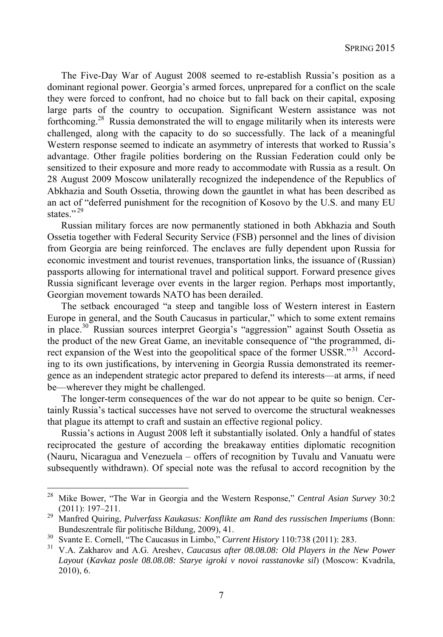The Five-Day War of August 2008 seemed to re-establish Russia's position as a dominant regional power. Georgia's armed forces, unprepared for a conflict on the scale they were forced to confront, had no choice but to fall back on their capital, exposing large parts of the country to occupation. Significant Western assistance was not forthcoming.28 Russia demonstrated the will to engage militarily when its interests were challenged, along with the capacity to do so successfully. The lack of a meaningful Western response seemed to indicate an asymmetry of interests that worked to Russia's advantage. Other fragile polities bordering on the Russian Federation could only be sensitized to their exposure and more ready to accommodate with Russia as a result. On 28 August 2009 Moscow unilaterally recognized the independence of the Republics of Abkhazia and South Ossetia, throwing down the gauntlet in what has been described as an act of "deferred punishment for the recognition of Kosovo by the U.S. and many EU states."<sup>29</sup>

Russian military forces are now permanently stationed in both Abkhazia and South Ossetia together with Federal Security Service (FSB) personnel and the lines of division from Georgia are being reinforced. The enclaves are fully dependent upon Russia for economic investment and tourist revenues, transportation links, the issuance of (Russian) passports allowing for international travel and political support. Forward presence gives Russia significant leverage over events in the larger region. Perhaps most importantly, Georgian movement towards NATO has been derailed.

The setback encouraged "a steep and tangible loss of Western interest in Eastern Europe in general, and the South Caucasus in particular," which to some extent remains in place.30 Russian sources interpret Georgia's "aggression" against South Ossetia as the product of the new Great Game, an inevitable consequence of "the programmed, direct expansion of the West into the geopolitical space of the former USSR."<sup>31</sup> According to its own justifications, by intervening in Georgia Russia demonstrated its reemergence as an independent strategic actor prepared to defend its interests—at arms, if need be—wherever they might be challenged.

The longer-term consequences of the war do not appear to be quite so benign. Certainly Russia's tactical successes have not served to overcome the structural weaknesses that plague its attempt to craft and sustain an effective regional policy.

Russia's actions in August 2008 left it substantially isolated. Only a handful of states reciprocated the gesture of according the breakaway entities diplomatic recognition (Nauru, Nicaragua and Venezuela – offers of recognition by Tuvalu and Vanuatu were subsequently withdrawn). Of special note was the refusal to accord recognition by the

<sup>28</sup> Mike Bower, "The War in Georgia and the Western Response," *Central Asian Survey* 30:2

<sup>(2011): 197–211. 29</sup> Manfred Quiring, *Pulverfass Kaukasus: Konflikte am Rand des russischen Imperiums* (Bonn:

Bundeszentrale für politische Bildung, 2009), 41.<br>
<sup>30</sup> Svante E. Cornell, "The Caucasus in Limbo," *Current History* 110:738 (2011): 283.<br>
<sup>31</sup> V.A. Zakharov and A.G. Areshev, *Caucasus after 08.08.08: Old Players in the Layout* (*Kavkaz posle 08.08.08: Starye igroki v novoi rasstanovke sil*) (Moscow: Kvadrila, 2010), 6.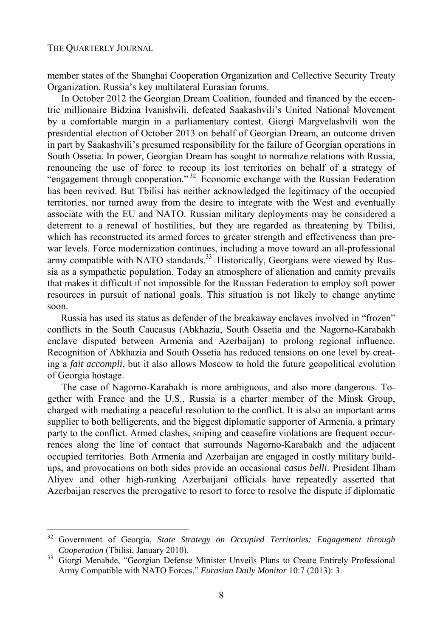l

member states of the Shanghai Cooperation Organization and Collective Security Treaty Organization, Russia's key multilateral Eurasian forums.

In October 2012 the Georgian Dream Coalition, founded and financed by the eccentric millionaire Bidzina Ivanishvili, defeated Saakashvili's United National Movement by a comfortable margin in a parliamentary contest. Giorgi Margvelashvili won the presidential election of October 2013 on behalf of Georgian Dream, an outcome driven in part by Saakashvili's presumed responsibility for the failure of Georgian operations in South Ossetia. In power, Georgian Dream has sought to normalize relations with Russia, renouncing the use of force to recoup its lost territories on behalf of a strategy of "engagement through cooperation." 32 Economic exchange with the Russian Federation has been revived. But Tbilisi has neither acknowledged the legitimacy of the occupied territories, nor turned away from the desire to integrate with the West and eventually associate with the EU and NATO. Russian military deployments may be considered a deterrent to a renewal of hostilities, but they are regarded as threatening by Tbilisi, which has reconstructed its armed forces to greater strength and effectiveness than prewar levels. Force modernization continues, including a move toward an all-professional army compatible with NATO standards.<sup>33</sup> Historically, Georgians were viewed by Russia as a sympathetic population. Today an atmosphere of alienation and enmity prevails that makes it difficult if not impossible for the Russian Federation to employ soft power resources in pursuit of national goals. This situation is not likely to change anytime soon.

Russia has used its status as defender of the breakaway enclaves involved in "frozen" conflicts in the South Caucasus (Abkhazia, South Ossetia and the Nagorno-Karabakh enclave disputed between Armenia and Azerbaijan) to prolong regional influence. Recognition of Abkhazia and South Ossetia has reduced tensions on one level by creating a *fait accompli*, but it also allows Moscow to hold the future geopolitical evolution of Georgia hostage.

The case of Nagorno-Karabakh is more ambiguous, and also more dangerous. Together with France and the U.S., Russia is a charter member of the Minsk Group, charged with mediating a peaceful resolution to the conflict. It is also an important arms supplier to both belligerents, and the biggest diplomatic supporter of Armenia, a primary party to the conflict. Armed clashes, sniping and ceasefire violations are frequent occurrences along the line of contact that surrounds Nagorno-Karabakh and the adjacent occupied territories. Both Armenia and Azerbaijan are engaged in costly military buildups, and provocations on both sides provide an occasional *casus belli*. President Ilham Aliyev and other high-ranking Azerbaijani officials have repeatedly asserted that Azerbaijan reserves the prerogative to resort to force to resolve the dispute if diplomatic

<sup>32</sup> Government of Georgia, *State Strategy on Occupied Territories: Engagement through Cooperation* (Tbilisi, January 2010).<br>33 Giorgi Menabde, "Georgian Defense Minister Unveils Plans to Create Entirely Professional

Army Compatible with NATO Forces," *Eurasian Daily Monitor* 10:7 (2013): 3.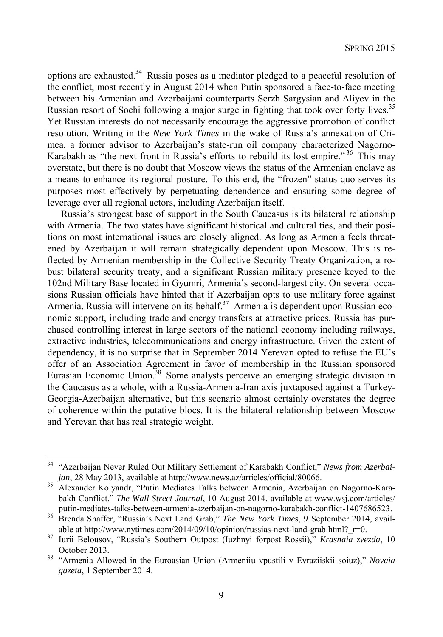options are exhausted.34 Russia poses as a mediator pledged to a peaceful resolution of the conflict, most recently in August 2014 when Putin sponsored a face-to-face meeting between his Armenian and Azerbaijani counterparts Serzh Sargysian and Aliyev in the Russian resort of Sochi following a major surge in fighting that took over forty lives.<sup>35</sup> Yet Russian interests do not necessarily encourage the aggressive promotion of conflict resolution. Writing in the *New York Times* in the wake of Russia's annexation of Crimea, a former advisor to Azerbaijan's state-run oil company characterized Nagorno-Karabakh as "the next front in Russia's efforts to rebuild its lost empire." 36 This may overstate, but there is no doubt that Moscow views the status of the Armenian enclave as a means to enhance its regional posture. To this end, the "frozen" status quo serves its purposes most effectively by perpetuating dependence and ensuring some degree of leverage over all regional actors, including Azerbaijan itself.

Russia's strongest base of support in the South Caucasus is its bilateral relationship with Armenia. The two states have significant historical and cultural ties, and their positions on most international issues are closely aligned. As long as Armenia feels threatened by Azerbaijan it will remain strategically dependent upon Moscow. This is reflected by Armenian membership in the Collective Security Treaty Organization, a robust bilateral security treaty, and a significant Russian military presence keyed to the 102nd Military Base located in Gyumri, Armenia's second-largest city. On several occasions Russian officials have hinted that if Azerbaijan opts to use military force against Armenia, Russia will intervene on its behalf.<sup>37</sup> Armenia is dependent upon Russian economic support, including trade and energy transfers at attractive prices. Russia has purchased controlling interest in large sectors of the national economy including railways, extractive industries, telecommunications and energy infrastructure. Given the extent of dependency, it is no surprise that in September 2014 Yerevan opted to refuse the EU's offer of an Association Agreement in favor of membership in the Russian sponsored Eurasian Economic Union.<sup>38</sup> Some analysts perceive an emerging strategic division in the Caucasus as a whole, with a Russia-Armenia-Iran axis juxtaposed against a Turkey-Georgia-Azerbaijan alternative, but this scenario almost certainly overstates the degree of coherence within the putative blocs. It is the bilateral relationship between Moscow and Yerevan that has real strategic weight.

<sup>&</sup>lt;sup>34</sup> "Azerbaijan Never Ruled Out Military Settlement of Karabakh Conflict," *News from Azerbai-*<br>jan, 28 May 2013, available at http://www.news.az/articles/official/80066.

*jan, 28 May 2013, available at http://www.news.az/articles/official/8006686. Alexander Kolyandr, "Putin Mediates Talks between Armenia, Azerbaijan on Nagorno-Kara*bakh Conflict," *The Wall Street Journal*, 10 August 2014, available at www.wsj.com/articles/

putin-mediates-talks-between-armenia-azerbaijan-on-nagorno-karabakh-conflict-1407686523. 36 Brenda Shaffer, "Russia's Next Land Grab," *The New York Times*, 9 September 2014, available at http://www.nytimes.com/2014/09/10/opinion/russias-next-land-grab.html?\_r=0. 37 Iurii Belousov, "Russia's Southern Outpost (Iuzhnyi forpost Rossii)," *Krasnaia zvezda*, 10

October 2013. 38 "Armenia Allowed in the Euroasian Union (Armeniiu vpustili v Evraziiskii soiuz)," *Novaia gazeta*, 1 September 2014.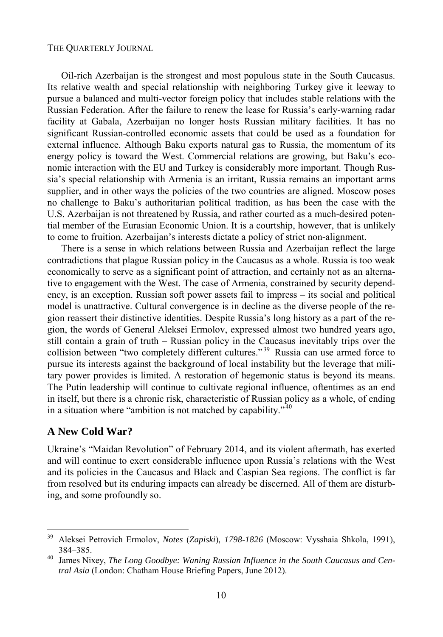Oil-rich Azerbaijan is the strongest and most populous state in the South Caucasus. Its relative wealth and special relationship with neighboring Turkey give it leeway to pursue a balanced and multi-vector foreign policy that includes stable relations with the Russian Federation. After the failure to renew the lease for Russia's early-warning radar facility at Gabala, Azerbaijan no longer hosts Russian military facilities. It has no significant Russian-controlled economic assets that could be used as a foundation for external influence. Although Baku exports natural gas to Russia, the momentum of its energy policy is toward the West. Commercial relations are growing, but Baku's economic interaction with the EU and Turkey is considerably more important. Though Russia's special relationship with Armenia is an irritant, Russia remains an important arms supplier, and in other ways the policies of the two countries are aligned. Moscow poses no challenge to Baku's authoritarian political tradition, as has been the case with the U.S. Azerbaijan is not threatened by Russia, and rather courted as a much-desired potential member of the Eurasian Economic Union. It is a courtship, however, that is unlikely to come to fruition. Azerbaijan's interests dictate a policy of strict non-alignment.

There is a sense in which relations between Russia and Azerbaijan reflect the large contradictions that plague Russian policy in the Caucasus as a whole. Russia is too weak economically to serve as a significant point of attraction, and certainly not as an alternative to engagement with the West. The case of Armenia, constrained by security dependency, is an exception. Russian soft power assets fail to impress – its social and political model is unattractive. Cultural convergence is in decline as the diverse people of the region reassert their distinctive identities. Despite Russia's long history as a part of the region, the words of General Aleksei Ermolov, expressed almost two hundred years ago, still contain a grain of truth – Russian policy in the Caucasus inevitably trips over the collision between "two completely different cultures."<sup>39</sup> Russia can use armed force to pursue its interests against the background of local instability but the leverage that military power provides is limited. A restoration of hegemonic status is beyond its means. The Putin leadership will continue to cultivate regional influence, oftentimes as an end in itself, but there is a chronic risk, characteristic of Russian policy as a whole, of ending in a situation where "ambition is not matched by capability." $40$ 

#### **A New Cold War?**

Ukraine's "Maidan Revolution" of February 2014, and its violent aftermath, has exerted and will continue to exert considerable influence upon Russia's relations with the West and its policies in the Caucasus and Black and Caspian Sea regions. The conflict is far from resolved but its enduring impacts can already be discerned. All of them are disturbing, and some profoundly so.

<sup>39</sup> 39 Aleksei Petrovich Ermolov, *Notes* (*Zapiski*)*, 1798-1826* (Moscow: Vysshaia Shkola, 1991), 384–385. 40 James Nixey, *The Long Goodbye: Waning Russian Influence in the South Caucasus and Cen-*

*tral Asia* (London: Chatham House Briefing Papers, June 2012).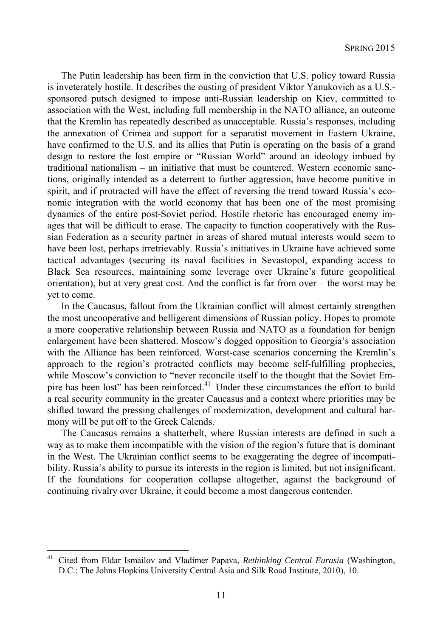The Putin leadership has been firm in the conviction that U.S. policy toward Russia is inveterately hostile. It describes the ousting of president Viktor Yanukovich as a U.S. sponsored putsch designed to impose anti-Russian leadership on Kiev, committed to association with the West, including full membership in the NATO alliance, an outcome that the Kremlin has repeatedly described as unacceptable. Russia's responses, including the annexation of Crimea and support for a separatist movement in Eastern Ukraine, have confirmed to the U.S. and its allies that Putin is operating on the basis of a grand design to restore the lost empire or "Russian World" around an ideology imbued by traditional nationalism – an initiative that must be countered. Western economic sanctions, originally intended as a deterrent to further aggression, have become punitive in spirit, and if protracted will have the effect of reversing the trend toward Russia's economic integration with the world economy that has been one of the most promising dynamics of the entire post-Soviet period. Hostile rhetoric has encouraged enemy images that will be difficult to erase. The capacity to function cooperatively with the Russian Federation as a security partner in areas of shared mutual interests would seem to have been lost, perhaps irretrievably. Russia's initiatives in Ukraine have achieved some tactical advantages (securing its naval facilities in Sevastopol, expanding access to Black Sea resources, maintaining some leverage over Ukraine's future geopolitical orientation), but at very great cost. And the conflict is far from over – the worst may be yet to come.

In the Caucasus, fallout from the Ukrainian conflict will almost certainly strengthen the most uncooperative and belligerent dimensions of Russian policy. Hopes to promote a more cooperative relationship between Russia and NATO as a foundation for benign enlargement have been shattered. Moscow's dogged opposition to Georgia's association with the Alliance has been reinforced. Worst-case scenarios concerning the Kremlin's approach to the region's protracted conflicts may become self-fulfilling prophecies, while Moscow's conviction to "never reconcile itself to the thought that the Soviet Empire has been lost" has been reinforced. $41$  Under these circumstances the effort to build a real security community in the greater Caucasus and a context where priorities may be shifted toward the pressing challenges of modernization, development and cultural harmony will be put off to the Greek Calends.

The Caucasus remains a shatterbelt, where Russian interests are defined in such a way as to make them incompatible with the vision of the region's future that is dominant in the West. The Ukrainian conflict seems to be exaggerating the degree of incompatibility. Russia's ability to pursue its interests in the region is limited, but not insignificant. If the foundations for cooperation collapse altogether, against the background of continuing rivalry over Ukraine, it could become a most dangerous contender.

<sup>41</sup> Cited from Eldar Ismailov and Vladimer Papava, *Rethinking Central Eurasia* (Washington, D.C.: The Johns Hopkins University Central Asia and Silk Road Institute, 2010), 10.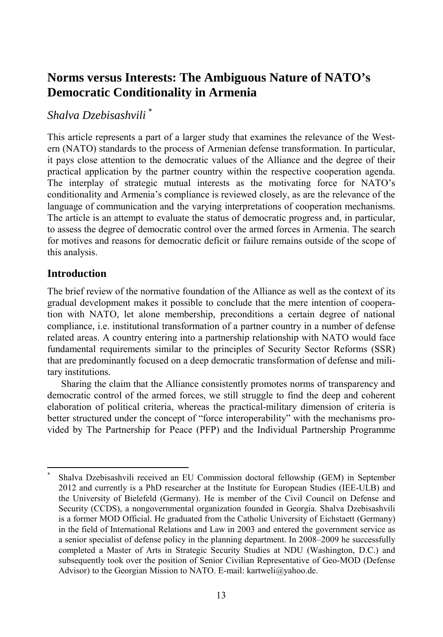### **Norms versus Interests: The Ambiguous Nature of NATO's Democratic Conditionality in Armenia**

#### *Shalva Dzebisashvili* \*

This article represents a part of a larger study that examines the relevance of the Western (NATO) standards to the process of Armenian defense transformation. In particular, it pays close attention to the democratic values of the Alliance and the degree of their practical application by the partner country within the respective cooperation agenda. The interplay of strategic mutual interests as the motivating force for NATO's conditionality and Armenia's compliance is reviewed closely, as are the relevance of the language of communication and the varying interpretations of cooperation mechanisms. The article is an attempt to evaluate the status of democratic progress and, in particular, to assess the degree of democratic control over the armed forces in Armenia. The search for motives and reasons for democratic deficit or failure remains outside of the scope of this analysis.

#### **Introduction**

l

The brief review of the normative foundation of the Alliance as well as the context of its gradual development makes it possible to conclude that the mere intention of cooperation with NATO, let alone membership, preconditions a certain degree of national compliance, i.e. institutional transformation of a partner country in a number of defense related areas. A country entering into a partnership relationship with NATO would face fundamental requirements similar to the principles of Security Sector Reforms (SSR) that are predominantly focused on a deep democratic transformation of defense and military institutions.

Sharing the claim that the Alliance consistently promotes norms of transparency and democratic control of the armed forces, we still struggle to find the deep and coherent elaboration of political criteria, whereas the practical-military dimension of criteria is better structured under the concept of "force interoperability" with the mechanisms provided by The Partnership for Peace (PFP) and the Individual Partnership Programme

<sup>\*</sup> Shalva Dzebisashvili received an EU Commission doctoral fellowship (GEM) in September 2012 and currently is a PhD researcher at the Institute for European Studies (IEE-ULB) and the University of Bielefeld (Germany). He is member of the Civil Council on Defense and Security (CCDS), a nongovernmental organization founded in Georgia. Shalva Dzebisashvili is a former MOD Official. He graduated from the Catholic University of Eichstaett (Germany) in the field of International Relations and Law in 2003 and entered the government service as a senior specialist of defense policy in the planning department. In 2008–2009 he successfully completed a Master of Arts in Strategic Security Studies at NDU (Washington, D.C.) and subsequently took over the position of Senior Civilian Representative of Geo-MOD (Defense Advisor) to the Georgian Mission to NATO. E-mail: kartweli@yahoo.de.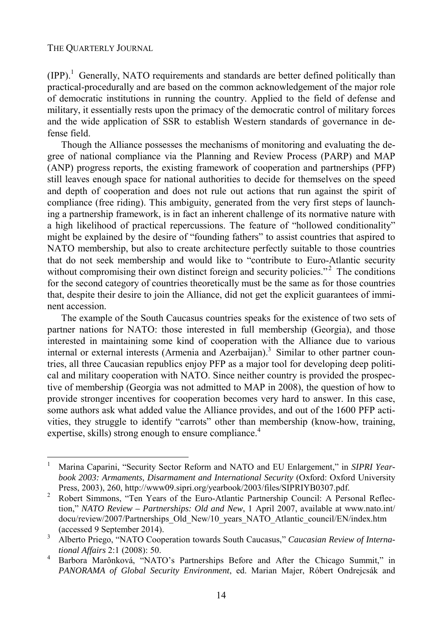l

 $(IPP).$ <sup>1</sup> Generally, NATO requirements and standards are better defined politically than practical-procedurally and are based on the common acknowledgement of the major role of democratic institutions in running the country. Applied to the field of defense and military, it essentially rests upon the primacy of the democratic control of military forces and the wide application of SSR to establish Western standards of governance in defense field.

Though the Alliance possesses the mechanisms of monitoring and evaluating the degree of national compliance via the Planning and Review Process (PARP) and MAP (ANP) progress reports, the existing framework of cooperation and partnerships (PFP) still leaves enough space for national authorities to decide for themselves on the speed and depth of cooperation and does not rule out actions that run against the spirit of compliance (free riding). This ambiguity, generated from the very first steps of launching a partnership framework, is in fact an inherent challenge of its normative nature with a high likelihood of practical repercussions. The feature of "hollowed conditionality" might be explained by the desire of "founding fathers" to assist countries that aspired to NATO membership, but also to create architecture perfectly suitable to those countries that do not seek membership and would like to "contribute to Euro-Atlantic security without compromising their own distinct foreign and security policies."<sup>2</sup> The conditions for the second category of countries theoretically must be the same as for those countries that, despite their desire to join the Alliance, did not get the explicit guarantees of imminent accession.

The example of the South Caucasus countries speaks for the existence of two sets of partner nations for NATO: those interested in full membership (Georgia), and those interested in maintaining some kind of cooperation with the Alliance due to various internal or external interests (Armenia and Azerbaijan).<sup>3</sup> Similar to other partner countries, all three Caucasian republics enjoy PFP as a major tool for developing deep political and military cooperation with NATO. Since neither country is provided the prospective of membership (Georgia was not admitted to MAP in 2008), the question of how to provide stronger incentives for cooperation becomes very hard to answer. In this case, some authors ask what added value the Alliance provides, and out of the 1600 PFP activities, they struggle to identify "carrots" other than membership (know-how, training, expertise, skills) strong enough to ensure compliance.<sup>4</sup>

<sup>1</sup> Marina Caparini, "Security Sector Reform and NATO and EU Enlargement," in *SIPRI Yearbook 2003: Armaments, Disarmament and International Security* (Oxford: Oxford University Press, 2003), 260, http://www09.sipri.org/yearbook/2003/files/SIPRIYB0307.pdf.<br><sup>2</sup> Pobert Simmons, "Ten Vegrs of the Euro Atlantic Partnership Council: A Pers

Robert Simmons, "Ten Years of the Euro-Atlantic Partnership Council: A Personal Reflection," *NATO Review – Partnerships: Old and New*, 1 April 2007, available at www.nato.int/ docu/review/2007/Partnerships\_Old\_New/10\_years\_NATO\_Atlantic\_council/EN/index.htm (accessed 9 September 2014).

Alberto Priego, "NATO Cooperation towards South Caucasus," *Caucasian Review of International Affairs* 2:1 (2008): 50. 4

Barbora Marônková, "NATO's Partnerships Before and After the Chicago Summit," in *PANORAMA of Global Security Environment*, ed. Marian Majer, Róbert Ondrejcsák and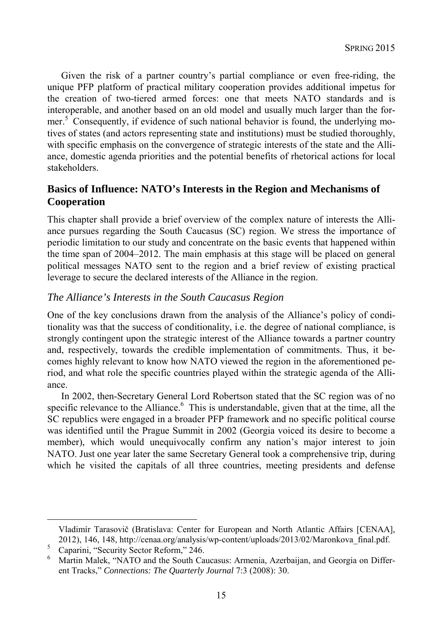Given the risk of a partner country's partial compliance or even free-riding, the unique PFP platform of practical military cooperation provides additional impetus for the creation of two-tiered armed forces: one that meets NATO standards and is interoperable, and another based on an old model and usually much larger than the former.<sup>5</sup> Consequently, if evidence of such national behavior is found, the underlying motives of states (and actors representing state and institutions) must be studied thoroughly, with specific emphasis on the convergence of strategic interests of the state and the Alliance, domestic agenda priorities and the potential benefits of rhetorical actions for local stakeholders.

#### **Basics of Influence: NATO's Interests in the Region and Mechanisms of Cooperation**

This chapter shall provide a brief overview of the complex nature of interests the Alliance pursues regarding the South Caucasus (SC) region. We stress the importance of periodic limitation to our study and concentrate on the basic events that happened within the time span of 2004–2012. The main emphasis at this stage will be placed on general political messages NATO sent to the region and a brief review of existing practical leverage to secure the declared interests of the Alliance in the region.

#### *The Alliance's Interests in the South Caucasus Region*

One of the key conclusions drawn from the analysis of the Alliance's policy of conditionality was that the success of conditionality, i.e. the degree of national compliance, is strongly contingent upon the strategic interest of the Alliance towards a partner country and, respectively, towards the credible implementation of commitments. Thus, it becomes highly relevant to know how NATO viewed the region in the aforementioned period, and what role the specific countries played within the strategic agenda of the Alliance.

In 2002, then-Secretary General Lord Robertson stated that the SC region was of no specific relevance to the Alliance.<sup>6</sup> This is understandable, given that at the time, all the SC republics were engaged in a broader PFP framework and no specific political course was identified until the Prague Summit in 2002 (Georgia voiced its desire to become a member), which would unequivocally confirm any nation's major interest to join NATO. Just one year later the same Secretary General took a comprehensive trip, during which he visited the capitals of all three countries, meeting presidents and defense

Vladimír Tarasovič (Bratislava: Center for European and North Atlantic Affairs [CENAA], 2012), 146, 148, http://cenaa.org/analysis/wp-content/uploads/2013/02/Maronkova\_final.pdf.

Caparini, "Security Sector Reform," 246.

<sup>6</sup> Martin Malek, "NATO and the South Caucasus: Armenia, Azerbaijan, and Georgia on Different Tracks," *Connections: The Quarterly Journal* 7:3 (2008): 30.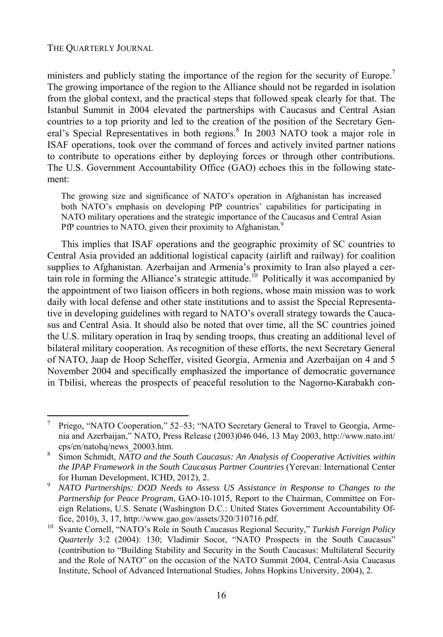l

ministers and publicly stating the importance of the region for the security of Europe.<sup>7</sup> The growing importance of the region to the Alliance should not be regarded in isolation from the global context, and the practical steps that followed speak clearly for that. The Istanbul Summit in 2004 elevated the partnerships with Caucasus and Central Asian countries to a top priority and led to the creation of the position of the Secretary General's Special Representatives in both regions.<sup>8</sup> In 2003 NATO took a major role in ISAF operations, took over the command of forces and actively invited partner nations to contribute to operations either by deploying forces or through other contributions. The U.S. Government Accountability Office (GAO) echoes this in the following statement:

The growing size and significance of NATO's operation in Afghanistan has increased both NATO's emphasis on developing PfP countries' capabilities for participating in NATO military operations and the strategic importance of the Caucasus and Central Asian PfP countries to NATO, given their proximity to Afghanistan.<sup>9</sup>

This implies that ISAF operations and the geographic proximity of SC countries to Central Asia provided an additional logistical capacity (airlift and railway) for coalition supplies to Afghanistan. Azerbaijan and Armenia's proximity to Iran also played a certain role in forming the Alliance's strategic attitude.<sup>10</sup> Politically it was accompanied by the appointment of two liaison officers in both regions, whose main mission was to work daily with local defense and other state institutions and to assist the Special Representative in developing guidelines with regard to NATO's overall strategy towards the Caucasus and Central Asia. It should also be noted that over time, all the SC countries joined the U.S. military operation in Iraq by sending troops, thus creating an additional level of bilateral military cooperation. As recognition of these efforts, the next Secretary General of NATO, Jaap de Hoop Scheffer, visited Georgia, Armenia and Azerbaijan on 4 and 5 November 2004 and specifically emphasized the importance of democratic governance in Tbilisi, whereas the prospects of peaceful resolution to the Nagorno-Karabakh con-

<sup>7</sup> Priego, "NATO Cooperation," 52–53; "NATO Secretary General to Travel to Georgia, Armenia and Azerbaijan," NATO, Press Release (2003)046 046, 13 May 2003, http://www.nato.int/ cps/en/natohq/news\_20003.htm. 8

Simon Schmidt, *NATO and the South Caucasus: An Analysis of Cooperative Activities within the IPAP Framework in the South Caucasus Partner Countries* (Yerevan: International Center for Human Development, ICHD, 2012), 2. 9 *NATO Partnerships: DOD Needs to Assess US Assistance in Response to Changes to the* 

*Partnership for Peace Program*, GAO-10-1015, Report to the Chairman, Committee on Foreign Relations, U.S. Senate (Washington D.C.: United States Government Accountability Of-

fice, 2010), 3, 17, http://www.gao.gov/assets/320/310716.pdf. 10 Svante Cornell, "NATO's Role in South Caucasus Regional Security," *Turkish Foreign Policy Quarterly* 3:2 (2004): 130; Vladimir Socor, "NATO Prospects in the South Caucasus" (contribution to "Building Stability and Security in the South Caucasus: Multilateral Security and the Role of NATO" on the occasion of the NATO Summit 2004, Central-Asia Caucasus Institute, School of Advanced International Studies, Johns Hopkins University, 2004), 2.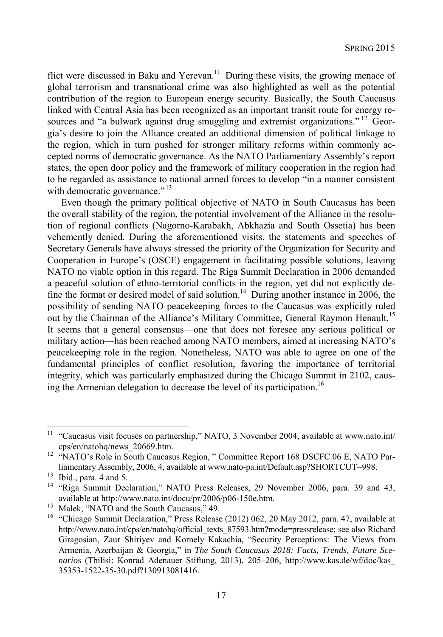flict were discussed in Baku and Yerevan.<sup>11</sup> During these visits, the growing menace of global terrorism and transnational crime was also highlighted as well as the potential contribution of the region to European energy security. Basically, the South Caucasus linked with Central Asia has been recognized as an important transit route for energy resources and "a bulwark against drug smuggling and extremist organizations." <sup>12</sup> Georgia's desire to join the Alliance created an additional dimension of political linkage to the region, which in turn pushed for stronger military reforms within commonly accepted norms of democratic governance. As the NATO Parliamentary Assembly's report states, the open door policy and the framework of military cooperation in the region had to be regarded as assistance to national armed forces to develop "in a manner consistent with democratic governance."<sup>13</sup>

Even though the primary political objective of NATO in South Caucasus has been the overall stability of the region, the potential involvement of the Alliance in the resolution of regional conflicts (Nagorno-Karabakh, Abkhazia and South Ossetia) has been vehemently denied. During the aforementioned visits, the statements and speeches of Secretary Generals have always stressed the priority of the Organization for Security and Cooperation in Europe's (OSCE) engagement in facilitating possible solutions, leaving NATO no viable option in this regard. The Riga Summit Declaration in 2006 demanded a peaceful solution of ethno-territorial conflicts in the region, yet did not explicitly define the format or desired model of said solution.<sup>14</sup> During another instance in 2006, the possibility of sending NATO peacekeeping forces to the Caucasus was explicitly ruled out by the Chairman of the Alliance's Military Committee, General Raymon Henault.<sup>15</sup> It seems that a general consensus—one that does not foresee any serious political or military action—has been reached among NATO members, aimed at increasing NATO's peacekeeping role in the region. Nonetheless, NATO was able to agree on one of the fundamental principles of conflict resolution, favoring the importance of territorial integrity, which was particularly emphasized during the Chicago Summit in 2102, causing the Armenian delegation to decrease the level of its participation.<sup>16</sup>

<sup>&</sup>lt;sup>11</sup> "Caucasus visit focuses on partnership," NATO, 3 November 2004, available at www.nato.int/ cps/en/natohq/news\_20669.htm. 12 "NATO's Role in South Caucasus Region, " Committee Report 168 DSCFC 06 E, NATO Par-

liamentary Assembly, 2006, 4, available at www.nato-pa.int/Default.asp?SHORTCUT=998.<br><sup>13</sup> Ibid., para. 4 and 5.

<sup>&</sup>lt;sup>14</sup> "Riga Summit Declaration," NATO Press Releases, 29 November 2006, para. 39 and 43, available at http://www.nato.int/docu/pr/2006/p06-150e.htm. 15 Malek, "NATO and the South Caucasus," 49.

<sup>&</sup>lt;sup>16</sup> "Chicago Summit Declaration," Press Release (2012) 062, 20 May 2012, para. 47, available at http://www.nato.int/cps/en/natohq/official\_texts\_87593.htm?mode=pressrelease; see also Richard Giragosian, Zaur Shiriyev and Kornely Kakachia, "Security Perceptions: The Views from Armenia, Azerbaijan & Georgia," in *The South Caucasus 2018: Facts, Trends, Future Scenarios* (Tbilisi: Konrad Adenauer Stiftung, 2013), 205–206, http://www.kas.de/wf/doc/kas\_ 35353-1522-35-30.pdf?130913081416.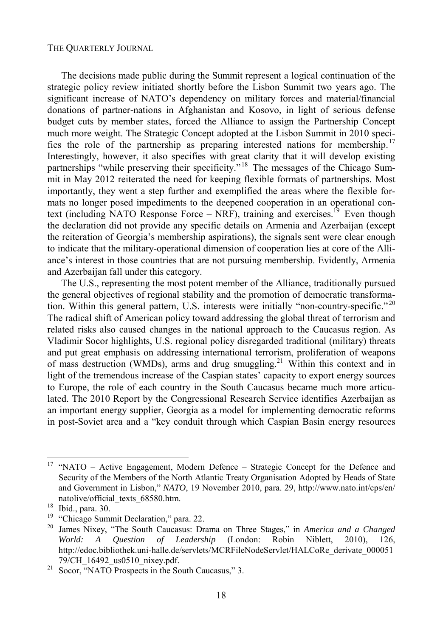The decisions made public during the Summit represent a logical continuation of the strategic policy review initiated shortly before the Lisbon Summit two years ago. The significant increase of NATO's dependency on military forces and material/financial donations of partner-nations in Afghanistan and Kosovo, in light of serious defense budget cuts by member states, forced the Alliance to assign the Partnership Concept much more weight. The Strategic Concept adopted at the Lisbon Summit in 2010 specifies the role of the partnership as preparing interested nations for membership.<sup>17</sup> Interestingly, however, it also specifies with great clarity that it will develop existing partnerships "while preserving their specificity."<sup>18</sup> The messages of the Chicago Summit in May 2012 reiterated the need for keeping flexible formats of partnerships. Most importantly, they went a step further and exemplified the areas where the flexible formats no longer posed impediments to the deepened cooperation in an operational context (including NATO Response Force – NRF), training and exercises.<sup>19</sup> Even though the declaration did not provide any specific details on Armenia and Azerbaijan (except the reiteration of Georgia's membership aspirations), the signals sent were clear enough to indicate that the military-operational dimension of cooperation lies at core of the Alliance's interest in those countries that are not pursuing membership. Evidently, Armenia and Azerbaijan fall under this category.

The U.S., representing the most potent member of the Alliance, traditionally pursued the general objectives of regional stability and the promotion of democratic transformation. Within this general pattern, U.S. interests were initially "non-country-specific."<sup>20</sup> The radical shift of American policy toward addressing the global threat of terrorism and related risks also caused changes in the national approach to the Caucasus region. As Vladimir Socor highlights, U.S. regional policy disregarded traditional (military) threats and put great emphasis on addressing international terrorism, proliferation of weapons of mass destruction (WMDs), arms and drug smuggling.<sup>21</sup> Within this context and in light of the tremendous increase of the Caspian states' capacity to export energy sources to Europe, the role of each country in the South Caucasus became much more articulated. The 2010 Report by the Congressional Research Service identifies Azerbaijan as an important energy supplier, Georgia as a model for implementing democratic reforms in post-Soviet area and a "key conduit through which Caspian Basin energy resources

<sup>17 &</sup>quot;NATO – Active Engagement, Modern Defence – Strategic Concept for the Defence and Security of the Members of the North Atlantic Treaty Organisation Adopted by Heads of State and Government in Lisbon," *NATO*, 19 November 2010, para. 29, http://www.nato.int/cps/en/ natolive/official\_texts\_68580.htm.<br><sup>18</sup> Ibid., para. 30.

<sup>&</sup>lt;sup>19</sup> "Chicago Summit Declaration," para. 22.

<sup>20</sup> James Nixey, "The South Caucasus: Drama on Three Stages," in *America and a Changed World: A Question of Leadership* (London: Robin Niblett, 2010), 126, http://edoc.bibliothek.uni-halle.de/servlets/MCRFileNodeServlet/HALCoRe\_derivate\_000051 79/CH\_16492\_us0510\_nixey.pdf. 21 Socor, "NATO Prospects in the South Caucasus," 3.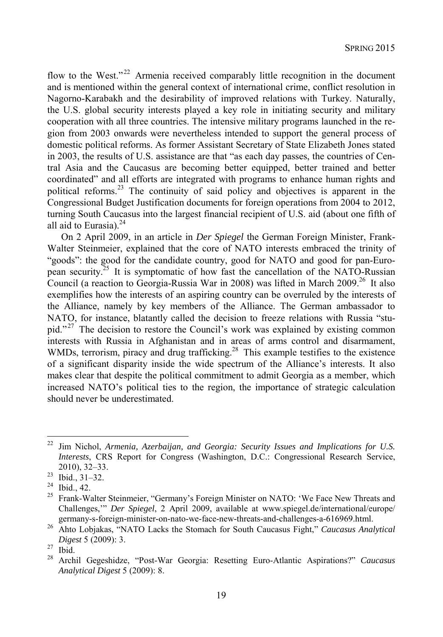flow to the West."<sup>22</sup> Armenia received comparably little recognition in the document and is mentioned within the general context of international crime, conflict resolution in Nagorno-Karabakh and the desirability of improved relations with Turkey. Naturally, the U.S. global security interests played a key role in initiating security and military cooperation with all three countries. The intensive military programs launched in the region from 2003 onwards were nevertheless intended to support the general process of domestic political reforms. As former Assistant Secretary of State Elizabeth Jones stated in 2003, the results of U.S. assistance are that "as each day passes, the countries of Central Asia and the Caucasus are becoming better equipped, better trained and better coordinated" and all efforts are integrated with programs to enhance human rights and political reforms.23 The continuity of said policy and objectives is apparent in the Congressional Budget Justification documents for foreign operations from 2004 to 2012, turning South Caucasus into the largest financial recipient of U.S. aid (about one fifth of all aid to Eurasia). $^{24}$ 

On 2 April 2009, in an article in *Der Spiegel* the German Foreign Minister, Frank-Walter Steinmeier, explained that the core of NATO interests embraced the trinity of "goods": the good for the candidate country, good for NATO and good for pan-European security.25 It is symptomatic of how fast the cancellation of the NATO-Russian Council (a reaction to Georgia-Russia War in 2008) was lifted in March 2009.<sup>26</sup> It also exemplifies how the interests of an aspiring country can be overruled by the interests of the Alliance, namely by key members of the Alliance. The German ambassador to NATO, for instance, blatantly called the decision to freeze relations with Russia "stupid."<sup>27</sup> The decision to restore the Council's work was explained by existing common interests with Russia in Afghanistan and in areas of arms control and disarmament, WMDs, terrorism, piracy and drug trafficking.<sup>28</sup> This example testifies to the existence of a significant disparity inside the wide spectrum of the Alliance's interests. It also makes clear that despite the political commitment to admit Georgia as a member, which increased NATO's political ties to the region, the importance of strategic calculation should never be underestimated.

<sup>22</sup> Jim Nichol, *Armenia, Azerbaijan, and Georgia: Security Issues and Implications for U.S. Interests*, CRS Report for Congress (Washington, D.C.: Congressional Research Service, 2010), 32–33. 23 Ibid., 31–32.

 $^{24}$  Ibid., 42.<br><sup>25</sup> Frank-W:

<sup>25</sup> Frank-Walter Steinmeier, "Germany's Foreign Minister on NATO: 'We Face New Threats and Challenges,'" *Der Spiegel*, 2 April 2009, available at www.spiegel.de/international/europe/

germany-s-foreign-minister-on-nato-we-face-new-threats-and-challenges-a-616969.html. 26 Ahto Lobjakas, "NATO Lacks the Stomach for South Caucasus Fight," *Caucasus Analytical Digest* 5 (2009): 3.<br><sup>27</sup> Ibid.

<sup>28</sup> Archil Gegeshidze, "Post-War Georgia: Resetting Euro-Atlantic Aspirations?" *Caucasus Analytical Digest* 5 (2009): 8.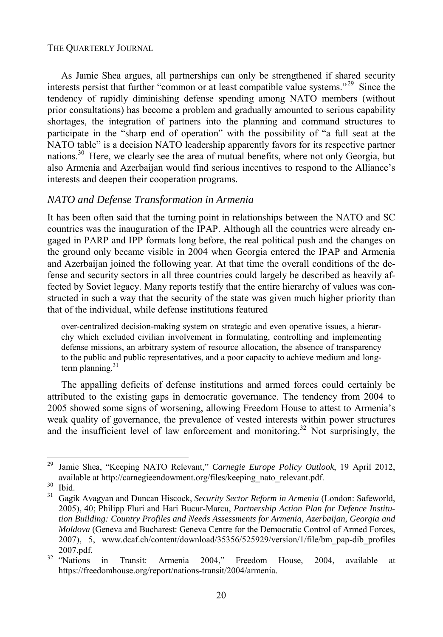As Jamie Shea argues, all partnerships can only be strengthened if shared security interests persist that further "common or at least compatible value systems."<sup>29</sup> Since the tendency of rapidly diminishing defense spending among NATO members (without prior consultations) has become a problem and gradually amounted to serious capability shortages, the integration of partners into the planning and command structures to participate in the "sharp end of operation" with the possibility of "a full seat at the NATO table" is a decision NATO leadership apparently favors for its respective partner nations.<sup>30</sup> Here, we clearly see the area of mutual benefits, where not only Georgia, but also Armenia and Azerbaijan would find serious incentives to respond to the Alliance's interests and deepen their cooperation programs.

#### *NATO and Defense Transformation in Armenia*

It has been often said that the turning point in relationships between the NATO and SC countries was the inauguration of the IPAP. Although all the countries were already engaged in PARP and IPP formats long before, the real political push and the changes on the ground only became visible in 2004 when Georgia entered the IPAP and Armenia and Azerbaijan joined the following year. At that time the overall conditions of the defense and security sectors in all three countries could largely be described as heavily affected by Soviet legacy. Many reports testify that the entire hierarchy of values was constructed in such a way that the security of the state was given much higher priority than that of the individual, while defense institutions featured

over-centralized decision-making system on strategic and even operative issues, a hierarchy which excluded civilian involvement in formulating, controlling and implementing defense missions, an arbitrary system of resource allocation, the absence of transparency to the public and public representatives, and a poor capacity to achieve medium and longterm planning. $31$ 

The appalling deficits of defense institutions and armed forces could certainly be attributed to the existing gaps in democratic governance. The tendency from 2004 to 2005 showed some signs of worsening, allowing Freedom House to attest to Armenia's weak quality of governance, the prevalence of vested interests within power structures and the insufficient level of law enforcement and monitoring.<sup>32</sup> Not surprisingly, the

<sup>29</sup> Jamie Shea, "Keeping NATO Relevant," *Carnegie Europe Policy Outlook*, 19 April 2012, available at http://carnegieendowment.org/files/keeping\_nato\_relevant.pdf.<br><sup>30</sup> Ibid.<br><sup>31</sup> Gagik Ayagyan and Duncan Hiscock Security Sector Reform in Armenia ()

<sup>31</sup> Gagik Avagyan and Duncan Hiscock, *Security Sector Reform in Armenia* (London: Safeworld, 2005), 40; Philipp Fluri and Hari Bucur-Marcu, *Partnership Action Plan for Defence Institution Building: Country Profiles and Needs Assessments for Armenia, Azerbaijan, Georgia and Moldova* (Geneva and Bucharest: Geneva Centre for the Democratic Control of Armed Forces, 2007), 5, www.dcaf.ch/content/download/35356/525929/version/1/file/bm\_pap-dib\_profiles 2007.pdf.<br><sup>32</sup> "Nations in Transit: Armenia 2004," Freedom House, 2004, available at

https://freedomhouse.org/report/nations-transit/2004/armenia.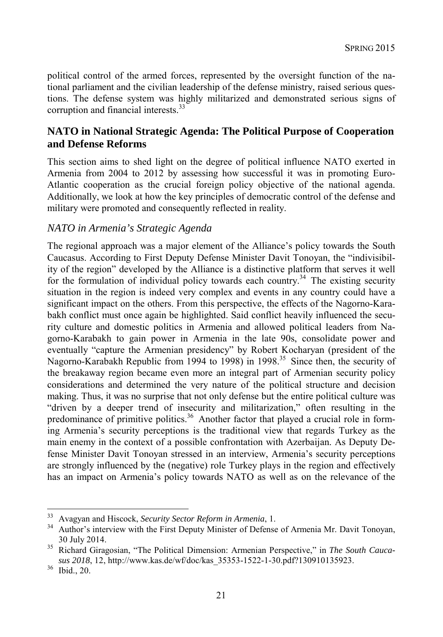political control of the armed forces, represented by the oversight function of the national parliament and the civilian leadership of the defense ministry, raised serious questions. The defense system was highly militarized and demonstrated serious signs of corruption and financial interests.<sup>33</sup>

#### **NATO in National Strategic Agenda: The Political Purpose of Cooperation and Defense Reforms**

This section aims to shed light on the degree of political influence NATO exerted in Armenia from 2004 to 2012 by assessing how successful it was in promoting Euro-Atlantic cooperation as the crucial foreign policy objective of the national agenda. Additionally, we look at how the key principles of democratic control of the defense and military were promoted and consequently reflected in reality.

#### *NATO in Armenia's Strategic Agenda*

The regional approach was a major element of the Alliance's policy towards the South Caucasus. According to First Deputy Defense Minister Davit Tonoyan, the "indivisibility of the region" developed by the Alliance is a distinctive platform that serves it well for the formulation of individual policy towards each country.<sup>34</sup> The existing security situation in the region is indeed very complex and events in any country could have a significant impact on the others. From this perspective, the effects of the Nagorno-Karabakh conflict must once again be highlighted. Said conflict heavily influenced the security culture and domestic politics in Armenia and allowed political leaders from Nagorno-Karabakh to gain power in Armenia in the late 90s, consolidate power and eventually "capture the Armenian presidency" by Robert Kocharyan (president of the Nagorno-Karabakh Republic from 1994 to 1998) in 1998.<sup>35</sup> Since then, the security of the breakaway region became even more an integral part of Armenian security policy considerations and determined the very nature of the political structure and decision making. Thus, it was no surprise that not only defense but the entire political culture was "driven by a deeper trend of insecurity and militarization," often resulting in the predominance of primitive politics.<sup>36</sup> Another factor that played a crucial role in forming Armenia's security perceptions is the traditional view that regards Turkey as the main enemy in the context of a possible confrontation with Azerbaijan. As Deputy Defense Minister Davit Tonoyan stressed in an interview, Armenia's security perceptions are strongly influenced by the (negative) role Turkey plays in the region and effectively has an impact on Armenia's policy towards NATO as well as on the relevance of the

<sup>&</sup>lt;sup>33</sup> Avagyan and Hiscock, Security Sector Reform in Armenia, 1.

<sup>&</sup>lt;sup>34</sup> Author's interview with the First Deputy Minister of Defense of Armenia Mr. Davit Tonoyan,

<sup>30</sup> July 2014. 35 Richard Giragosian, "The Political Dimension: Armenian Perspective," in *The South Caucasus 2018*, 12, http://www.kas.de/wf/doc/kas\_35353-1522-1-30.pdf?130910135923. 36 Ibid., 20.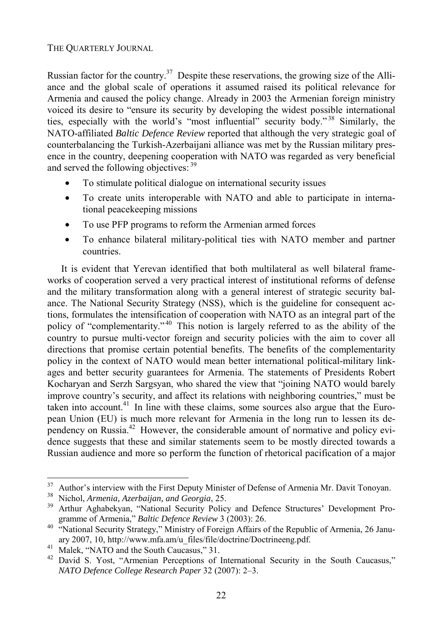Russian factor for the country.<sup>37</sup> Despite these reservations, the growing size of the Alliance and the global scale of operations it assumed raised its political relevance for Armenia and caused the policy change. Already in 2003 the Armenian foreign ministry voiced its desire to "ensure its security by developing the widest possible international ties, especially with the world's "most influential" security body." 38 Similarly, the NATO-affiliated *Baltic Defence Review* reported that although the very strategic goal of counterbalancing the Turkish-Azerbaijani alliance was met by the Russian military presence in the country, deepening cooperation with NATO was regarded as very beneficial and served the following objectives: <sup>39</sup>

- To stimulate political dialogue on international security issues
- To create units interoperable with NATO and able to participate in international peacekeeping missions
- To use PFP programs to reform the Armenian armed forces
- To enhance bilateral military-political ties with NATO member and partner countries.

It is evident that Yerevan identified that both multilateral as well bilateral frameworks of cooperation served a very practical interest of institutional reforms of defense and the military transformation along with a general interest of strategic security balance. The National Security Strategy (NSS), which is the guideline for consequent actions, formulates the intensification of cooperation with NATO as an integral part of the policy of "complementarity."<sup>40</sup> This notion is largely referred to as the ability of the country to pursue multi-vector foreign and security policies with the aim to cover all directions that promise certain potential benefits. The benefits of the complementarity policy in the context of NATO would mean better international political-military linkages and better security guarantees for Armenia. The statements of Presidents Robert Kocharyan and Serzh Sargsyan, who shared the view that "joining NATO would barely improve country's security, and affect its relations with neighboring countries," must be taken into account.<sup>41</sup> In line with these claims, some sources also argue that the European Union (EU) is much more relevant for Armenia in the long run to lessen its dependency on Russia.<sup>42</sup> However, the considerable amount of normative and policy evidence suggests that these and similar statements seem to be mostly directed towards a Russian audience and more so perform the function of rhetorical pacification of a major

<sup>37</sup>  $^{37}$  Author's interview with the First Deputy Minister of Defense of Armenia Mr. Davit Tonoyan.<br><sup>38</sup> Nighel Armenia Azerbaijan and Georgia 25

<sup>&</sup>lt;sup>38</sup> Nichol, *Armenia, Azerbaijan, and Georgia*, 25.<br><sup>39</sup> Arthur Aghabekyan, "National Security Policy and Defence Structures' Development Pro-

gramme of Armenia," *Baltic Defence Review* 3 (2003): 26.<br><sup>40</sup> "National Security Strategy," Ministry of Foreign Affairs of the Republic of Armenia, 26 January 2007, 10, http://www.mfa.am/u\_files/file/doctrine/Doctrineeng.pdf. Malek, "NATO and the South Caucasus," 31.

<sup>&</sup>lt;sup>42</sup> David S. Yost, "Armenian Perceptions of International Security in the South Caucasus," *NATO Defence College Research Paper* 32 (2007): 2–3.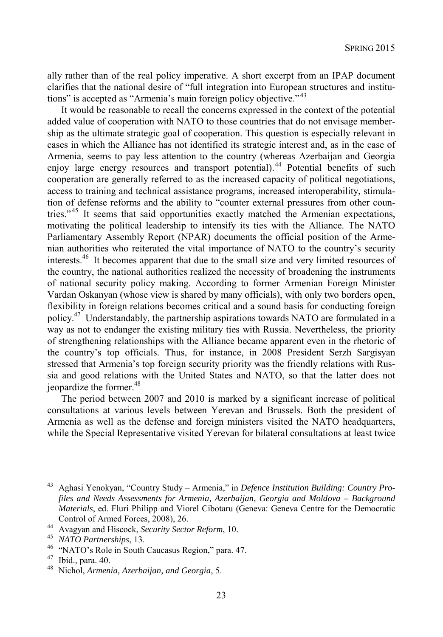ally rather than of the real policy imperative. A short excerpt from an IPAP document clarifies that the national desire of "full integration into European structures and institutions" is accepted as "Armenia's main foreign policy objective."<sup>43</sup>

It would be reasonable to recall the concerns expressed in the context of the potential added value of cooperation with NATO to those countries that do not envisage membership as the ultimate strategic goal of cooperation. This question is especially relevant in cases in which the Alliance has not identified its strategic interest and, as in the case of Armenia, seems to pay less attention to the country (whereas Azerbaijan and Georgia enjoy large energy resources and transport potential).<sup>44</sup> Potential benefits of such cooperation are generally referred to as the increased capacity of political negotiations, access to training and technical assistance programs, increased interoperability, stimulation of defense reforms and the ability to "counter external pressures from other countries."<sup>45</sup> It seems that said opportunities exactly matched the Armenian expectations, motivating the political leadership to intensify its ties with the Alliance. The NATO Parliamentary Assembly Report (NPAR) documents the official position of the Armenian authorities who reiterated the vital importance of NATO to the country's security interests.46 It becomes apparent that due to the small size and very limited resources of the country, the national authorities realized the necessity of broadening the instruments of national security policy making. According to former Armenian Foreign Minister Vardan Oskanyan (whose view is shared by many officials), with only two borders open, flexibility in foreign relations becomes critical and a sound basis for conducting foreign policy.47 Understandably, the partnership aspirations towards NATO are formulated in a way as not to endanger the existing military ties with Russia. Nevertheless, the priority of strengthening relationships with the Alliance became apparent even in the rhetoric of the country's top officials. Thus, for instance, in 2008 President Serzh Sargisyan stressed that Armenia's top foreign security priority was the friendly relations with Russia and good relations with the United States and NATO, so that the latter does not jeopardize the former.<sup>48</sup>

The period between 2007 and 2010 is marked by a significant increase of political consultations at various levels between Yerevan and Brussels. Both the president of Armenia as well as the defense and foreign ministers visited the NATO headquarters, while the Special Representative visited Yerevan for bilateral consultations at least twice

<sup>43</sup> Aghasi Yenokyan, "Country Study – Armenia," in *Defence Institution Building: Country Profiles and Needs Assessments for Armenia, Azerbaijan, Georgia and Moldova – Background Materials*, ed. Fluri Philipp and Viorel Cibotaru (Geneva: Geneva Centre for the Democratic

Control of Armed Forces, 2008), 26.<br>
<sup>44</sup> Avagyan and Hiscock, *Security Sector Reform*, 10.<br>
<sup>45</sup> *NATO Partnerships*, 13.<br>
<sup>46</sup> "NATO's Role in South Caucasus Region," para. 47.<br>
<sup>47</sup> Ibid. para. 40.

<sup>47</sup> Ibid., para. 40.

<sup>48</sup> Nichol, *Armenia, Azerbaijan, and Georgia*, 5.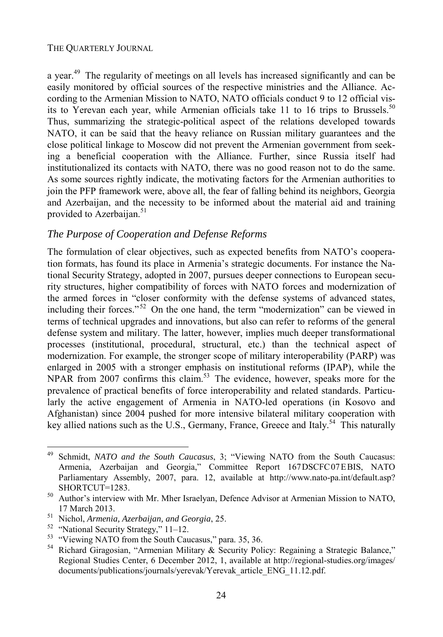a year.<sup>49</sup> The regularity of meetings on all levels has increased significantly and can be easily monitored by official sources of the respective ministries and the Alliance. According to the Armenian Mission to NATO, NATO officials conduct 9 to 12 official visits to Yerevan each year, while Armenian officials take 11 to 16 trips to Brussels.<sup>50</sup> Thus, summarizing the strategic-political aspect of the relations developed towards NATO, it can be said that the heavy reliance on Russian military guarantees and the close political linkage to Moscow did not prevent the Armenian government from seeking a beneficial cooperation with the Alliance. Further, since Russia itself had institutionalized its contacts with NATO, there was no good reason not to do the same. As some sources rightly indicate, the motivating factors for the Armenian authorities to join the PFP framework were, above all, the fear of falling behind its neighbors, Georgia and Azerbaijan, and the necessity to be informed about the material aid and training provided to Azerbaijan.<sup>51</sup>

#### *The Purpose of Cooperation and Defense Reforms*

The formulation of clear objectives, such as expected benefits from NATO's cooperation formats, has found its place in Armenia's strategic documents. For instance the National Security Strategy, adopted in 2007, pursues deeper connections to European security structures, higher compatibility of forces with NATO forces and modernization of the armed forces in "closer conformity with the defense systems of advanced states, including their forces."<sup>52</sup> On the one hand, the term "modernization" can be viewed in terms of technical upgrades and innovations, but also can refer to reforms of the general defense system and military. The latter, however, implies much deeper transformational processes (institutional, procedural, structural, etc.) than the technical aspect of modernization. For example, the stronger scope of military interoperability (PARP) was enlarged in 2005 with a stronger emphasis on institutional reforms (IPAP), while the NPAR from 2007 confirms this claim.<sup>53</sup> The evidence, however, speaks more for the prevalence of practical benefits of force interoperability and related standards. Particularly the active engagement of Armenia in NATO-led operations (in Kosovo and Afghanistan) since 2004 pushed for more intensive bilateral military cooperation with key allied nations such as the U.S., Germany, France, Greece and Italy.<sup>54</sup> This naturally

<sup>49</sup> Schmidt, *NATO and the South Caucasus*, 3; "Viewing NATO from the South Caucasus: Armenia, Azerbaijan and Georgia," Committee Report 167DSCFC07EBIS, NATO Parliamentary Assembly, 2007, para. 12, available at http://www.nato-pa.int/default.asp?

SHORTCUT=1283.<br><sup>50</sup> Author's interview with Mr. Mher Israelyan, Defence Advisor at Armenian Mission to NATO,

<sup>17</sup> March 2013. 51 Nichol, *Armenia, Azerbaijan, and Georgia*, 25. 52 "National Security Strategy," 11–12.

<sup>53 &</sup>quot;Viewing NATO from the South Caucasus," para. 35, 36.

<sup>&</sup>lt;sup>54</sup> Richard Giragosian, "Armenian Military & Security Policy: Regaining a Strategic Balance," Regional Studies Center, 6 December 2012, 1, available at http://regional-studies.org/images/ documents/publications/journals/yerevak/Yerevak\_article\_ENG\_11.12.pdf.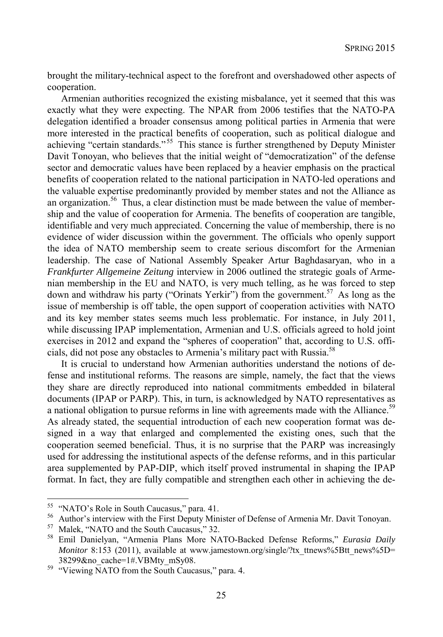brought the military-technical aspect to the forefront and overshadowed other aspects of cooperation.

Armenian authorities recognized the existing misbalance, yet it seemed that this was exactly what they were expecting. The NPAR from 2006 testifies that the NATO-PA delegation identified a broader consensus among political parties in Armenia that were more interested in the practical benefits of cooperation, such as political dialogue and achieving "certain standards."<sup>55</sup> This stance is further strengthened by Deputy Minister Davit Tonoyan, who believes that the initial weight of "democratization" of the defense sector and democratic values have been replaced by a heavier emphasis on the practical benefits of cooperation related to the national participation in NATO-led operations and the valuable expertise predominantly provided by member states and not the Alliance as an organization.<sup>56</sup> Thus, a clear distinction must be made between the value of membership and the value of cooperation for Armenia. The benefits of cooperation are tangible, identifiable and very much appreciated. Concerning the value of membership, there is no evidence of wider discussion within the government. The officials who openly support the idea of NATO membership seem to create serious discomfort for the Armenian leadership. The case of National Assembly Speaker Artur Baghdasaryan, who in a *Frankfurter Allgemeine Zeitung* interview in 2006 outlined the strategic goals of Armenian membership in the EU and NATO, is very much telling, as he was forced to step down and withdraw his party ("Orinats Yerkir") from the government.57 As long as the issue of membership is off table, the open support of cooperation activities with NATO and its key member states seems much less problematic. For instance, in July 2011, while discussing IPAP implementation, Armenian and U.S. officials agreed to hold joint exercises in 2012 and expand the "spheres of cooperation" that, according to U.S. officials, did not pose any obstacles to Armenia's military pact with Russia.58

It is crucial to understand how Armenian authorities understand the notions of defense and institutional reforms. The reasons are simple, namely, the fact that the views they share are directly reproduced into national commitments embedded in bilateral documents (IPAP or PARP). This, in turn, is acknowledged by NATO representatives as a national obligation to pursue reforms in line with agreements made with the Alliance.<sup>59</sup> As already stated, the sequential introduction of each new cooperation format was designed in a way that enlarged and complemented the existing ones, such that the cooperation seemed beneficial. Thus, it is no surprise that the PARP was increasingly used for addressing the institutional aspects of the defense reforms, and in this particular area supplemented by PAP-DIP, which itself proved instrumental in shaping the IPAP format. In fact, they are fully compatible and strengthen each other in achieving the de-

<sup>&</sup>lt;sup>55</sup> "NATO's Role in South Caucasus," para. 41.

<sup>&</sup>lt;sup>56</sup> Author's interview with the First Deputy Minister of Defense of Armenia Mr. Davit Tonoyan.<br><sup>57</sup> Malak <sup>65</sup>NATO and the South Caugasus  $^{22}$  32

 $^{57}$  Malek, "NATO and the South Caucasus," 32.<br> $^{58}$  Emil Danielvan. "Armenia Plans More NA

<sup>58</sup> Emil Danielyan, "Armenia Plans More NATO-Backed Defense Reforms," *Eurasia Daily Monitor* 8:153 (2011), available at www.jamestown.org/single/?tx\_ttnews%5Btt\_news%5D= 38299&no\_cache=1#.VBMty\_mSy08. 59 "Viewing NATO from the South Caucasus," para. 4.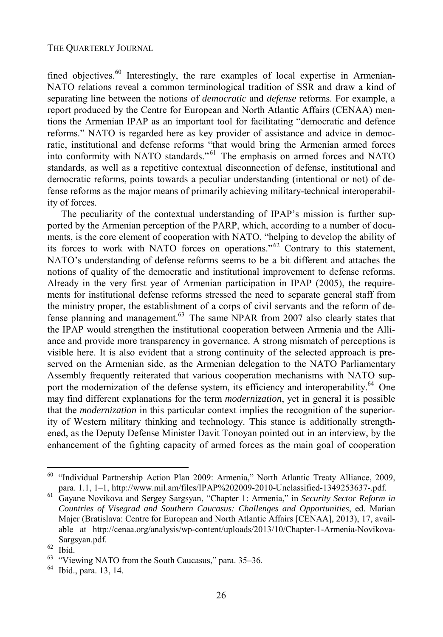fined objectives. $60$  Interestingly, the rare examples of local expertise in Armenian-NATO relations reveal a common terminological tradition of SSR and draw a kind of separating line between the notions of *democratic* and *defense* reforms. For example, a report produced by the Centre for European and North Atlantic Affairs (CENAA) mentions the Armenian IPAP as an important tool for facilitating "democratic and defence reforms." NATO is regarded here as key provider of assistance and advice in democratic, institutional and defense reforms "that would bring the Armenian armed forces into conformity with NATO standards." 61 The emphasis on armed forces and NATO standards, as well as a repetitive contextual disconnection of defense, institutional and democratic reforms, points towards a peculiar understanding (intentional or not) of defense reforms as the major means of primarily achieving military-technical interoperability of forces.

The peculiarity of the contextual understanding of IPAP's mission is further supported by the Armenian perception of the PARP, which, according to a number of documents, is the core element of cooperation with NATO, "helping to develop the ability of its forces to work with NATO forces on operations." 62 Contrary to this statement, NATO's understanding of defense reforms seems to be a bit different and attaches the notions of quality of the democratic and institutional improvement to defense reforms. Already in the very first year of Armenian participation in IPAP (2005), the requirements for institutional defense reforms stressed the need to separate general staff from the ministry proper, the establishment of a corps of civil servants and the reform of defense planning and management. $63$  The same NPAR from 2007 also clearly states that the IPAP would strengthen the institutional cooperation between Armenia and the Alliance and provide more transparency in governance. A strong mismatch of perceptions is visible here. It is also evident that a strong continuity of the selected approach is preserved on the Armenian side, as the Armenian delegation to the NATO Parliamentary Assembly frequently reiterated that various cooperation mechanisms with NATO support the modernization of the defense system, its efficiency and interoperability.<sup>64</sup> One may find different explanations for the term *modernization*, yet in general it is possible that the *modernization* in this particular context implies the recognition of the superiority of Western military thinking and technology. This stance is additionally strengthened, as the Deputy Defense Minister Davit Tonoyan pointed out in an interview, by the enhancement of the fighting capacity of armed forces as the main goal of cooperation

<sup>&</sup>lt;sup>60</sup> "Individual Partnership Action Plan 2009: Armenia," North Atlantic Treaty Alliance, 2009,

para. 1.1, 1–1, http://www.mil.am/files/IPAP%202009-2010-Unclassified-1349253637-.pdf. 61 Gayane Novikova and Sergey Sargsyan, "Chapter 1: Armenia," in *Security Sector Reform in Countries of Visegrad and Southern Caucasus: Challenges and Opportunities*, ed. Marian Majer (Bratislava: Centre for European and North Atlantic Affairs [CENAA], 2013), 17, available at http://cenaa.org/analysis/wp-content/uploads/2013/10/Chapter-1-Armenia-Novikova-Sargsyan.pdf. 62 Ibid.

<sup>&</sup>quot;Viewing NATO from the South Caucasus," para. 35–36.

<sup>64</sup> Ibid., para. 13, 14.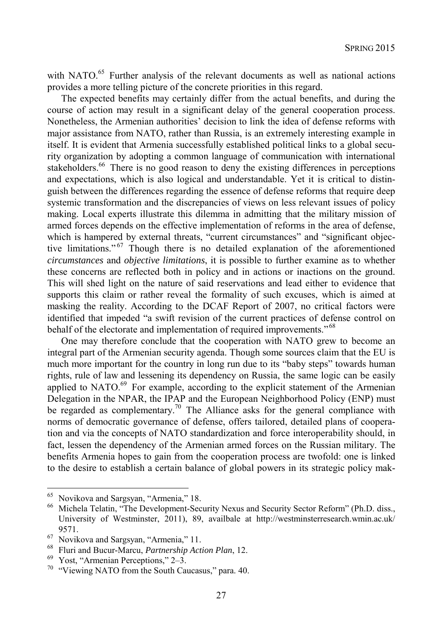with NATO.<sup>65</sup> Further analysis of the relevant documents as well as national actions provides a more telling picture of the concrete priorities in this regard.

The expected benefits may certainly differ from the actual benefits, and during the course of action may result in a significant delay of the general cooperation process. Nonetheless, the Armenian authorities' decision to link the idea of defense reforms with major assistance from NATO, rather than Russia, is an extremely interesting example in itself. It is evident that Armenia successfully established political links to a global security organization by adopting a common language of communication with international stakeholders.<sup>66</sup> There is no good reason to deny the existing differences in perceptions and expectations, which is also logical and understandable. Yet it is critical to distinguish between the differences regarding the essence of defense reforms that require deep systemic transformation and the discrepancies of views on less relevant issues of policy making. Local experts illustrate this dilemma in admitting that the military mission of armed forces depends on the effective implementation of reforms in the area of defense, which is hampered by external threats, "current circumstances" and "significant objective limitations."<sup>67</sup> Though there is no detailed explanation of the aforementioned *circumstances* and *objective limitations*, it is possible to further examine as to whether these concerns are reflected both in policy and in actions or inactions on the ground. This will shed light on the nature of said reservations and lead either to evidence that supports this claim or rather reveal the formality of such excuses, which is aimed at masking the reality. According to the DCAF Report of 2007, no critical factors were identified that impeded "a swift revision of the current practices of defense control on behalf of the electorate and implementation of required improvements."<sup>68</sup>

One may therefore conclude that the cooperation with NATO grew to become an integral part of the Armenian security agenda. Though some sources claim that the EU is much more important for the country in long run due to its "baby steps" towards human rights, rule of law and lessening its dependency on Russia, the same logic can be easily applied to NATO.<sup>69</sup> For example, according to the explicit statement of the Armenian Delegation in the NPAR, the IPAP and the European Neighborhood Policy (ENP) must be regarded as complementary.<sup>70</sup> The Alliance asks for the general compliance with norms of democratic governance of defense, offers tailored, detailed plans of cooperation and via the concepts of NATO standardization and force interoperability should, in fact, lessen the dependency of the Armenian armed forces on the Russian military. The benefits Armenia hopes to gain from the cooperation process are twofold: one is linked to the desire to establish a certain balance of global powers in its strategic policy mak-

<sup>65</sup>  $^{65}$  Novikova and Sargsyan, "Armenia," 18.<br> $^{66}$  Michela Telatin. "The Development-Sec

<sup>66</sup> Michela Telatin, "The Development-Security Nexus and Security Sector Reform" (Ph.D. diss., University of Westminster, 2011), 89, availbale at http://westminsterresearch.wmin.ac.uk/ 9571.<br><sup>67</sup> Novikova and Sargsyan, "Armenia," 11.

<sup>68</sup> Fluri and Bucur-Marcu, *Partnership Action Plan*, 12. 69 Yost, "Armenian Perceptions," 2–3.

 $70$  "Viewing NATO from the South Caucasus," para. 40.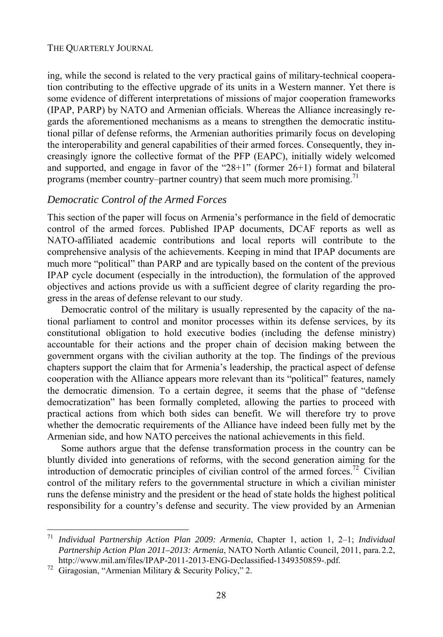ing, while the second is related to the very practical gains of military-technical cooperation contributing to the effective upgrade of its units in a Western manner. Yet there is some evidence of different interpretations of missions of major cooperation frameworks (IPAP, PARP) by NATO and Armenian officials. Whereas the Alliance increasingly regards the aforementioned mechanisms as a means to strengthen the democratic institutional pillar of defense reforms, the Armenian authorities primarily focus on developing the interoperability and general capabilities of their armed forces. Consequently, they increasingly ignore the collective format of the PFP (EAPC), initially widely welcomed and supported, and engage in favor of the "28+1" (former 26+1) format and bilateral programs (member country–partner country) that seem much more promising.<sup>71</sup>

#### *Democratic Control of the Armed Forces*

This section of the paper will focus on Armenia's performance in the field of democratic control of the armed forces. Published IPAP documents, DCAF reports as well as NATO-affiliated academic contributions and local reports will contribute to the comprehensive analysis of the achievements. Keeping in mind that IPAP documents are much more "political" than PARP and are typically based on the content of the previous IPAP cycle document (especially in the introduction), the formulation of the approved objectives and actions provide us with a sufficient degree of clarity regarding the progress in the areas of defense relevant to our study.

Democratic control of the military is usually represented by the capacity of the national parliament to control and monitor processes within its defense services, by its constitutional obligation to hold executive bodies (including the defense ministry) accountable for their actions and the proper chain of decision making between the government organs with the civilian authority at the top. The findings of the previous chapters support the claim that for Armenia's leadership, the practical aspect of defense cooperation with the Alliance appears more relevant than its "political" features, namely the democratic dimension. To a certain degree, it seems that the phase of "defense democratization" has been formally completed, allowing the parties to proceed with practical actions from which both sides can benefit. We will therefore try to prove whether the democratic requirements of the Alliance have indeed been fully met by the Armenian side, and how NATO perceives the national achievements in this field.

Some authors argue that the defense transformation process in the country can be bluntly divided into generations of reforms, with the second generation aiming for the introduction of democratic principles of civilian control of the armed forces.<sup>72</sup> Civilian control of the military refers to the governmental structure in which a civilian minister runs the defense ministry and the president or the head of state holds the highest political responsibility for a country's defense and security. The view provided by an Armenian

<sup>71</sup> <sup>71</sup> *Individual Partnership Action Plan 2009: Armenia*, Chapter 1, action 1, 2–1; *Individual Partnership Action Plan 2011–2013: Armenia*, NATO North Atlantic Council, 2011, para.2.2, http://www.mil.am/files/IPAP-2011-2013-ENG-Declassified-1349350859-.pdf. 72 Giragosian, "Armenian Military & Security Policy," 2.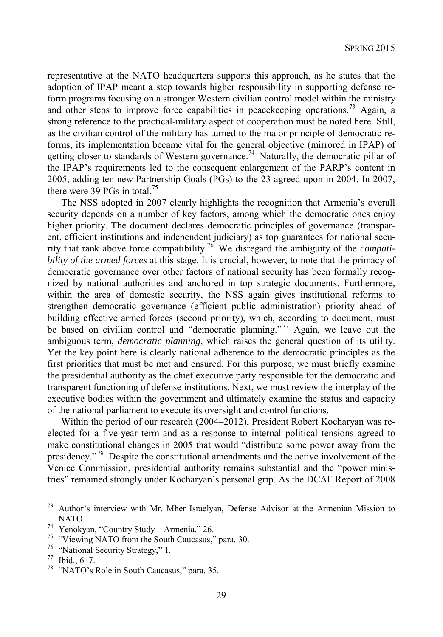representative at the NATO headquarters supports this approach, as he states that the adoption of IPAP meant a step towards higher responsibility in supporting defense reform programs focusing on a stronger Western civilian control model within the ministry and other steps to improve force capabilities in peacekeeping operations.<sup>73</sup> Again, a strong reference to the practical-military aspect of cooperation must be noted here. Still, as the civilian control of the military has turned to the major principle of democratic reforms, its implementation became vital for the general objective (mirrored in IPAP) of getting closer to standards of Western governance.<sup>74</sup> Naturally, the democratic pillar of the IPAP's requirements led to the consequent enlargement of the PARP's content in 2005, adding ten new Partnership Goals (PGs) to the 23 agreed upon in 2004. In 2007, there were 39 PGs in total.<sup>75</sup>

The NSS adopted in 2007 clearly highlights the recognition that Armenia's overall security depends on a number of key factors, among which the democratic ones enjoy higher priority. The document declares democratic principles of governance (transparent, efficient institutions and independent judiciary) as top guarantees for national security that rank above force compatibility.76 We disregard the ambiguity of the *compatibility of the armed forces* at this stage. It is crucial, however, to note that the primacy of democratic governance over other factors of national security has been formally recognized by national authorities and anchored in top strategic documents. Furthermore, within the area of domestic security, the NSS again gives institutional reforms to strengthen democratic governance (efficient public administration) priority ahead of building effective armed forces (second priority), which, according to document, must be based on civilian control and "democratic planning."<sup>77</sup> Again, we leave out the ambiguous term, *democratic planning*, which raises the general question of its utility. Yet the key point here is clearly national adherence to the democratic principles as the first priorities that must be met and ensured. For this purpose, we must briefly examine the presidential authority as the chief executive party responsible for the democratic and transparent functioning of defense institutions. Next, we must review the interplay of the executive bodies within the government and ultimately examine the status and capacity of the national parliament to execute its oversight and control functions.

Within the period of our research (2004–2012), President Robert Kocharyan was reelected for a five-year term and as a response to internal political tensions agreed to make constitutional changes in 2005 that would "distribute some power away from the presidency." 78 Despite the constitutional amendments and the active involvement of the Venice Commission, presidential authority remains substantial and the "power ministries" remained strongly under Kocharyan's personal grip. As the DCAF Report of 2008

 $73$  Author's interview with Mr. Mher Israelyan, Defense Advisor at the Armenian Mission to NATO. 74 Yenokyan, "Country Study – Armenia," 26.

<sup>75 &</sup>quot;Viewing NATO from the South Caucasus," para. 30.

<sup>76 &</sup>quot;National Security Strategy," 1.

<sup>77</sup> Ibid., 6–7.

<sup>78 &</sup>quot;NATO's Role in South Caucasus," para. 35.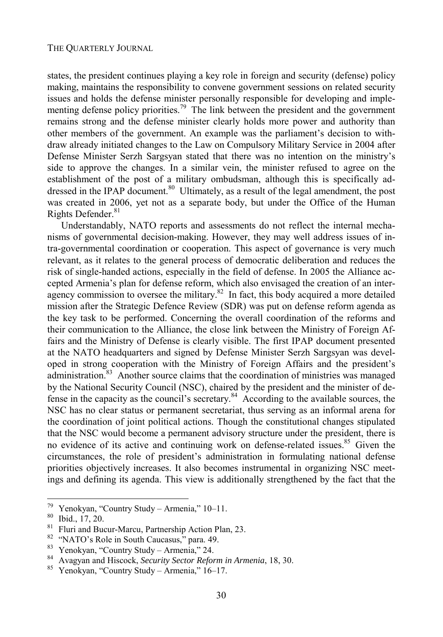states, the president continues playing a key role in foreign and security (defense) policy making, maintains the responsibility to convene government sessions on related security issues and holds the defense minister personally responsible for developing and implementing defense policy priorities.<sup>79</sup> The link between the president and the government remains strong and the defense minister clearly holds more power and authority than other members of the government. An example was the parliament's decision to withdraw already initiated changes to the Law on Compulsory Military Service in 2004 after Defense Minister Serzh Sargsyan stated that there was no intention on the ministry's side to approve the changes. In a similar vein, the minister refused to agree on the establishment of the post of a military ombudsman, although this is specifically addressed in the IPAP document.<sup>80</sup> Ultimately, as a result of the legal amendment, the post was created in 2006, yet not as a separate body, but under the Office of the Human Rights Defender.<sup>81</sup>

Understandably, NATO reports and assessments do not reflect the internal mechanisms of governmental decision-making. However, they may well address issues of intra-governmental coordination or cooperation. This aspect of governance is very much relevant, as it relates to the general process of democratic deliberation and reduces the risk of single-handed actions, especially in the field of defense. In 2005 the Alliance accepted Armenia's plan for defense reform, which also envisaged the creation of an interagency commission to oversee the military. $82$  In fact, this body acquired a more detailed mission after the Strategic Defence Review (SDR) was put on defense reform agenda as the key task to be performed. Concerning the overall coordination of the reforms and their communication to the Alliance, the close link between the Ministry of Foreign Affairs and the Ministry of Defense is clearly visible. The first IPAP document presented at the NATO headquarters and signed by Defense Minister Serzh Sargsyan was developed in strong cooperation with the Ministry of Foreign Affairs and the president's administration.<sup>83</sup> Another source claims that the coordination of ministries was managed by the National Security Council (NSC), chaired by the president and the minister of defense in the capacity as the council's secretary.84 According to the available sources, the NSC has no clear status or permanent secretariat, thus serving as an informal arena for the coordination of joint political actions. Though the constitutional changes stipulated that the NSC would become a permanent advisory structure under the president, there is no evidence of its active and continuing work on defense-related issues.<sup>85</sup> Given the circumstances, the role of president's administration in formulating national defense priorities objectively increases. It also becomes instrumental in organizing NSC meetings and defining its agenda. This view is additionally strengthened by the fact that the

<sup>79</sup> <sup>79</sup> Yenokyan, "Country Study – Armenia,"  $10-11$ .<br><sup>80</sup> Ibid. 17.20

Ibid., 17, 20.

Fluri and Bucur-Marcu, Partnership Action Plan, 23.

<sup>82 &</sup>quot;NATO's Role in South Caucasus," para. 49.

<sup>83</sup> Yenokyan, "Country Study – Armenia," 24.

<sup>84</sup> Avagyan and Hiscock, *Security Sector Reform in Armenia*, 18, 30. 85 Yenokyan, "Country Study – Armenia," 16–17.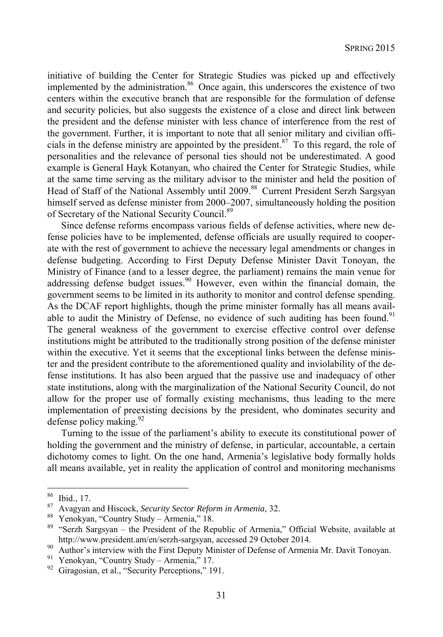initiative of building the Center for Strategic Studies was picked up and effectively implemented by the administration. $86$  Once again, this underscores the existence of two centers within the executive branch that are responsible for the formulation of defense and security policies, but also suggests the existence of a close and direct link between the president and the defense minister with less chance of interference from the rest of the government. Further, it is important to note that all senior military and civilian officials in the defense ministry are appointed by the president.<sup>87</sup> To this regard, the role of personalities and the relevance of personal ties should not be underestimated. A good example is General Hayk Kotanyan, who chaired the Center for Strategic Studies, while at the same time serving as the military advisor to the minister and held the position of Head of Staff of the National Assembly until 2009.<sup>88</sup> Current President Serzh Sargsyan himself served as defense minister from 2000–2007, simultaneously holding the position of Secretary of the National Security Council.<sup>89</sup>

Since defense reforms encompass various fields of defense activities, where new defense policies have to be implemented, defense officials are usually required to cooperate with the rest of government to achieve the necessary legal amendments or changes in defense budgeting. According to First Deputy Defense Minister Davit Tonoyan, the Ministry of Finance (and to a lesser degree, the parliament) remains the main venue for addressing defense budget issues.<sup>90</sup> However, even within the financial domain, the government seems to be limited in its authority to monitor and control defense spending. As the DCAF report highlights, though the prime minister formally has all means available to audit the Ministry of Defense, no evidence of such auditing has been found.<sup>91</sup> The general weakness of the government to exercise effective control over defense institutions might be attributed to the traditionally strong position of the defense minister within the executive. Yet it seems that the exceptional links between the defense minister and the president contribute to the aforementioned quality and inviolability of the defense institutions. It has also been argued that the passive use and inadequacy of other state institutions, along with the marginalization of the National Security Council, do not allow for the proper use of formally existing mechanisms, thus leading to the mere implementation of preexisting decisions by the president, who dominates security and defense policy making. $92$ 

Turning to the issue of the parliament's ability to execute its constitutional power of holding the government and the ministry of defense, in particular, accountable, a certain dichotomy comes to light. On the one hand, Armenia's legislative body formally holds all means available, yet in reality the application of control and monitoring mechanisms

<sup>86</sup>  $\frac{86}{87}$  Ibid., 17.

<sup>87</sup> Avagyan and Hiscock, *Security Sector Reform in Armenia*, 32.<br>88 Yenokyan, "Country Study – Armenia," 18.<br>89 "Serzh Sargsyan, the President of the Penublic of Armenia

<sup>89 &</sup>quot;Serzh Sargsyan – the President of the Republic of Armenia," Official Website, available at http://www.president.am/en/serzh-sargsyan, accessed 29 October 2014.<br>Author's interview with the First Deputy Minister of Defense of Armenia Mr. Davit Tonoyan.

<sup>91</sup> Yenokyan, "Country Study – Armenia," 17.

<sup>&</sup>lt;sup>92</sup> Giragosian, et al., "Security Perceptions," 191.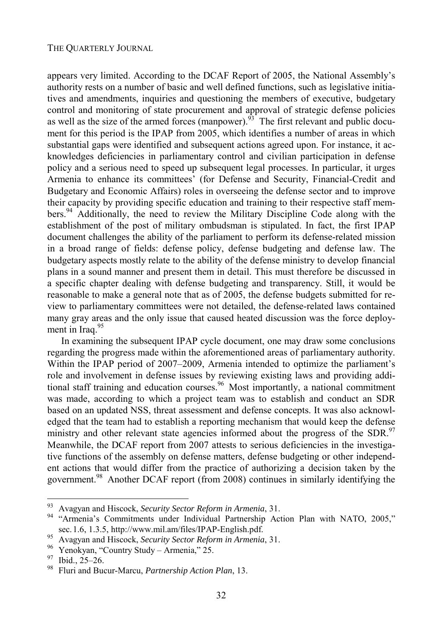appears very limited. According to the DCAF Report of 2005, the National Assembly's authority rests on a number of basic and well defined functions, such as legislative initiatives and amendments, inquiries and questioning the members of executive, budgetary control and monitoring of state procurement and approval of strategic defense policies as well as the size of the armed forces (manpower). $93$  The first relevant and public document for this period is the IPAP from 2005, which identifies a number of areas in which substantial gaps were identified and subsequent actions agreed upon. For instance, it acknowledges deficiencies in parliamentary control and civilian participation in defense policy and a serious need to speed up subsequent legal processes. In particular, it urges Armenia to enhance its committees' (for Defense and Security, Financial-Credit and Budgetary and Economic Affairs) roles in overseeing the defense sector and to improve their capacity by providing specific education and training to their respective staff members.94 Additionally, the need to review the Military Discipline Code along with the establishment of the post of military ombudsman is stipulated. In fact, the first IPAP document challenges the ability of the parliament to perform its defense-related mission in a broad range of fields: defense policy, defense budgeting and defense law. The budgetary aspects mostly relate to the ability of the defense ministry to develop financial plans in a sound manner and present them in detail. This must therefore be discussed in a specific chapter dealing with defense budgeting and transparency. Still, it would be reasonable to make a general note that as of 2005, the defense budgets submitted for review to parliamentary committees were not detailed, the defense-related laws contained many gray areas and the only issue that caused heated discussion was the force deployment in Iraq.<sup>95</sup>

In examining the subsequent IPAP cycle document, one may draw some conclusions regarding the progress made within the aforementioned areas of parliamentary authority. Within the IPAP period of 2007–2009, Armenia intended to optimize the parliament's role and involvement in defense issues by reviewing existing laws and providing additional staff training and education courses.<sup>96</sup> Most importantly, a national commitment was made, according to which a project team was to establish and conduct an SDR based on an updated NSS, threat assessment and defense concepts. It was also acknowledged that the team had to establish a reporting mechanism that would keep the defense ministry and other relevant state agencies informed about the progress of the SDR.<sup>97</sup> Meanwhile, the DCAF report from 2007 attests to serious deficiencies in the investigative functions of the assembly on defense matters, defense budgeting or other independent actions that would differ from the practice of authorizing a decision taken by the government.<sup>98</sup> Another DCAF report (from 2008) continues in similarly identifying the

<sup>93</sup> 

<sup>93</sup> Avagyan and Hiscock, *Security Sector Reform in Armenia*, 31. 94 "Armenia's Commitments under Individual Partnership Action Plan with NATO, 2005,"

sec.1.6, 1.3.5, http://www.mil.am/files/IPAP-English.pdf. 95 Avagyan and Hiscock, *Security Sector Reform in Armenia*, 31. 96 Yenokyan, "Country Study – Armenia," 25.

 $^{97}$  Ibid., 25–26.<br><sup>98</sup> Eluri and Bu

<sup>98</sup> Fluri and Bucur-Marcu, *Partnership Action Plan*, 13.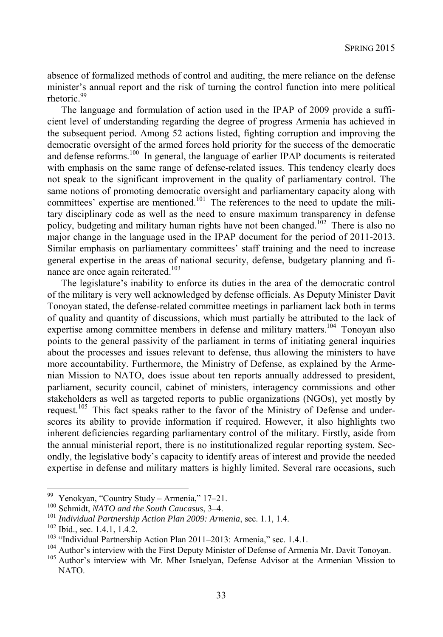absence of formalized methods of control and auditing, the mere reliance on the defense minister's annual report and the risk of turning the control function into mere political rhetoric.<sup>99</sup>

The language and formulation of action used in the IPAP of 2009 provide a sufficient level of understanding regarding the degree of progress Armenia has achieved in the subsequent period. Among 52 actions listed, fighting corruption and improving the democratic oversight of the armed forces hold priority for the success of the democratic and defense reforms.<sup>100</sup> In general, the language of earlier IPAP documents is reiterated with emphasis on the same range of defense-related issues. This tendency clearly does not speak to the significant improvement in the quality of parliamentary control. The same notions of promoting democratic oversight and parliamentary capacity along with committees' expertise are mentioned.<sup>101</sup> The references to the need to update the military disciplinary code as well as the need to ensure maximum transparency in defense policy, budgeting and military human rights have not been changed.<sup>102</sup> There is also no major change in the language used in the IPAP document for the period of 2011-2013. Similar emphasis on parliamentary committees' staff training and the need to increase general expertise in the areas of national security, defense, budgetary planning and finance are once again reiterated.<sup>103</sup>

The legislature's inability to enforce its duties in the area of the democratic control of the military is very well acknowledged by defense officials. As Deputy Minister Davit Tonoyan stated, the defense-related committee meetings in parliament lack both in terms of quality and quantity of discussions, which must partially be attributed to the lack of expertise among committee members in defense and military matters.<sup>104</sup> Tonovan also points to the general passivity of the parliament in terms of initiating general inquiries about the processes and issues relevant to defense, thus allowing the ministers to have more accountability. Furthermore, the Ministry of Defense, as explained by the Armenian Mission to NATO, does issue about ten reports annually addressed to president, parliament, security council, cabinet of ministers, interagency commissions and other stakeholders as well as targeted reports to public organizations (NGOs), yet mostly by request.<sup>105</sup> This fact speaks rather to the favor of the Ministry of Defense and underscores its ability to provide information if required. However, it also highlights two inherent deficiencies regarding parliamentary control of the military. Firstly, aside from the annual ministerial report, there is no institutionalized regular reporting system. Secondly, the legislative body's capacity to identify areas of interest and provide the needed expertise in defense and military matters is highly limited. Several rare occasions, such

<sup>99</sup> Yenokyan, "Country Study – Armenia," 17–21.

<sup>&</sup>lt;sup>100</sup> Schmidt, *NATO and the South Caucasus*, 3–4.<br><sup>101</sup> Individual Partnership Action Plan 2009: Armenia, sec. 1.1, 1.4.<br><sup>102</sup> Ibid., sec. 1.4.1, 1.4.2.<br><sup>103</sup> "Individual Partnership Action Plan 2011–2013: Armenia," sec. NATO.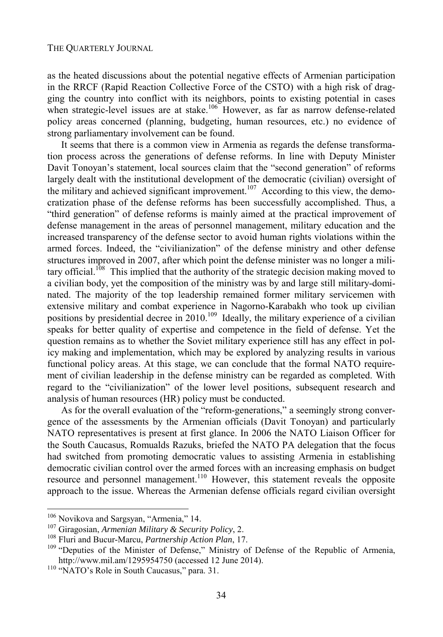as the heated discussions about the potential negative effects of Armenian participation in the RRCF (Rapid Reaction Collective Force of the CSTO) with a high risk of dragging the country into conflict with its neighbors, points to existing potential in cases when strategic-level issues are at stake.<sup>106</sup> However, as far as narrow defense-related policy areas concerned (planning, budgeting, human resources, etc.) no evidence of strong parliamentary involvement can be found.

It seems that there is a common view in Armenia as regards the defense transformation process across the generations of defense reforms. In line with Deputy Minister Davit Tonoyan's statement, local sources claim that the "second generation" of reforms largely dealt with the institutional development of the democratic (civilian) oversight of the military and achieved significant improvement.<sup>107</sup> According to this view, the democratization phase of the defense reforms has been successfully accomplished. Thus, a "third generation" of defense reforms is mainly aimed at the practical improvement of defense management in the areas of personnel management, military education and the increased transparency of the defense sector to avoid human rights violations within the armed forces. Indeed, the "civilianization" of the defense ministry and other defense structures improved in 2007, after which point the defense minister was no longer a military official.<sup>108</sup> This implied that the authority of the strategic decision making moved to a civilian body, yet the composition of the ministry was by and large still military-dominated. The majority of the top leadership remained former military servicemen with extensive military and combat experience in Nagorno-Karabakh who took up civilian positions by presidential decree in  $2010$ .<sup>109</sup> Ideally, the military experience of a civilian speaks for better quality of expertise and competence in the field of defense. Yet the question remains as to whether the Soviet military experience still has any effect in policy making and implementation, which may be explored by analyzing results in various functional policy areas. At this stage, we can conclude that the formal NATO requirement of civilian leadership in the defense ministry can be regarded as completed. With regard to the "civilianization" of the lower level positions, subsequent research and analysis of human resources (HR) policy must be conducted.

As for the overall evaluation of the "reform-generations," a seemingly strong convergence of the assessments by the Armenian officials (Davit Tonoyan) and particularly NATO representatives is present at first glance. In 2006 the NATO Liaison Officer for the South Caucasus, Romualds Razuks, briefed the NATO PA delegation that the focus had switched from promoting democratic values to assisting Armenia in establishing democratic civilian control over the armed forces with an increasing emphasis on budget resource and personnel management.<sup>110</sup> However, this statement reveals the opposite approach to the issue. Whereas the Armenian defense officials regard civilian oversight

<sup>&</sup>lt;sup>106</sup> Novikova and Sargsyan, "Armenia," 14.

<sup>&</sup>lt;sup>107</sup> Giragosian, *Armenian Military & Security Policy*, 2.<br><sup>108</sup> Fluri and Bucur-Marcu, *Partnership Action Plan*, 17.<br><sup>109</sup> "Deputies of the Minister of Defense," Ministry of Defense of the Republic of Armenia, http://www.mil.am/1295954750 (accessed 12 June 2014). 110 "NATO's Role in South Caucasus," para. 31.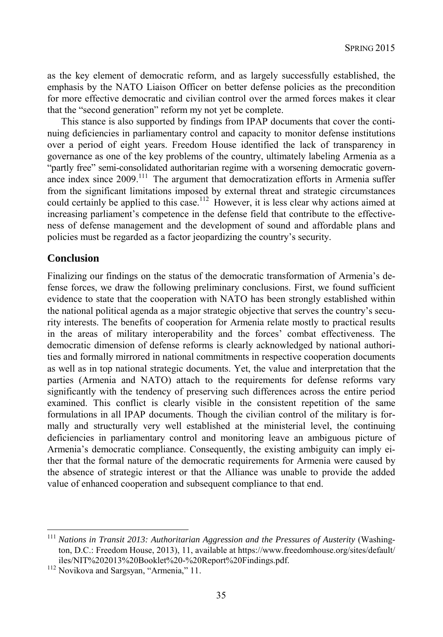as the key element of democratic reform, and as largely successfully established, the emphasis by the NATO Liaison Officer on better defense policies as the precondition for more effective democratic and civilian control over the armed forces makes it clear that the "second generation" reform my not yet be complete.

This stance is also supported by findings from IPAP documents that cover the continuing deficiencies in parliamentary control and capacity to monitor defense institutions over a period of eight years. Freedom House identified the lack of transparency in governance as one of the key problems of the country, ultimately labeling Armenia as a "partly free" semi-consolidated authoritarian regime with a worsening democratic governance index since 2009.<sup>111</sup> The argument that democratization efforts in Armenia suffer from the significant limitations imposed by external threat and strategic circumstances could certainly be applied to this case.<sup>112</sup> However, it is less clear why actions aimed at increasing parliament's competence in the defense field that contribute to the effectiveness of defense management and the development of sound and affordable plans and policies must be regarded as a factor jeopardizing the country's security.

## **Conclusion**

l

Finalizing our findings on the status of the democratic transformation of Armenia's defense forces, we draw the following preliminary conclusions. First, we found sufficient evidence to state that the cooperation with NATO has been strongly established within the national political agenda as a major strategic objective that serves the country's security interests. The benefits of cooperation for Armenia relate mostly to practical results in the areas of military interoperability and the forces' combat effectiveness. The democratic dimension of defense reforms is clearly acknowledged by national authorities and formally mirrored in national commitments in respective cooperation documents as well as in top national strategic documents. Yet, the value and interpretation that the parties (Armenia and NATO) attach to the requirements for defense reforms vary significantly with the tendency of preserving such differences across the entire period examined. This conflict is clearly visible in the consistent repetition of the same formulations in all IPAP documents. Though the civilian control of the military is formally and structurally very well established at the ministerial level, the continuing deficiencies in parliamentary control and monitoring leave an ambiguous picture of Armenia's democratic compliance. Consequently, the existing ambiguity can imply either that the formal nature of the democratic requirements for Armenia were caused by the absence of strategic interest or that the Alliance was unable to provide the added value of enhanced cooperation and subsequent compliance to that end.

<sup>&</sup>lt;sup>111</sup> Nations in Transit 2013: Authoritarian Aggression and the Pressures of Austerity (Washington, D.C.: Freedom House, 2013), 11, available at https://www.freedomhouse.org/sites/default/ iles/NIT%202013%20Booklet%20-%20Report%20Findings.pdf. 112 Novikova and Sargsyan, "Armenia," 11.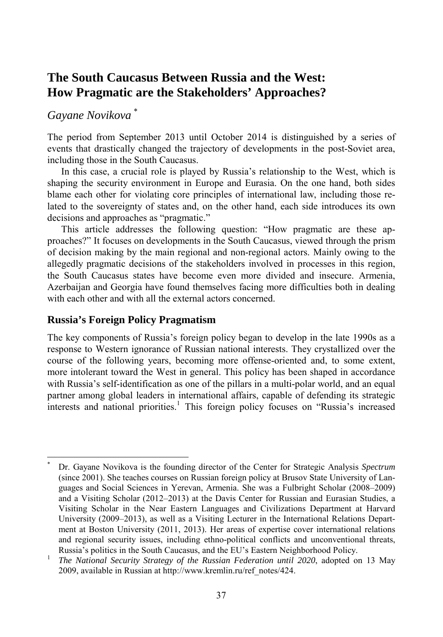# **The South Caucasus Between Russia and the West: How Pragmatic are the Stakeholders' Approaches?**

# *Gayane Novikova* \*

l

The period from September 2013 until October 2014 is distinguished by a series of events that drastically changed the trajectory of developments in the post-Soviet area, including those in the South Caucasus.

In this case, a crucial role is played by Russia's relationship to the West, which is shaping the security environment in Europe and Eurasia. On the one hand, both sides blame each other for violating core principles of international law, including those related to the sovereignty of states and, on the other hand, each side introduces its own decisions and approaches as "pragmatic."

This article addresses the following question: "How pragmatic are these approaches?" It focuses on developments in the South Caucasus, viewed through the prism of decision making by the main regional and non-regional actors. Mainly owing to the allegedly pragmatic decisions of the stakeholders involved in processes in this region, the South Caucasus states have become even more divided and insecure. Armenia, Azerbaijan and Georgia have found themselves facing more difficulties both in dealing with each other and with all the external actors concerned.

# **Russia's Foreign Policy Pragmatism**

The key components of Russia's foreign policy began to develop in the late 1990s as a response to Western ignorance of Russian national interests. They crystallized over the course of the following years, becoming more offense-oriented and, to some extent, more intolerant toward the West in general. This policy has been shaped in accordance with Russia's self-identification as one of the pillars in a multi-polar world, and an equal partner among global leaders in international affairs, capable of defending its strategic interests and national priorities.<sup>1</sup> This foreign policy focuses on "Russia's increased

<sup>\*</sup> Dr. Gayane Novikova is the founding director of the Center for Strategic Analysis *Spectrum* (since 2001). She teaches courses on Russian foreign policy at Brusov State University of Languages and Social Sciences in Yerevan, Armenia. She was a Fulbright Scholar (2008–2009) and a Visiting Scholar (2012–2013) at the Davis Center for Russian and Eurasian Studies, a Visiting Scholar in the Near Eastern Languages and Civilizations Department at Harvard University (2009–2013), as well as a Visiting Lecturer in the International Relations Department at Boston University (2011, 2013). Her areas of expertise cover international relations and regional security issues, including ethno-political conflicts and unconventional threats,

Russia's politics in the South Caucasus, and the EU's Eastern Neighborhood Policy.<br>*The National Security Strategy of the Russian Federation until 2020*, adopted on 13 May 2009, available in Russian at http://www.kremlin.ru/ref\_notes/424.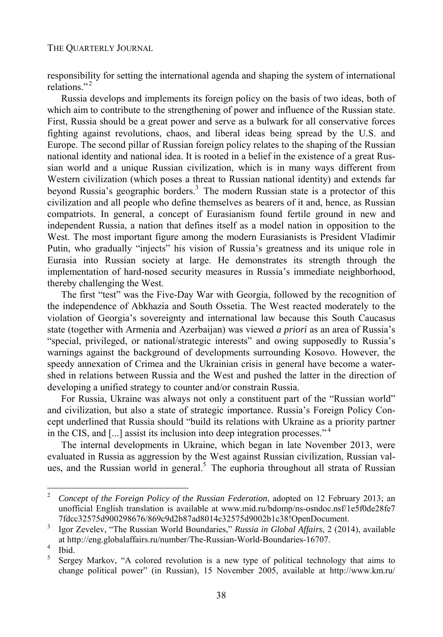responsibility for setting the international agenda and shaping the system of international relations<sup>"2</sup>

Russia develops and implements its foreign policy on the basis of two ideas, both of which aim to contribute to the strengthening of power and influence of the Russian state. First, Russia should be a great power and serve as a bulwark for all conservative forces fighting against revolutions, chaos, and liberal ideas being spread by the U.S. and Europe. The second pillar of Russian foreign policy relates to the shaping of the Russian national identity and national idea. It is rooted in a belief in the existence of a great Russian world and a unique Russian civilization, which is in many ways different from Western civilization (which poses a threat to Russian national identity) and extends far beyond Russia's geographic borders.<sup>3</sup> The modern Russian state is a protector of this civilization and all people who define themselves as bearers of it and, hence, as Russian compatriots. In general, a concept of Eurasianism found fertile ground in new and independent Russia, a nation that defines itself as a model nation in opposition to the West. The most important figure among the modern Eurasianists is President Vladimir Putin, who gradually "injects" his vision of Russia's greatness and its unique role in Eurasia into Russian society at large. He demonstrates its strength through the implementation of hard-nosed security measures in Russia's immediate neighborhood, thereby challenging the West.

The first "test" was the Five-Day War with Georgia, followed by the recognition of the independence of Abkhazia and South Ossetia. The West reacted moderately to the violation of Georgia's sovereignty and international law because this South Caucasus state (together with Armenia and Azerbaijan) was viewed *a priori* as an area of Russia's "special, privileged, or national/strategic interests" and owing supposedly to Russia's warnings against the background of developments surrounding Kosovo. However, the speedy annexation of Crimea and the Ukrainian crisis in general have become a watershed in relations between Russia and the West and pushed the latter in the direction of developing a unified strategy to counter and/or constrain Russia.

For Russia, Ukraine was always not only a constituent part of the "Russian world" and civilization, but also a state of strategic importance. Russia's Foreign Policy Concept underlined that Russia should "build its relations with Ukraine as a priority partner in the CIS, and [...] assist its inclusion into deep integration processes." <sup>4</sup>

The internal developments in Ukraine, which began in late November 2013, were evaluated in Russia as aggression by the West against Russian civilization, Russian values, and the Russian world in general.<sup>5</sup> The euphoria throughout all strata of Russian

 $\overline{c}$ <sup>2</sup> *Concept of the Foreign Policy of the Russian Federation*, adopted on 12 February 2013; an unofficial English translation is available at www.mid.ru/bdomp/ns-osndoc.nsf/1e5f0de28fe7 7fdcc32575d900298676/869c9d2b87ad8014c32575d9002b1c38!OpenDocument. 3

Igor Zevelev, "The Russian World Boundaries," *Russia in Global Affairs*, 2 (2014), available at http://eng.globalaffairs.ru/number/The-Russian-World-Boundaries-16707. 4

Ibid.

<sup>5</sup> Sergey Markov, "A colored revolution is a new type of political technology that aims to change political power" (in Russian), 15 November 2005, available at http://www.km.ru/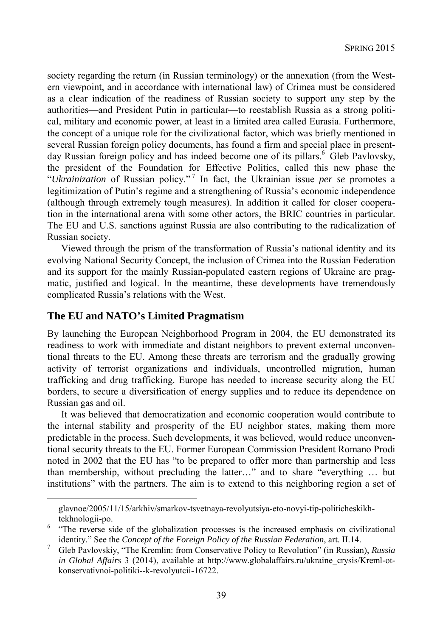society regarding the return (in Russian terminology) or the annexation (from the Western viewpoint, and in accordance with international law) of Crimea must be considered as a clear indication of the readiness of Russian society to support any step by the authorities—and President Putin in particular—to reestablish Russia as a strong political, military and economic power, at least in a limited area called Eurasia. Furthermore, the concept of a unique role for the civilizational factor, which was briefly mentioned in several Russian foreign policy documents, has found a firm and special place in presentday Russian foreign policy and has indeed become one of its pillars.<sup>6</sup> Gleb Pavlovsky, the president of the Foundation for Effective Politics, called this new phase the "*Ukrainization* of Russian policy." <sup>7</sup> In fact, the Ukrainian issue *per se* promotes a legitimization of Putin's regime and a strengthening of Russia's economic independence (although through extremely tough measures). In addition it called for closer cooperation in the international arena with some other actors, the BRIC countries in particular. The EU and U.S. sanctions against Russia are also contributing to the radicalization of Russian society.

Viewed through the prism of the transformation of Russia's national identity and its evolving National Security Concept, the inclusion of Crimea into the Russian Federation and its support for the mainly Russian-populated eastern regions of Ukraine are pragmatic, justified and logical. In the meantime, these developments have tremendously complicated Russia's relations with the West.

### **The EU and NATO's Limited Pragmatism**

l

By launching the European Neighborhood Program in 2004, the EU demonstrated its readiness to work with immediate and distant neighbors to prevent external unconventional threats to the EU. Among these threats are terrorism and the gradually growing activity of terrorist organizations and individuals, uncontrolled migration, human trafficking and drug trafficking. Europe has needed to increase security along the EU borders, to secure a diversification of energy supplies and to reduce its dependence on Russian gas and oil.

It was believed that democratization and economic cooperation would contribute to the internal stability and prosperity of the EU neighbor states, making them more predictable in the process. Such developments, it was believed, would reduce unconventional security threats to the EU. Former European Commission President Romano Prodi noted in 2002 that the EU has "to be prepared to offer more than partnership and less than membership, without precluding the latter…" and to share "everything … but institutions" with the partners. The aim is to extend to this neighboring region a set of

glavnoe/2005/11/15/arkhiv/smarkov-tsvetnaya-revolyutsiya-eto-novyi-tip-politicheskikh-

tekhnologii-po.<br><sup>6</sup> "The reverse side of the globalization processes is the increased emphasis on civilizational identity." See the *Concept of the Foreign Policy of the Russian Federation*, art. II.14.

Gleb Pavlovskiy, "The Kremlin: from Conservative Policy to Revolution" (in Russian), *Russia in Global Affairs* 3 (2014), available at http://www.globalaffairs.ru/ukraine\_crysis/Kreml-otkonservativnoi-politiki--k-revolyutcii-16722.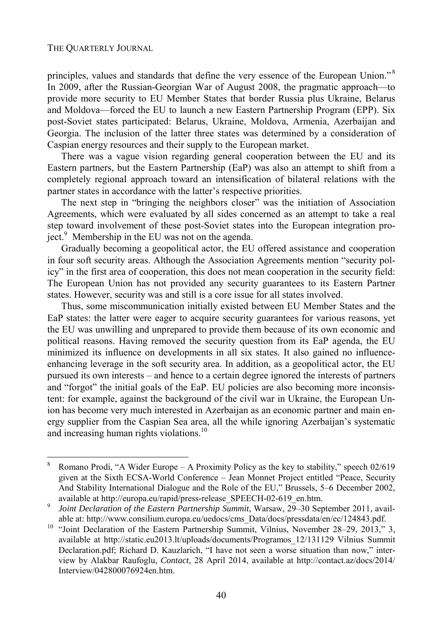l

principles, values and standards that define the very essence of the European Union."<sup>8</sup> In 2009, after the Russian-Georgian War of August 2008, the pragmatic approach—to provide more security to EU Member States that border Russia plus Ukraine, Belarus and Moldova—forced the EU to launch a new Eastern Partnership Program (EPP). Six post-Soviet states participated: Belarus, Ukraine, Moldova, Armenia, Azerbaijan and Georgia. The inclusion of the latter three states was determined by a consideration of Caspian energy resources and their supply to the European market.

There was a vague vision regarding general cooperation between the EU and its Eastern partners, but the Eastern Partnership (EaP) was also an attempt to shift from a completely regional approach toward an intensification of bilateral relations with the partner states in accordance with the latter's respective priorities.

The next step in "bringing the neighbors closer" was the initiation of Association Agreements, which were evaluated by all sides concerned as an attempt to take a real step toward involvement of these post-Soviet states into the European integration project.<sup>9</sup> Membership in the EU was not on the agenda.

Gradually becoming a geopolitical actor, the EU offered assistance and cooperation in four soft security areas. Although the Association Agreements mention "security policy" in the first area of cooperation, this does not mean cooperation in the security field: The European Union has not provided any security guarantees to its Eastern Partner states. However, security was and still is a core issue for all states involved.

Thus, some miscommunication initially existed between EU Member States and the EaP states: the latter were eager to acquire security guarantees for various reasons, yet the EU was unwilling and unprepared to provide them because of its own economic and political reasons. Having removed the security question from its EaP agenda, the EU minimized its influence on developments in all six states. It also gained no influenceenhancing leverage in the soft security area. In addition, as a geopolitical actor, the EU pursued its own interests – and hence to a certain degree ignored the interests of partners and "forgot" the initial goals of the EaP. EU policies are also becoming more inconsistent: for example, against the background of the civil war in Ukraine, the European Union has become very much interested in Azerbaijan as an economic partner and main energy supplier from the Caspian Sea area, all the while ignoring Azerbaijan's systematic and increasing human rights violations.<sup>10</sup>

<sup>8</sup> Romano Prodi, "A Wider Europe – A Proximity Policy as the key to stability," speech  $02/619$ given at the Sixth ECSA-World Conference – Jean Monnet Project entitled "Peace, Security And Stability International Dialogue and the Role of the EU," Brussels, 5–6 December 2002, available at http://europa.eu/rapid/press-release\_SPEECH-02-619\_en.htm.<br>Joint Declaration of the Eastern Partnership Summit, Warsaw, 29-30 September 2011, avail-

able at: http://www.consilium.europa.eu/uedocs/cms\_Data/docs/pressdata/en/ec/124843.pdf. 10 "Joint Declaration of the Eastern Partnership Summit, Vilnius, November 28–29, 2013," 3, available at http://static.eu2013.lt/uploads/documents/Programos\_12/131129 Vilnius Summit Declaration.pdf; Richard D. Kauzlarich, "I have not seen a worse situation than now," interview by Alakbar Raufoglu, *Contact*, 28 April 2014, available at http://contact.az/docs/2014/ Interview/042800076924en.htm.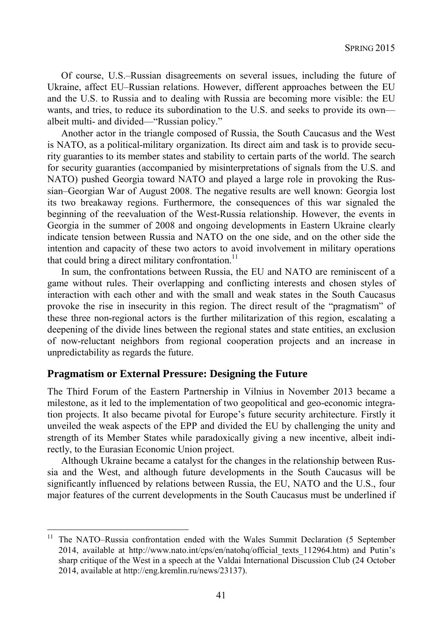Of course, U.S.–Russian disagreements on several issues, including the future of Ukraine, affect EU–Russian relations. However, different approaches between the EU and the U.S. to Russia and to dealing with Russia are becoming more visible: the EU wants, and tries, to reduce its subordination to the U.S. and seeks to provide its own albeit multi- and divided—"Russian policy."

Another actor in the triangle composed of Russia, the South Caucasus and the West is NATO, as a political-military organization. Its direct aim and task is to provide security guaranties to its member states and stability to certain parts of the world. The search for security guaranties (accompanied by misinterpretations of signals from the U.S. and NATO) pushed Georgia toward NATO and played a large role in provoking the Russian–Georgian War of August 2008. The negative results are well known: Georgia lost its two breakaway regions. Furthermore, the consequences of this war signaled the beginning of the reevaluation of the West-Russia relationship. However, the events in Georgia in the summer of 2008 and ongoing developments in Eastern Ukraine clearly indicate tension between Russia and NATO on the one side, and on the other side the intention and capacity of these two actors to avoid involvement in military operations that could bring a direct military confrontation.<sup>11</sup>

In sum, the confrontations between Russia, the EU and NATO are reminiscent of a game without rules. Their overlapping and conflicting interests and chosen styles of interaction with each other and with the small and weak states in the South Caucasus provoke the rise in insecurity in this region. The direct result of the "pragmatism" of these three non-regional actors is the further militarization of this region, escalating a deepening of the divide lines between the regional states and state entities, an exclusion of now-reluctant neighbors from regional cooperation projects and an increase in unpredictability as regards the future.

#### **Pragmatism or External Pressure: Designing the Future**

l

The Third Forum of the Eastern Partnership in Vilnius in November 2013 became a milestone, as it led to the implementation of two geopolitical and geo-economic integration projects. It also became pivotal for Europe's future security architecture. Firstly it unveiled the weak aspects of the EPP and divided the EU by challenging the unity and strength of its Member States while paradoxically giving a new incentive, albeit indirectly, to the Eurasian Economic Union project.

Although Ukraine became a catalyst for the changes in the relationship between Russia and the West, and although future developments in the South Caucasus will be significantly influenced by relations between Russia, the EU, NATO and the U.S., four major features of the current developments in the South Caucasus must be underlined if

<sup>&</sup>lt;sup>11</sup> The NATO–Russia confrontation ended with the Wales Summit Declaration (5 September 2014, available at http://www.nato.int/cps/en/natohq/official\_texts\_112964.htm) and Putin's sharp critique of the West in a speech at the Valdai International Discussion Club (24 October 2014, available at http://eng.kremlin.ru/news/23137).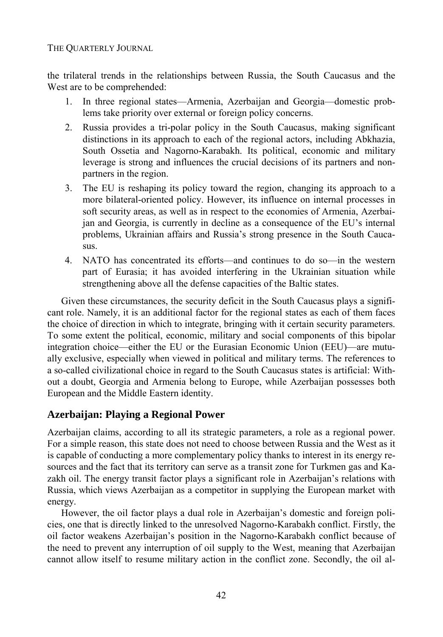the trilateral trends in the relationships between Russia, the South Caucasus and the West are to be comprehended:

- 1. In three regional states—Armenia, Azerbaijan and Georgia—domestic problems take priority over external or foreign policy concerns.
- 2. Russia provides a tri-polar policy in the South Caucasus, making significant distinctions in its approach to each of the regional actors, including Abkhazia, South Ossetia and Nagorno-Karabakh. Its political, economic and military leverage is strong and influences the crucial decisions of its partners and nonpartners in the region.
- 3. The EU is reshaping its policy toward the region, changing its approach to a more bilateral-oriented policy. However, its influence on internal processes in soft security areas, as well as in respect to the economies of Armenia, Azerbaijan and Georgia, is currently in decline as a consequence of the EU's internal problems, Ukrainian affairs and Russia's strong presence in the South Caucasus.
- 4. NATO has concentrated its efforts—and continues to do so—in the western part of Eurasia; it has avoided interfering in the Ukrainian situation while strengthening above all the defense capacities of the Baltic states.

Given these circumstances, the security deficit in the South Caucasus plays a significant role. Namely, it is an additional factor for the regional states as each of them faces the choice of direction in which to integrate, bringing with it certain security parameters. To some extent the political, economic, military and social components of this bipolar integration choice—either the EU or the Eurasian Economic Union (EEU)—are mutually exclusive, especially when viewed in political and military terms. The references to a so-called civilizational choice in regard to the South Caucasus states is artificial: Without a doubt, Georgia and Armenia belong to Europe, while Azerbaijan possesses both European and the Middle Eastern identity.

# **Azerbaijan: Playing a Regional Power**

Azerbaijan claims, according to all its strategic parameters, a role as a regional power. For a simple reason, this state does not need to choose between Russia and the West as it is capable of conducting a more complementary policy thanks to interest in its energy resources and the fact that its territory can serve as a transit zone for Turkmen gas and Kazakh oil. The energy transit factor plays a significant role in Azerbaijan's relations with Russia, which views Azerbaijan as a competitor in supplying the European market with energy.

However, the oil factor plays a dual role in Azerbaijan's domestic and foreign policies, one that is directly linked to the unresolved Nagorno-Karabakh conflict. Firstly, the oil factor weakens Azerbaijan's position in the Nagorno-Karabakh conflict because of the need to prevent any interruption of oil supply to the West, meaning that Azerbaijan cannot allow itself to resume military action in the conflict zone. Secondly, the oil al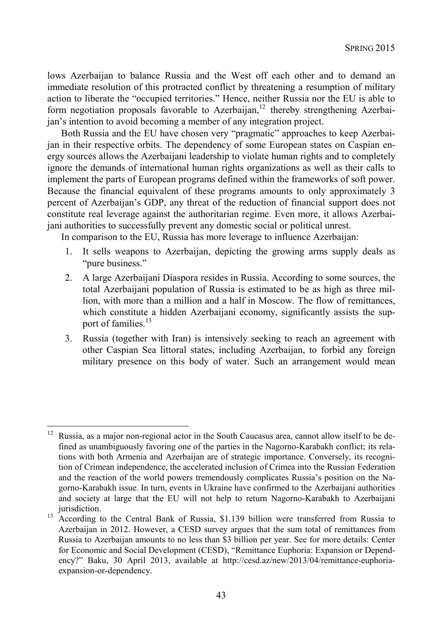lows Azerbaijan to balance Russia and the West off each other and to demand an immediate resolution of this protracted conflict by threatening a resumption of military action to liberate the "occupied territories." Hence, neither Russia nor the EU is able to form negotiation proposals favorable to Azerbaijan, $12$  thereby strengthening Azerbaijan's intention to avoid becoming a member of any integration project.

Both Russia and the EU have chosen very "pragmatic" approaches to keep Azerbaijan in their respective orbits. The dependency of some European states on Caspian energy sources allows the Azerbaijani leadership to violate human rights and to completely ignore the demands of international human rights organizations as well as their calls to implement the parts of European programs defined within the frameworks of soft power. Because the financial equivalent of these programs amounts to only approximately 3 percent of Azerbaijan's GDP, any threat of the reduction of financial support does not constitute real leverage against the authoritarian regime. Even more, it allows Azerbaijani authorities to successfully prevent any domestic social or political unrest.

In comparison to the EU, Russia has more leverage to influence Azerbaijan:

- 1. It sells weapons to Azerbaijan, depicting the growing arms supply deals as "pure business."
- 2. A large Azerbaijani Diaspora resides in Russia. According to some sources, the total Azerbaijani population of Russia is estimated to be as high as three million, with more than a million and a half in Moscow. The flow of remittances, which constitute a hidden Azerbaijani economy, significantly assists the support of families.<sup>13</sup>
- 3. Russia (together with Iran) is intensively seeking to reach an agreement with other Caspian Sea littoral states, including Azerbaijan, to forbid any foreign military presence on this body of water. Such an arrangement would mean

 $12\,$ 12 Russia, as a major non-regional actor in the South Caucasus area, cannot allow itself to be defined as unambiguously favoring one of the parties in the Nagorno-Karabakh conflict; its relations with both Armenia and Azerbaijan are of strategic importance. Conversely, its recognition of Crimean independence, the accelerated inclusion of Crimea into the Russian Federation and the reaction of the world powers tremendously complicates Russia's position on the Nagorno-Karabakh issue. In turn, events in Ukraine have confirmed to the Azerbaijani authorities and society at large that the EU will not help to return Nagorno-Karabakh to Azerbaijani

jurisdiction. 13 According to the Central Bank of Russia, \$1.139 billion were transferred from Russia to Azerbaijan in 2012. However, a CESD survey argues that the sum total of remittances from Russia to Azerbaijan amounts to no less than \$3 billion per year. See for more details: Center for Economic and Social Development (CESD), "Remittance Euphoria: Expansion or Dependency?" Baku, 30 April 2013, available at http://cesd.az/new/2013/04/remittance-euphoriaexpansion-or-dependency.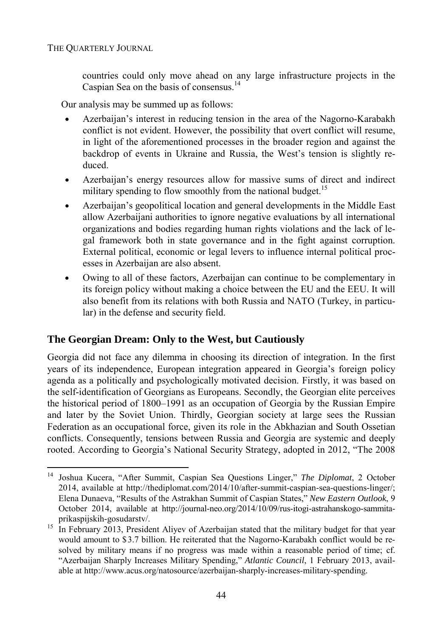l

countries could only move ahead on any large infrastructure projects in the Caspian Sea on the basis of consensus.<sup>14</sup>

Our analysis may be summed up as follows:

- Azerbaijan's interest in reducing tension in the area of the Nagorno-Karabakh conflict is not evident. However, the possibility that overt conflict will resume, in light of the aforementioned processes in the broader region and against the backdrop of events in Ukraine and Russia, the West's tension is slightly reduced.
- Azerbaijan's energy resources allow for massive sums of direct and indirect military spending to flow smoothly from the national budget.<sup>15</sup>
- Azerbaijan's geopolitical location and general developments in the Middle East allow Azerbaijani authorities to ignore negative evaluations by all international organizations and bodies regarding human rights violations and the lack of legal framework both in state governance and in the fight against corruption. External political, economic or legal levers to influence internal political processes in Azerbaijan are also absent.
- Owing to all of these factors, Azerbaijan can continue to be complementary in its foreign policy without making a choice between the EU and the EEU. It will also benefit from its relations with both Russia and NATO (Turkey, in particular) in the defense and security field.

# **The Georgian Dream: Only to the West, but Cautiously**

Georgia did not face any dilemma in choosing its direction of integration. In the first years of its independence, European integration appeared in Georgia's foreign policy agenda as a politically and psychologically motivated decision. Firstly, it was based on the self-identification of Georgians as Europeans. Secondly, the Georgian elite perceives the historical period of 1800–1991 as an occupation of Georgia by the Russian Empire and later by the Soviet Union. Thirdly, Georgian society at large sees the Russian Federation as an occupational force, given its role in the Abkhazian and South Ossetian conflicts. Consequently, tensions between Russia and Georgia are systemic and deeply rooted. According to Georgia's National Security Strategy, adopted in 2012, "The 2008

<sup>14</sup> Joshua Kucera, "After Summit, Caspian Sea Questions Linger," *The Diplomat*, 2 October 2014, available at http://thediplomat.com/2014/10/after-summit-caspian-sea-questions-linger/; Elena Dunaeva, "Results of the Astrakhan Summit of Caspian States," *New Eastern Outlook*, 9 October 2014, available at http://journal-neo.org/2014/10/09/rus-itogi-astrahanskogo-sammitaprikaspijskih-gosudarstv/.<br><sup>15</sup> In February 2013, President Aliyev of Azerbaijan stated that the military budget for that year

would amount to \$3.7 billion. He reiterated that the Nagorno-Karabakh conflict would be resolved by military means if no progress was made within a reasonable period of time; cf. "Azerbaijan Sharply Increases Military Spending," *Atlantic Council*, 1 February 2013, available at http://www.acus.org/natosource/azerbaijan-sharply-increases-military-spending.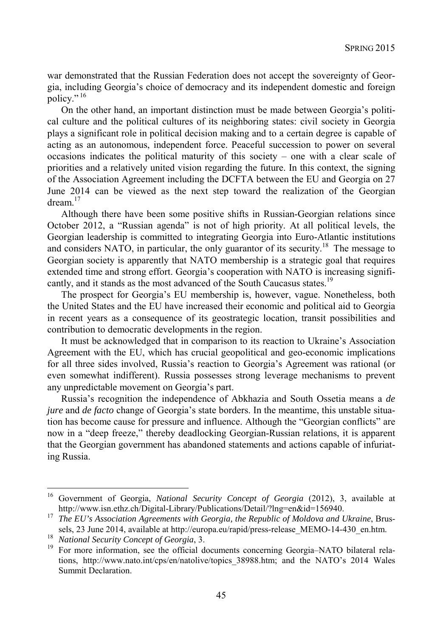war demonstrated that the Russian Federation does not accept the sovereignty of Georgia, including Georgia's choice of democracy and its independent domestic and foreign policy."<sup>16</sup>

On the other hand, an important distinction must be made between Georgia's political culture and the political cultures of its neighboring states: civil society in Georgia plays a significant role in political decision making and to a certain degree is capable of acting as an autonomous, independent force. Peaceful succession to power on several occasions indicates the political maturity of this society – one with a clear scale of priorities and a relatively united vision regarding the future. In this context, the signing of the Association Agreement including the DCFTA between the EU and Georgia on 27 June 2014 can be viewed as the next step toward the realization of the Georgian dream $17$ 

Although there have been some positive shifts in Russian-Georgian relations since October 2012, a "Russian agenda" is not of high priority. At all political levels, the Georgian leadership is committed to integrating Georgia into Euro-Atlantic institutions and considers NATO, in particular, the only guarantor of its security.<sup>18</sup> The message to Georgian society is apparently that NATO membership is a strategic goal that requires extended time and strong effort. Georgia's cooperation with NATO is increasing significantly, and it stands as the most advanced of the South Caucasus states.<sup>19</sup>

The prospect for Georgia's EU membership is, however, vague. Nonetheless, both the United States and the EU have increased their economic and political aid to Georgia in recent years as a consequence of its geostrategic location, transit possibilities and contribution to democratic developments in the region.

It must be acknowledged that in comparison to its reaction to Ukraine's Association Agreement with the EU, which has crucial geopolitical and geo-economic implications for all three sides involved, Russia's reaction to Georgia's Agreement was rational (or even somewhat indifferent). Russia possesses strong leverage mechanisms to prevent any unpredictable movement on Georgia's part.

Russia's recognition the independence of Abkhazia and South Ossetia means a *de jure* and *de facto* change of Georgia's state borders. In the meantime, this unstable situation has become cause for pressure and influence. Although the "Georgian conflicts" are now in a "deep freeze," thereby deadlocking Georgian-Russian relations, it is apparent that the Georgian government has abandoned statements and actions capable of infuriating Russia.

l

<sup>16</sup> Government of Georgia, *National Security Concept of Georgia* (2012), 3, available at http://www.isn.ethz.ch/Digital-Library/Publications/Detail/?lng=en&id=156940. 17 *The EU's Association Agreements with Georgia, the Republic of Moldova and Ukraine*, Brus-

sels, 23 June 2014, available at http://europa.eu/rapid/press-release\_MEMO-14-430\_en.htm.<br><sup>18</sup> *National Security Concept of Georgia*, 3.<br><sup>19</sup> For more information, see the official documents concerning Georgia–NATO bilate

tions, http://www.nato.int/cps/en/natolive/topics\_38988.htm; and the NATO's 2014 Wales Summit Declaration.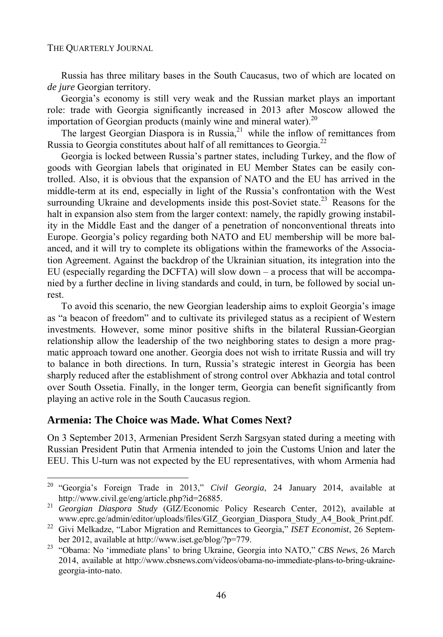Russia has three military bases in the South Caucasus, two of which are located on *de jure* Georgian territory.

Georgia's economy is still very weak and the Russian market plays an important role: trade with Georgia significantly increased in 2013 after Moscow allowed the importation of Georgian products (mainly wine and mineral water).<sup>20</sup>

The largest Georgian Diaspora is in Russia.<sup>21</sup> while the inflow of remittances from Russia to Georgia constitutes about half of all remittances to Georgia.<sup>22</sup>

Georgia is locked between Russia's partner states, including Turkey, and the flow of goods with Georgian labels that originated in EU Member States can be easily controlled. Also, it is obvious that the expansion of NATO and the EU has arrived in the middle-term at its end, especially in light of the Russia's confrontation with the West surrounding Ukraine and developments inside this post-Soviet state.<sup>23</sup> Reasons for the halt in expansion also stem from the larger context: namely, the rapidly growing instability in the Middle East and the danger of a penetration of nonconventional threats into Europe. Georgia's policy regarding both NATO and EU membership will be more balanced, and it will try to complete its obligations within the frameworks of the Association Agreement. Against the backdrop of the Ukrainian situation, its integration into the EU (especially regarding the DCFTA) will slow down – a process that will be accompanied by a further decline in living standards and could, in turn, be followed by social unrest.

To avoid this scenario, the new Georgian leadership aims to exploit Georgia's image as "a beacon of freedom" and to cultivate its privileged status as a recipient of Western investments. However, some minor positive shifts in the bilateral Russian-Georgian relationship allow the leadership of the two neighboring states to design a more pragmatic approach toward one another. Georgia does not wish to irritate Russia and will try to balance in both directions. In turn, Russia's strategic interest in Georgia has been sharply reduced after the establishment of strong control over Abkhazia and total control over South Ossetia. Finally, in the longer term, Georgia can benefit significantly from playing an active role in the South Caucasus region.

### **Armenia: The Choice was Made. What Comes Next?**

l

On 3 September 2013, Armenian President Serzh Sargsyan stated during a meeting with Russian President Putin that Armenia intended to join the Customs Union and later the EEU. This U-turn was not expected by the EU representatives, with whom Armenia had

<sup>20 &</sup>quot;Georgia's Foreign Trade in 2013," *Civil Georgia*, 24 January 2014, available at http://www.civil.ge/eng/article.php?id=26885. 21 *Georgian Diaspora Study* (GIZ/Economic Policy Research Center, 2012), available at

www.eprc.ge/admin/editor/uploads/files/GIZ\_Georgian\_Diaspora\_Study\_A4\_Book\_Print.pdf. 22 Givi Melkadze, "Labor Migration and Remittances to Georgia," *ISET Economist*, 26 Septem-

ber 2012, available at http://www.iset.ge/blog/?p=779. 23 "Obama: No 'immediate plans' to bring Ukraine, Georgia into NATO," *CBS News*, 26 March 2014, available at http://www.cbsnews.com/videos/obama-no-immediate-plans-to-bring-ukrainegeorgia-into-nato.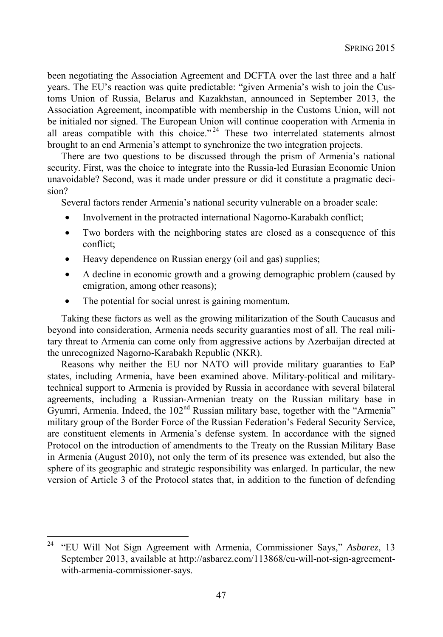been negotiating the Association Agreement and DCFTA over the last three and a half years. The EU's reaction was quite predictable: "given Armenia's wish to join the Customs Union of Russia, Belarus and Kazakhstan, announced in September 2013, the Association Agreement, incompatible with membership in the Customs Union, will not be initialed nor signed. The European Union will continue cooperation with Armenia in all areas compatible with this choice."<sup> $24$ </sup> These two interrelated statements almost brought to an end Armenia's attempt to synchronize the two integration projects.

There are two questions to be discussed through the prism of Armenia's national security. First, was the choice to integrate into the Russia-led Eurasian Economic Union unavoidable? Second, was it made under pressure or did it constitute a pragmatic decision?

Several factors render Armenia's national security vulnerable on a broader scale:

- Involvement in the protracted international Nagorno-Karabakh conflict;
- Two borders with the neighboring states are closed as a consequence of this conflict;
- Heavy dependence on Russian energy (oil and gas) supplies;
- A decline in economic growth and a growing demographic problem (caused by emigration, among other reasons);
- The potential for social unrest is gaining momentum.

l

Taking these factors as well as the growing militarization of the South Caucasus and beyond into consideration, Armenia needs security guaranties most of all. The real military threat to Armenia can come only from aggressive actions by Azerbaijan directed at the unrecognized Nagorno-Karabakh Republic (NKR).

Reasons why neither the EU nor NATO will provide military guaranties to EaP states, including Armenia, have been examined above. Military-political and militarytechnical support to Armenia is provided by Russia in accordance with several bilateral agreements, including a Russian-Armenian treaty on the Russian military base in Gyumri, Armenia. Indeed, the 102<sup>nd</sup> Russian military base, together with the "Armenia" military group of the Border Force of the Russian Federation's Federal Security Service, are constituent elements in Armenia's defense system. In accordance with the signed Protocol on the introduction of amendments to the Treaty on the Russian Military Base in Armenia (August 2010), not only the term of its presence was extended, but also the sphere of its geographic and strategic responsibility was enlarged. In particular, the new version of Article 3 of the Protocol states that, in addition to the function of defending

<sup>24 &</sup>quot;EU Will Not Sign Agreement with Armenia, Commissioner Says," *Asbarez*, 13 September 2013, available at http://asbarez.com/113868/eu-will-not-sign-agreementwith-armenia-commissioner-says.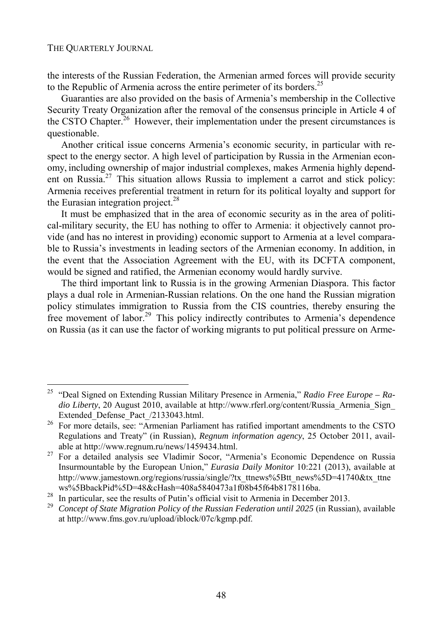l

the interests of the Russian Federation, the Armenian armed forces will provide security to the Republic of Armenia across the entire perimeter of its borders.<sup>25</sup>

Guaranties are also provided on the basis of Armenia's membership in the Collective Security Treaty Organization after the removal of the consensus principle in Article 4 of the CSTO Chapter.<sup>26</sup> However, their implementation under the present circumstances is questionable.

Another critical issue concerns Armenia's economic security, in particular with respect to the energy sector. A high level of participation by Russia in the Armenian economy, including ownership of major industrial complexes, makes Armenia highly dependent on Russia.27 This situation allows Russia to implement a carrot and stick policy: Armenia receives preferential treatment in return for its political loyalty and support for the Eurasian integration project.<sup>28</sup>

It must be emphasized that in the area of economic security as in the area of political-military security, the EU has nothing to offer to Armenia: it objectively cannot provide (and has no interest in providing) economic support to Armenia at a level comparable to Russia's investments in leading sectors of the Armenian economy. In addition, in the event that the Association Agreement with the EU, with its DCFTA component, would be signed and ratified, the Armenian economy would hardly survive.

The third important link to Russia is in the growing Armenian Diaspora. This factor plays a dual role in Armenian-Russian relations. On the one hand the Russian migration policy stimulates immigration to Russia from the CIS countries, thereby ensuring the free movement of labor.<sup>29</sup> This policy indirectly contributes to Armenia's dependence on Russia (as it can use the factor of working migrants to put political pressure on Arme-

<sup>25 &</sup>quot;Deal Signed on Extending Russian Military Presence in Armenia," *Radio Free Europe – Radio Liberty*, 20 August 2010, available at http://www.rferl.org/content/Russia\_Armenia\_Sign\_ Extended\_Defense\_Pact\_/2133043.html.<br><sup>26</sup> For more details, see: "Armenian Parliament has ratified important amendments to the CSTO

Regulations and Treaty" (in Russian), *Regnum information agency*, 25 October 2011, available at http://www.regnum.ru/news/1459434.html. 27 For a detailed analysis see Vladimir Socor, "Armenia's Economic Dependence on Russia

Insurmountable by the European Union," *Eurasia Daily Monitor* 10:221 (2013), available at http://www.jamestown.org/regions/russia/single/?tx\_ttnews%5Btt\_news%5D=41740&tx\_ttne

ws%5BbackPid%5D=48&cHash=408a5840473a1f08b45f64b8178116ba.<br><sup>28</sup> In particular, see the results of Putin's official visit to Armenia in December 2013.<br><sup>29</sup> Concept of State Migration Policy of the Russian Federation until 2 at http://www.fms.gov.ru/upload/iblock/07c/kgmp.pdf.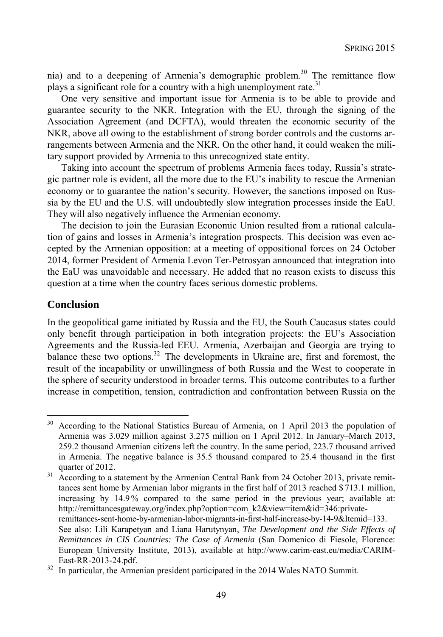nia) and to a deepening of Armenia's demographic problem.30 The remittance flow plays a significant role for a country with a high unemployment rate.<sup>31</sup>

One very sensitive and important issue for Armenia is to be able to provide and guarantee security to the NKR. Integration with the EU, through the signing of the Association Agreement (and DCFTA), would threaten the economic security of the NKR, above all owing to the establishment of strong border controls and the customs arrangements between Armenia and the NKR. On the other hand, it could weaken the military support provided by Armenia to this unrecognized state entity.

Taking into account the spectrum of problems Armenia faces today, Russia's strategic partner role is evident, all the more due to the EU's inability to rescue the Armenian economy or to guarantee the nation's security. However, the sanctions imposed on Russia by the EU and the U.S. will undoubtedly slow integration processes inside the EaU. They will also negatively influence the Armenian economy.

The decision to join the Eurasian Economic Union resulted from a rational calculation of gains and losses in Armenia's integration prospects. This decision was even accepted by the Armenian opposition: at a meeting of oppositional forces on 24 October 2014, former President of Armenia Levon Ter-Petrosyan announced that integration into the EaU was unavoidable and necessary. He added that no reason exists to discuss this question at a time when the country faces serious domestic problems.

## **Conclusion**

l

In the geopolitical game initiated by Russia and the EU, the South Caucasus states could only benefit through participation in both integration projects: the EU's Association Agreements and the Russia-led EEU. Armenia, Azerbaijan and Georgia are trying to balance these two options.<sup>32</sup> The developments in Ukraine are, first and foremost, the result of the incapability or unwillingness of both Russia and the West to cooperate in the sphere of security understood in broader terms. This outcome contributes to a further increase in competition, tension, contradiction and confrontation between Russia on the

<sup>30</sup> According to the National Statistics Bureau of Armenia, on 1 April 2013 the population of Armenia was 3.029 million against 3.275 million on 1 April 2012. In January–March 2013, 259.2 thousand Armenian citizens left the country. In the same period, 223.7 thousand arrived in Armenia. The negative balance is 35.5 thousand compared to 25.4 thousand in the first quarter of 2012.<br><sup>31</sup> According to a statement by the Armenian Central Bank from 24 October 2013, private remit-

tances sent home by Armenian labor migrants in the first half of 2013 reached \$ 713.1 million, increasing by 14.9 % compared to the same period in the previous year; available at: http://remittancesgateway.org/index.php?option=com\_k2&view=item&id=346:privateremittances-sent-home-by-armenian-labor-migrants-in-first-half-increase-by-14-9&Itemid=133. See also: Lili Karapetyan and Liana Harutynyan, *The Development and the Side Effects of Remittances in CIS Countries: The Case of Armenia* (San Domenico di Fiesole, Florence: European University Institute, 2013), available at http://www.carim-east.eu/media/CARIM-

East-RR-2013-24.pdf. 32 In particular, the Armenian president participated in the 2014 Wales NATO Summit.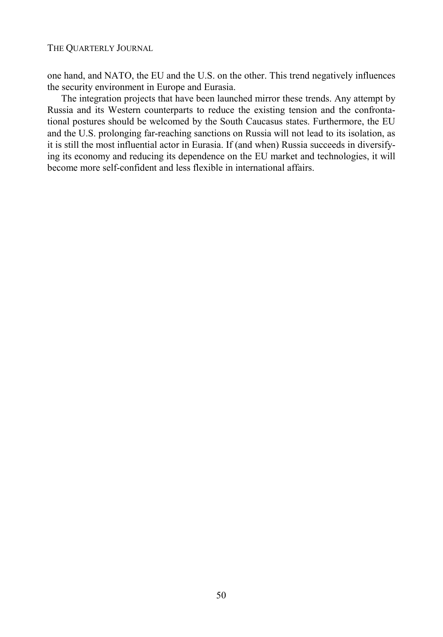one hand, and NATO, the EU and the U.S. on the other. This trend negatively influences the security environment in Europe and Eurasia.

The integration projects that have been launched mirror these trends. Any attempt by Russia and its Western counterparts to reduce the existing tension and the confrontational postures should be welcomed by the South Caucasus states. Furthermore, the EU and the U.S. prolonging far-reaching sanctions on Russia will not lead to its isolation, as it is still the most influential actor in Eurasia. If (and when) Russia succeeds in diversifying its economy and reducing its dependence on the EU market and technologies, it will become more self-confident and less flexible in international affairs.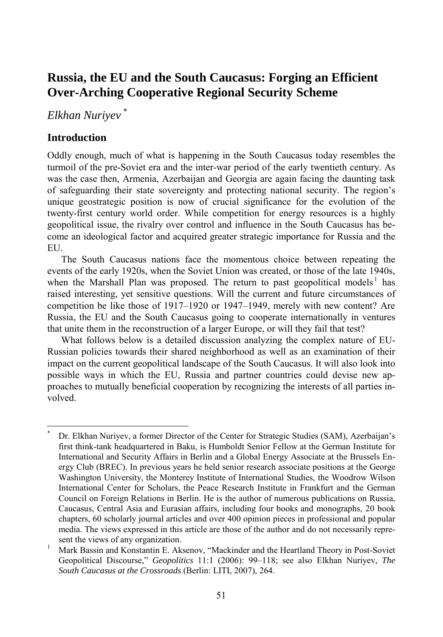# **Russia, the EU and the South Caucasus: Forging an Efficient Over-Arching Cooperative Regional Security Scheme**

*Elkhan Nuriyev* \*

# **Introduction**

l

Oddly enough, much of what is happening in the South Caucasus today resembles the turmoil of the pre-Soviet era and the inter-war period of the early twentieth century. As was the case then, Armenia, Azerbaijan and Georgia are again facing the daunting task of safeguarding their state sovereignty and protecting national security. The region's unique geostrategic position is now of crucial significance for the evolution of the twenty-first century world order. While competition for energy resources is a highly geopolitical issue, the rivalry over control and influence in the South Caucasus has become an ideological factor and acquired greater strategic importance for Russia and the EU.

The South Caucasus nations face the momentous choice between repeating the events of the early 1920s, when the Soviet Union was created, or those of the late 1940s, when the Marshall Plan was proposed. The return to past geopolitical models<sup>1</sup> has raised interesting, yet sensitive questions. Will the current and future circumstances of competition be like those of 1917–1920 or 1947–1949, merely with new content? Are Russia, the EU and the South Caucasus going to cooperate internationally in ventures that unite them in the reconstruction of a larger Europe, or will they fail that test?

What follows below is a detailed discussion analyzing the complex nature of EU-Russian policies towards their shared neighborhood as well as an examination of their impact on the current geopolitical landscape of the South Caucasus. It will also look into possible ways in which the EU, Russia and partner countries could devise new approaches to mutually beneficial cooperation by recognizing the interests of all parties involved.

<sup>\*</sup> Dr. Elkhan Nuriyev, a former Director of the Center for Strategic Studies (SAM), Azerbaijan's first think-tank headquartered in Baku, is Humboldt Senior Fellow at the German Institute for International and Security Affairs in Berlin and a Global Energy Associate at the Brussels Energy Club (BREC). In previous years he held senior research associate positions at the George Washington University, the Monterey Institute of International Studies, the Woodrow Wilson International Center for Scholars, the Peace Research Institute in Frankfurt and the German Council on Foreign Relations in Berlin. He is the author of numerous publications on Russia, Caucasus, Central Asia and Eurasian affairs, including four books and monographs, 20 book chapters, 60 scholarly journal articles and over 400 opinion pieces in professional and popular media. The views expressed in this article are those of the author and do not necessarily represent the views of any organization.

Mark Bassin and Konstantin E. Aksenov, "Mackinder and the Heartland Theory in Post-Soviet Geopolitical Discourse," *Geopolitics* 11:1 (2006): 99–118; see also Elkhan Nuriyev, *The South Caucasus at the Crossroads* (Berlin: LITI, 2007), 264.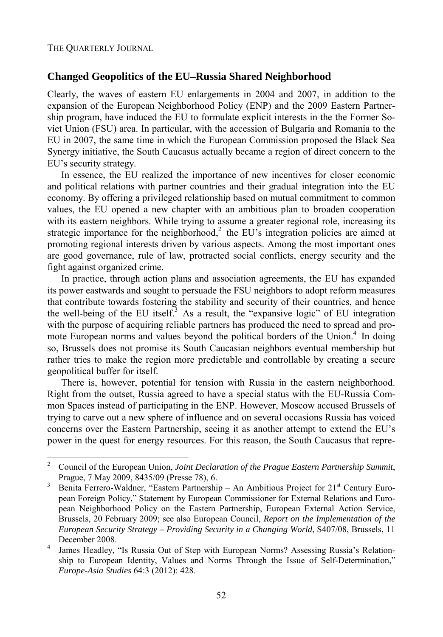l

## **Changed Geopolitics of the EU–Russia Shared Neighborhood**

Clearly, the waves of eastern EU enlargements in 2004 and 2007, in addition to the expansion of the European Neighborhood Policy (ENP) and the 2009 Eastern Partnership program, have induced the EU to formulate explicit interests in the the Former Soviet Union (FSU) area. In particular, with the accession of Bulgaria and Romania to the EU in 2007, the same time in which the European Commission proposed the Black Sea Synergy initiative, the South Caucasus actually became a region of direct concern to the EU's security strategy.

In essence, the EU realized the importance of new incentives for closer economic and political relations with partner countries and their gradual integration into the EU economy. By offering a privileged relationship based on mutual commitment to common values, the EU opened a new chapter with an ambitious plan to broaden cooperation with its eastern neighbors. While trying to assume a greater regional role, increasing its strategic importance for the neighborhood, $2$  the EU's integration policies are aimed at promoting regional interests driven by various aspects. Among the most important ones are good governance, rule of law, protracted social conflicts, energy security and the fight against organized crime.

In practice, through action plans and association agreements, the EU has expanded its power eastwards and sought to persuade the FSU neighbors to adopt reform measures that contribute towards fostering the stability and security of their countries, and hence the well-being of the EU itself.<sup>3</sup> As a result, the "expansive logic" of EU integration with the purpose of acquiring reliable partners has produced the need to spread and promote European norms and values beyond the political borders of the Union.<sup>4</sup> In doing so, Brussels does not promise its South Caucasian neighbors eventual membership but rather tries to make the region more predictable and controllable by creating a secure geopolitical buffer for itself.

There is, however, potential for tension with Russia in the eastern neighborhood. Right from the outset, Russia agreed to have a special status with the EU-Russia Common Spaces instead of participating in the ENP. However, Moscow accused Brussels of trying to carve out a new sphere of influence and on several occasions Russia has voiced concerns over the Eastern Partnership, seeing it as another attempt to extend the EU's power in the quest for energy resources. For this reason, the South Caucasus that repre-

<sup>2</sup> Council of the European Union, *Joint Declaration of the Prague Eastern Partnership Summit*, Prague, 7 May 2009, 8435/09 (Presse 78), 6.<br>3 Ponita Ferrora Waldner, "Feators Pertagabi

Benita Ferrero-Waldner, "Eastern Partnership – An Ambitious Project for  $21<sup>st</sup>$  Century European Foreign Policy," Statement by European Commissioner for External Relations and European Neighborhood Policy on the Eastern Partnership, European External Action Service, Brussels, 20 February 2009; see also European Council, *Report on the Implementation of the European Security Strategy – Providing Security in a Changing World*, S407/08, Brussels, 11 December 2008.

James Headley, "Is Russia Out of Step with European Norms? Assessing Russia's Relationship to European Identity, Values and Norms Through the Issue of Self-Determination," *Europe-Asia Studies* 64:3 (2012): 428.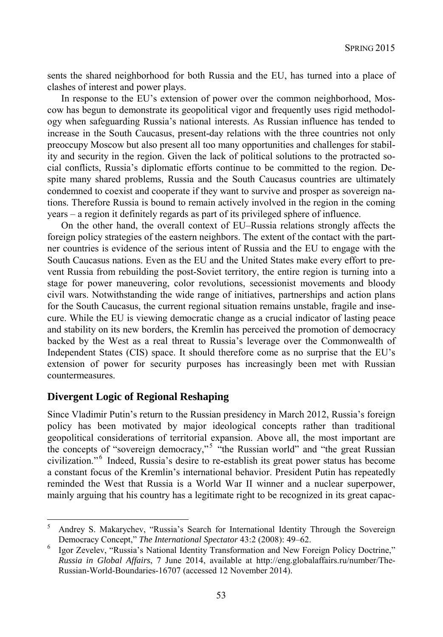sents the shared neighborhood for both Russia and the EU, has turned into a place of clashes of interest and power plays.

In response to the EU's extension of power over the common neighborhood, Moscow has begun to demonstrate its geopolitical vigor and frequently uses rigid methodology when safeguarding Russia's national interests. As Russian influence has tended to increase in the South Caucasus, present-day relations with the three countries not only preoccupy Moscow but also present all too many opportunities and challenges for stability and security in the region. Given the lack of political solutions to the protracted social conflicts, Russia's diplomatic efforts continue to be committed to the region. Despite many shared problems, Russia and the South Caucasus countries are ultimately condemned to coexist and cooperate if they want to survive and prosper as sovereign nations. Therefore Russia is bound to remain actively involved in the region in the coming years – a region it definitely regards as part of its privileged sphere of influence.

On the other hand, the overall context of EU–Russia relations strongly affects the foreign policy strategies of the eastern neighbors. The extent of the contact with the partner countries is evidence of the serious intent of Russia and the EU to engage with the South Caucasus nations. Even as the EU and the United States make every effort to prevent Russia from rebuilding the post-Soviet territory, the entire region is turning into a stage for power maneuvering, color revolutions, secessionist movements and bloody civil wars. Notwithstanding the wide range of initiatives, partnerships and action plans for the South Caucasus, the current regional situation remains unstable, fragile and insecure. While the EU is viewing democratic change as a crucial indicator of lasting peace and stability on its new borders, the Kremlin has perceived the promotion of democracy backed by the West as a real threat to Russia's leverage over the Commonwealth of Independent States (CIS) space. It should therefore come as no surprise that the EU's extension of power for security purposes has increasingly been met with Russian countermeasures.

## **Divergent Logic of Regional Reshaping**

l

Since Vladimir Putin's return to the Russian presidency in March 2012, Russia's foreign policy has been motivated by major ideological concepts rather than traditional geopolitical considerations of territorial expansion. Above all, the most important are the concepts of "sovereign democracy,"<sup>5</sup> "the Russian world" and "the great Russian civilization."<sup>6</sup> Indeed, Russia's desire to re-establish its great power status has become a constant focus of the Kremlin's international behavior. President Putin has repeatedly reminded the West that Russia is a World War II winner and a nuclear superpower, mainly arguing that his country has a legitimate right to be recognized in its great capac-

<sup>5</sup> Andrey S. Makarychev, "Russia's Search for International Identity Through the Sovereign Democracy Concept," *The International Spectator* 43:2 (2008): 49–62. 6

Igor Zevelev, "Russia's National Identity Transformation and New Foreign Policy Doctrine," *Russia in Global Affairs*, 7 June 2014, available at http://eng.globalaffairs.ru/number/The-Russian-World-Boundaries-16707 (accessed 12 November 2014).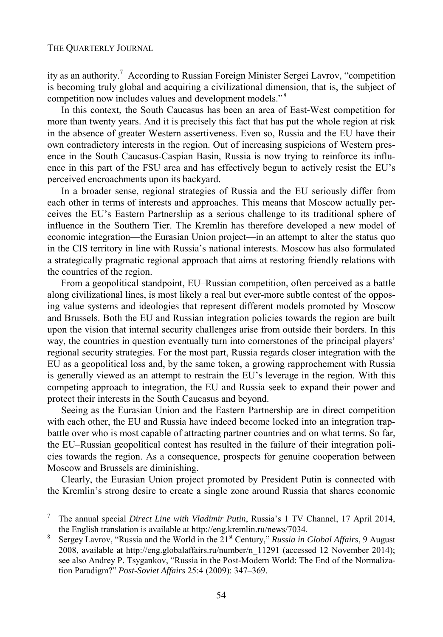l

ity as an authority.<sup>7</sup> According to Russian Foreign Minister Sergei Lavrov, "competition is becoming truly global and acquiring a civilizational dimension, that is, the subject of competition now includes values and development models."<sup>8</sup>

In this context, the South Caucasus has been an area of East-West competition for more than twenty years. And it is precisely this fact that has put the whole region at risk in the absence of greater Western assertiveness. Even so, Russia and the EU have their own contradictory interests in the region. Out of increasing suspicions of Western presence in the South Caucasus-Caspian Basin, Russia is now trying to reinforce its influence in this part of the FSU area and has effectively begun to actively resist the EU's perceived encroachments upon its backyard.

In a broader sense, regional strategies of Russia and the EU seriously differ from each other in terms of interests and approaches. This means that Moscow actually perceives the EU's Eastern Partnership as a serious challenge to its traditional sphere of influence in the Southern Tier. The Kremlin has therefore developed a new model of economic integration—the Eurasian Union project—in an attempt to alter the status quo in the CIS territory in line with Russia's national interests. Moscow has also formulated a strategically pragmatic regional approach that aims at restoring friendly relations with the countries of the region.

From a geopolitical standpoint, EU–Russian competition, often perceived as a battle along civilizational lines, is most likely a real but ever-more subtle contest of the opposing value systems and ideologies that represent different models promoted by Moscow and Brussels. Both the EU and Russian integration policies towards the region are built upon the vision that internal security challenges arise from outside their borders. In this way, the countries in question eventually turn into cornerstones of the principal players' regional security strategies. For the most part, Russia regards closer integration with the EU as a geopolitical loss and, by the same token, a growing rapprochement with Russia is generally viewed as an attempt to restrain the EU's leverage in the region. With this competing approach to integration, the EU and Russia seek to expand their power and protect their interests in the South Caucasus and beyond.

Seeing as the Eurasian Union and the Eastern Partnership are in direct competition with each other, the EU and Russia have indeed become locked into an integration trapbattle over who is most capable of attracting partner countries and on what terms. So far, the EU–Russian geopolitical contest has resulted in the failure of their integration policies towards the region. As a consequence, prospects for genuine cooperation between Moscow and Brussels are diminishing.

Clearly, the Eurasian Union project promoted by President Putin is connected with the Kremlin's strong desire to create a single zone around Russia that shares economic

<sup>7</sup> The annual special *Direct Line with Vladimir Putin*, Russia's 1 TV Channel, 17 April 2014, the English translation is available at http://eng.kremlin.ru/news/7034.

Sergey Lavrov, "Russia and the World in the 21<sup>st</sup> Century," *Russia in Global Affairs*, 9 August 2008, available at http://eng.globalaffairs.ru/number/n\_11291 (accessed 12 November 2014); see also Andrey P. Tsygankov, "Russia in the Post-Modern World: The End of the Normalization Paradigm?" *Post-Soviet Affairs* 25:4 (2009): 347–369.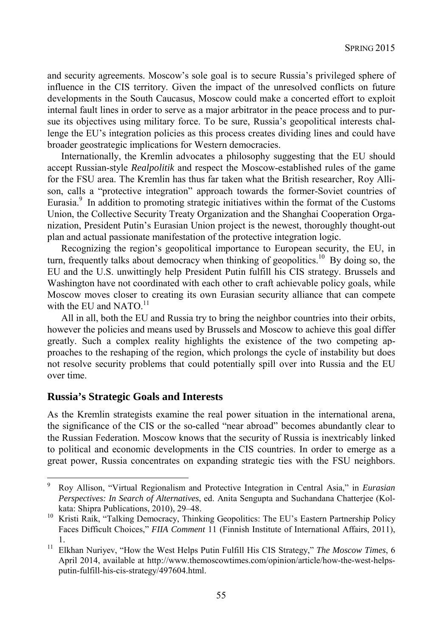and security agreements. Moscow's sole goal is to secure Russia's privileged sphere of influence in the CIS territory. Given the impact of the unresolved conflicts on future developments in the South Caucasus, Moscow could make a concerted effort to exploit internal fault lines in order to serve as a major arbitrator in the peace process and to pursue its objectives using military force. To be sure, Russia's geopolitical interests challenge the EU's integration policies as this process creates dividing lines and could have broader geostrategic implications for Western democracies.

Internationally, the Kremlin advocates a philosophy suggesting that the EU should accept Russian-style *Realpolitik* and respect the Moscow-established rules of the game for the FSU area. The Kremlin has thus far taken what the British researcher, Roy Allison, calls a "protective integration" approach towards the former-Soviet countries of Eurasia.<sup>9</sup> In addition to promoting strategic initiatives within the format of the Customs Union, the Collective Security Treaty Organization and the Shanghai Cooperation Organization, President Putin's Eurasian Union project is the newest, thoroughly thought-out plan and actual passionate manifestation of the protective integration logic.

Recognizing the region's geopolitical importance to European security, the EU, in turn, frequently talks about democracy when thinking of geopolitics.<sup>10</sup> By doing so, the EU and the U.S. unwittingly help President Putin fulfill his CIS strategy. Brussels and Washington have not coordinated with each other to craft achievable policy goals, while Moscow moves closer to creating its own Eurasian security alliance that can compete with the EU and NATO.<sup>11</sup>

All in all, both the EU and Russia try to bring the neighbor countries into their orbits, however the policies and means used by Brussels and Moscow to achieve this goal differ greatly. Such a complex reality highlights the existence of the two competing approaches to the reshaping of the region, which prolongs the cycle of instability but does not resolve security problems that could potentially spill over into Russia and the EU over time.

### **Russia's Strategic Goals and Interests**

As the Kremlin strategists examine the real power situation in the international arena, the significance of the CIS or the so-called "near abroad" becomes abundantly clear to the Russian Federation. Moscow knows that the security of Russia is inextricably linked to political and economic developments in the CIS countries. In order to emerge as a great power, Russia concentrates on expanding strategic ties with the FSU neighbors.

<sup>-&</sup>lt;br>9 Roy Allison, "Virtual Regionalism and Protective Integration in Central Asia," in *Eurasian Perspectives: In Search of Alternatives*, ed. Anita Sengupta and Suchandana Chatterjee (Kol-

kata: Shipra Publications, 2010), 29–48.<br><sup>10</sup> Kristi Raik, "Talking Democracy, Thinking Geopolitics: The EU's Eastern Partnership Policy Faces Difficult Choices," *FIIA Comment* 11 (Finnish Institute of International Affairs, 2011),

<sup>1. 11</sup> Elkhan Nuriyev, "How the West Helps Putin Fulfill His CIS Strategy," *The Moscow Times*, 6 April 2014, available at http://www.themoscowtimes.com/opinion/article/how-the-west-helpsputin-fulfill-his-cis-strategy/497604.html.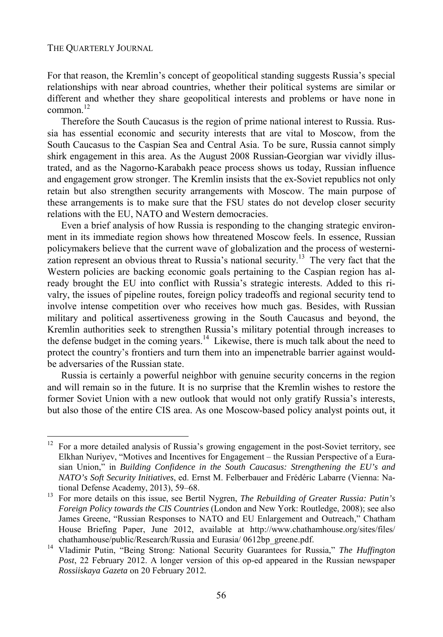l

For that reason, the Kremlin's concept of geopolitical standing suggests Russia's special relationships with near abroad countries, whether their political systems are similar or different and whether they share geopolitical interests and problems or have none in  $common<sup>12</sup>$ 

Therefore the South Caucasus is the region of prime national interest to Russia. Russia has essential economic and security interests that are vital to Moscow, from the South Caucasus to the Caspian Sea and Central Asia. To be sure, Russia cannot simply shirk engagement in this area. As the August 2008 Russian-Georgian war vividly illustrated, and as the Nagorno-Karabakh peace process shows us today, Russian influence and engagement grow stronger. The Kremlin insists that the ex-Soviet republics not only retain but also strengthen security arrangements with Moscow. The main purpose of these arrangements is to make sure that the FSU states do not develop closer security relations with the EU, NATO and Western democracies.

Even a brief analysis of how Russia is responding to the changing strategic environment in its immediate region shows how threatened Moscow feels. In essence, Russian policymakers believe that the current wave of globalization and the process of westernization represent an obvious threat to Russia's national security.<sup>13</sup> The very fact that the Western policies are backing economic goals pertaining to the Caspian region has already brought the EU into conflict with Russia's strategic interests. Added to this rivalry, the issues of pipeline routes, foreign policy tradeoffs and regional security tend to involve intense competition over who receives how much gas. Besides, with Russian military and political assertiveness growing in the South Caucasus and beyond, the Kremlin authorities seek to strengthen Russia's military potential through increases to the defense budget in the coming years.<sup>14</sup> Likewise, there is much talk about the need to protect the country's frontiers and turn them into an impenetrable barrier against wouldbe adversaries of the Russian state.

Russia is certainly a powerful neighbor with genuine security concerns in the region and will remain so in the future. It is no surprise that the Kremlin wishes to restore the former Soviet Union with a new outlook that would not only gratify Russia's interests, but also those of the entire CIS area. As one Moscow-based policy analyst points out, it

 $12$  For a more detailed analysis of Russia's growing engagement in the post-Soviet territory, see Elkhan Nuriyev, "Motives and Incentives for Engagement – the Russian Perspective of a Eurasian Union," in *Building Confidence in the South Caucasus: Strengthening the EU's and NATO's Soft Security Initiatives*, ed. Ernst M. Felberbauer and Frédéric Labarre (Vienna: National Defense Academy, 2013), 59–68. 13 For more details on this issue, see Bertil Nygren, *The Rebuilding of Greater Russia: Putin's* 

*Foreign Policy towards the CIS Countries* (London and New York: Routledge, 2008); see also James Greene, "Russian Responses to NATO and EU Enlargement and Outreach," Chatham House Briefing Paper, June 2012, available at http://www.chathamhouse.org/sites/files/ chathamhouse/public/Research/Russia and Eurasia/ 0612bp\_greene.pdf. 14 Vladimir Putin, "Being Strong: National Security Guarantees for Russia," *The Huffington* 

*Post*, 22 February 2012. A longer version of this op-ed appeared in the Russian newspaper *Rossiiskaya Gazeta* on 20 February 2012*.*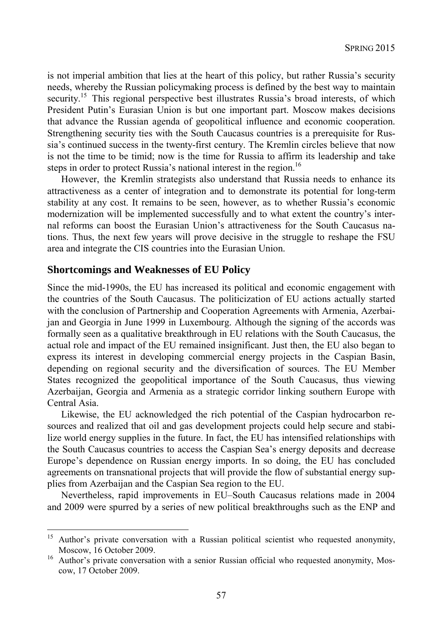is not imperial ambition that lies at the heart of this policy, but rather Russia's security needs, whereby the Russian policymaking process is defined by the best way to maintain security.<sup>15</sup> This regional perspective best illustrates Russia's broad interests, of which President Putin's Eurasian Union is but one important part. Moscow makes decisions that advance the Russian agenda of geopolitical influence and economic cooperation. Strengthening security ties with the South Caucasus countries is a prerequisite for Russia's continued success in the twenty-first century. The Kremlin circles believe that now is not the time to be timid; now is the time for Russia to affirm its leadership and take steps in order to protect Russia's national interest in the region.<sup>16</sup>

However, the Kremlin strategists also understand that Russia needs to enhance its attractiveness as a center of integration and to demonstrate its potential for long-term stability at any cost. It remains to be seen, however, as to whether Russia's economic modernization will be implemented successfully and to what extent the country's internal reforms can boost the Eurasian Union's attractiveness for the South Caucasus nations. Thus, the next few years will prove decisive in the struggle to reshape the FSU area and integrate the CIS countries into the Eurasian Union.

#### **Shortcomings and Weaknesses of EU Policy**

Since the mid-1990s, the EU has increased its political and economic engagement with the countries of the South Caucasus. The politicization of EU actions actually started with the conclusion of Partnership and Cooperation Agreements with Armenia, Azerbaijan and Georgia in June 1999 in Luxembourg. Although the signing of the accords was formally seen as a qualitative breakthrough in EU relations with the South Caucasus, the actual role and impact of the EU remained insignificant. Just then, the EU also began to express its interest in developing commercial energy projects in the Caspian Basin, depending on regional security and the diversification of sources. The EU Member States recognized the geopolitical importance of the South Caucasus, thus viewing Azerbaijan, Georgia and Armenia as a strategic corridor linking southern Europe with Central Asia.

Likewise, the EU acknowledged the rich potential of the Caspian hydrocarbon resources and realized that oil and gas development projects could help secure and stabilize world energy supplies in the future. In fact, the EU has intensified relationships with the South Caucasus countries to access the Caspian Sea's energy deposits and decrease Europe's dependence on Russian energy imports. In so doing, the EU has concluded agreements on transnational projects that will provide the flow of substantial energy supplies from Azerbaijan and the Caspian Sea region to the EU.

Nevertheless, rapid improvements in EU–South Caucasus relations made in 2004 and 2009 were spurred by a series of new political breakthroughs such as the ENP and

<sup>15</sup> 15 Author's private conversation with a Russian political scientist who requested anonymity, Moscow, 16 October 2009.<br><sup>16</sup> Author's private conversation with a senior Russian official who requested anonymity, Mos-

cow, 17 October 2009.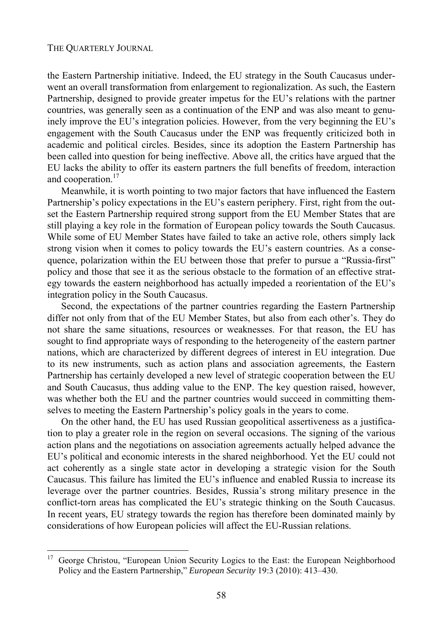l

the Eastern Partnership initiative. Indeed, the EU strategy in the South Caucasus underwent an overall transformation from enlargement to regionalization. As such, the Eastern Partnership, designed to provide greater impetus for the EU's relations with the partner countries, was generally seen as a continuation of the ENP and was also meant to genuinely improve the EU's integration policies. However, from the very beginning the EU's engagement with the South Caucasus under the ENP was frequently criticized both in academic and political circles. Besides, since its adoption the Eastern Partnership has been called into question for being ineffective. Above all, the critics have argued that the EU lacks the ability to offer its eastern partners the full benefits of freedom, interaction and cooperation.<sup>17</sup>

Meanwhile, it is worth pointing to two major factors that have influenced the Eastern Partnership's policy expectations in the EU's eastern periphery. First, right from the outset the Eastern Partnership required strong support from the EU Member States that are still playing a key role in the formation of European policy towards the South Caucasus. While some of EU Member States have failed to take an active role, others simply lack strong vision when it comes to policy towards the EU's eastern countries. As a consequence, polarization within the EU between those that prefer to pursue a "Russia-first" policy and those that see it as the serious obstacle to the formation of an effective strategy towards the eastern neighborhood has actually impeded a reorientation of the EU's integration policy in the South Caucasus.

Second, the expectations of the partner countries regarding the Eastern Partnership differ not only from that of the EU Member States, but also from each other's. They do not share the same situations, resources or weaknesses. For that reason, the EU has sought to find appropriate ways of responding to the heterogeneity of the eastern partner nations, which are characterized by different degrees of interest in EU integration. Due to its new instruments, such as action plans and association agreements, the Eastern Partnership has certainly developed a new level of strategic cooperation between the EU and South Caucasus, thus adding value to the ENP. The key question raised, however, was whether both the EU and the partner countries would succeed in committing themselves to meeting the Eastern Partnership's policy goals in the years to come.

On the other hand, the EU has used Russian geopolitical assertiveness as a justification to play a greater role in the region on several occasions. The signing of the various action plans and the negotiations on association agreements actually helped advance the EU's political and economic interests in the shared neighborhood. Yet the EU could not act coherently as a single state actor in developing a strategic vision for the South Caucasus. This failure has limited the EU's influence and enabled Russia to increase its leverage over the partner countries. Besides, Russia's strong military presence in the conflict-torn areas has complicated the EU's strategic thinking on the South Caucasus. In recent years, EU strategy towards the region has therefore been dominated mainly by considerations of how European policies will affect the EU-Russian relations.

<sup>&</sup>lt;sup>17</sup> George Christou, "European Union Security Logics to the East: the European Neighborhood Policy and the Eastern Partnership," *European Security* 19:3 (2010): 413–430.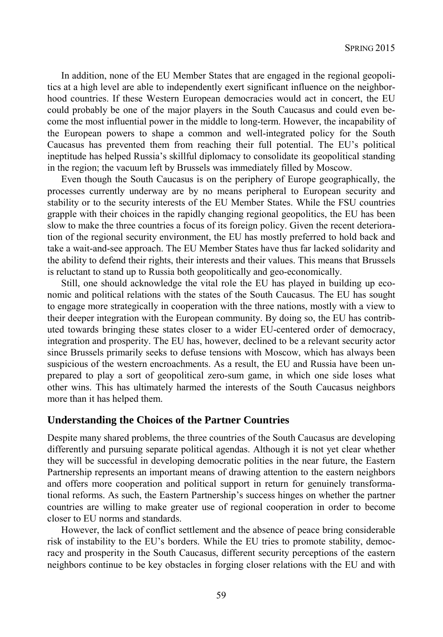In addition, none of the EU Member States that are engaged in the regional geopolitics at a high level are able to independently exert significant influence on the neighborhood countries. If these Western European democracies would act in concert, the EU could probably be one of the major players in the South Caucasus and could even become the most influential power in the middle to long-term. However, the incapability of the European powers to shape a common and well-integrated policy for the South Caucasus has prevented them from reaching their full potential. The EU's political ineptitude has helped Russia's skillful diplomacy to consolidate its geopolitical standing in the region; the vacuum left by Brussels was immediately filled by Moscow.

Even though the South Caucasus is on the periphery of Europe geographically, the processes currently underway are by no means peripheral to European security and stability or to the security interests of the EU Member States. While the FSU countries grapple with their choices in the rapidly changing regional geopolitics, the EU has been slow to make the three countries a focus of its foreign policy. Given the recent deterioration of the regional security environment, the EU has mostly preferred to hold back and take a wait-and-see approach. The EU Member States have thus far lacked solidarity and the ability to defend their rights, their interests and their values. This means that Brussels is reluctant to stand up to Russia both geopolitically and geo-economically.

Still, one should acknowledge the vital role the EU has played in building up economic and political relations with the states of the South Caucasus. The EU has sought to engage more strategically in cooperation with the three nations, mostly with a view to their deeper integration with the European community. By doing so, the EU has contributed towards bringing these states closer to a wider EU-centered order of democracy, integration and prosperity. The EU has, however, declined to be a relevant security actor since Brussels primarily seeks to defuse tensions with Moscow, which has always been suspicious of the western encroachments. As a result, the EU and Russia have been unprepared to play a sort of geopolitical zero-sum game, in which one side loses what other wins. This has ultimately harmed the interests of the South Caucasus neighbors more than it has helped them.

### **Understanding the Choices of the Partner Countries**

Despite many shared problems, the three countries of the South Caucasus are developing differently and pursuing separate political agendas. Although it is not yet clear whether they will be successful in developing democratic polities in the near future, the Eastern Partnership represents an important means of drawing attention to the eastern neighbors and offers more cooperation and political support in return for genuinely transformational reforms. As such, the Eastern Partnership's success hinges on whether the partner countries are willing to make greater use of regional cooperation in order to become closer to EU norms and standards.

However, the lack of conflict settlement and the absence of peace bring considerable risk of instability to the EU's borders. While the EU tries to promote stability, democracy and prosperity in the South Caucasus, different security perceptions of the eastern neighbors continue to be key obstacles in forging closer relations with the EU and with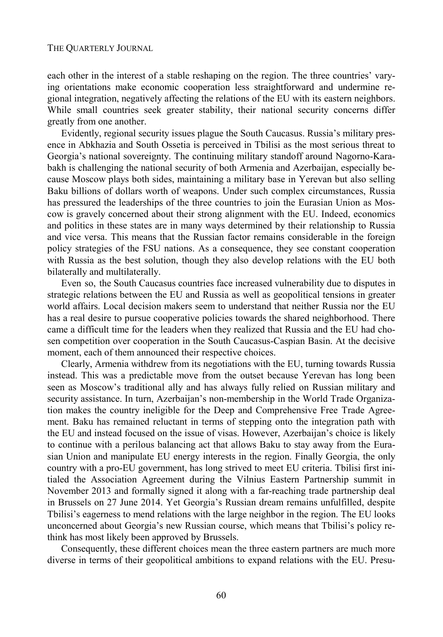each other in the interest of a stable reshaping on the region. The three countries' varying orientations make economic cooperation less straightforward and undermine regional integration, negatively affecting the relations of the EU with its eastern neighbors. While small countries seek greater stability, their national security concerns differ greatly from one another.

Evidently, regional security issues plague the South Caucasus. Russia's military presence in Abkhazia and South Ossetia is perceived in Tbilisi as the most serious threat to Georgia's national sovereignty. The continuing military standoff around Nagorno-Karabakh is challenging the national security of both Armenia and Azerbaijan, especially because Moscow plays both sides, maintaining a military base in Yerevan but also selling Baku billions of dollars worth of weapons. Under such complex circumstances, Russia has pressured the leaderships of the three countries to join the Eurasian Union as Moscow is gravely concerned about their strong alignment with the EU. Indeed, economics and politics in these states are in many ways determined by their relationship to Russia and vice versa. This means that the Russian factor remains considerable in the foreign policy strategies of the FSU nations. As a consequence, they see constant cooperation with Russia as the best solution, though they also develop relations with the EU both bilaterally and multilaterally.

Even so, the South Caucasus countries face increased vulnerability due to disputes in strategic relations between the EU and Russia as well as geopolitical tensions in greater world affairs. Local decision makers seem to understand that neither Russia nor the EU has a real desire to pursue cooperative policies towards the shared neighborhood. There came a difficult time for the leaders when they realized that Russia and the EU had chosen competition over cooperation in the South Caucasus-Caspian Basin. At the decisive moment, each of them announced their respective choices.

Clearly, Armenia withdrew from its negotiations with the EU, turning towards Russia instead. This was a predictable move from the outset because Yerevan has long been seen as Moscow's traditional ally and has always fully relied on Russian military and security assistance. In turn, Azerbaijan's non-membership in the World Trade Organization makes the country ineligible for the Deep and Comprehensive Free Trade Agreement. Baku has remained reluctant in terms of stepping onto the integration path with the EU and instead focused on the issue of visas. However, Azerbaijan's choice is likely to continue with a perilous balancing act that allows Baku to stay away from the Eurasian Union and manipulate EU energy interests in the region. Finally Georgia, the only country with a pro-EU government, has long strived to meet EU criteria. Tbilisi first initialed the Association Agreement during the Vilnius Eastern Partnership summit in November 2013 and formally signed it along with a far-reaching trade partnership deal in Brussels on 27 June 2014. Yet Georgia's Russian dream remains unfulfilled, despite Tbilisi's eagerness to mend relations with the large neighbor in the region. The EU looks unconcerned about Georgia's new Russian course, which means that Tbilisi's policy rethink has most likely been approved by Brussels.

Consequently, these different choices mean the three eastern partners are much more diverse in terms of their geopolitical ambitions to expand relations with the EU. Presu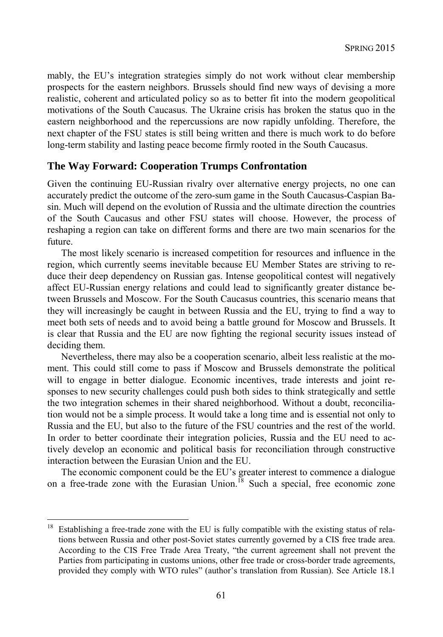mably, the EU's integration strategies simply do not work without clear membership prospects for the eastern neighbors. Brussels should find new ways of devising a more realistic, coherent and articulated policy so as to better fit into the modern geopolitical motivations of the South Caucasus. The Ukraine crisis has broken the status quo in the eastern neighborhood and the repercussions are now rapidly unfolding. Therefore, the next chapter of the FSU states is still being written and there is much work to do before long-term stability and lasting peace become firmly rooted in the South Caucasus.

### **The Way Forward: Cooperation Trumps Confrontation**

Given the continuing EU-Russian rivalry over alternative energy projects, no one can accurately predict the outcome of the zero-sum game in the South Caucasus-Caspian Basin. Much will depend on the evolution of Russia and the ultimate direction the countries of the South Caucasus and other FSU states will choose. However, the process of reshaping a region can take on different forms and there are two main scenarios for the future.

The most likely scenario is increased competition for resources and influence in the region, which currently seems inevitable because EU Member States are striving to reduce their deep dependency on Russian gas. Intense geopolitical contest will negatively affect EU-Russian energy relations and could lead to significantly greater distance between Brussels and Moscow. For the South Caucasus countries, this scenario means that they will increasingly be caught in between Russia and the EU, trying to find a way to meet both sets of needs and to avoid being a battle ground for Moscow and Brussels. It is clear that Russia and the EU are now fighting the regional security issues instead of deciding them.

Nevertheless, there may also be a cooperation scenario, albeit less realistic at the moment. This could still come to pass if Moscow and Brussels demonstrate the political will to engage in better dialogue. Economic incentives, trade interests and joint responses to new security challenges could push both sides to think strategically and settle the two integration schemes in their shared neighborhood. Without a doubt, reconciliation would not be a simple process. It would take a long time and is essential not only to Russia and the EU, but also to the future of the FSU countries and the rest of the world. In order to better coordinate their integration policies, Russia and the EU need to actively develop an economic and political basis for reconciliation through constructive interaction between the Eurasian Union and the EU.

The economic component could be the EU's greater interest to commence a dialogue on a free-trade zone with the Eurasian Union.<sup>18</sup> Such a special, free economic zone

l

<sup>18</sup> Establishing a free-trade zone with the EU is fully compatible with the existing status of relations between Russia and other post-Soviet states currently governed by a CIS free trade area. According to the CIS Free Trade Area Treaty, "the current agreement shall not prevent the Parties from participating in customs unions, other free trade or cross-border trade agreements, provided they comply with WTO rules" (author's translation from Russian). See Article 18.1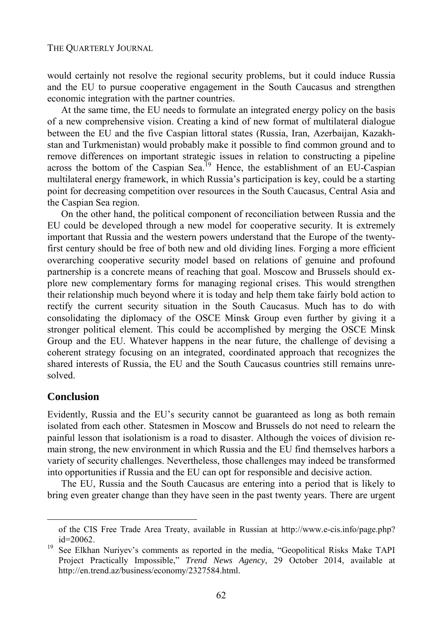would certainly not resolve the regional security problems, but it could induce Russia and the EU to pursue cooperative engagement in the South Caucasus and strengthen economic integration with the partner countries.

At the same time, the EU needs to formulate an integrated energy policy on the basis of a new comprehensive vision. Creating a kind of new format of multilateral dialogue between the EU and the five Caspian littoral states (Russia, Iran, Azerbaijan, Kazakhstan and Turkmenistan) would probably make it possible to find common ground and to remove differences on important strategic issues in relation to constructing a pipeline across the bottom of the Caspian Sea.<sup>19</sup> Hence, the establishment of an EU-Caspian multilateral energy framework, in which Russia's participation is key, could be a starting point for decreasing competition over resources in the South Caucasus, Central Asia and the Caspian Sea region.

On the other hand, the political component of reconciliation between Russia and the EU could be developed through a new model for cooperative security. It is extremely important that Russia and the western powers understand that the Europe of the twentyfirst century should be free of both new and old dividing lines. Forging a more efficient overarching cooperative security model based on relations of genuine and profound partnership is a concrete means of reaching that goal. Moscow and Brussels should explore new complementary forms for managing regional crises. This would strengthen their relationship much beyond where it is today and help them take fairly bold action to rectify the current security situation in the South Caucasus. Much has to do with consolidating the diplomacy of the OSCE Minsk Group even further by giving it a stronger political element. This could be accomplished by merging the OSCE Minsk Group and the EU. Whatever happens in the near future, the challenge of devising a coherent strategy focusing on an integrated, coordinated approach that recognizes the shared interests of Russia, the EU and the South Caucasus countries still remains unresolved.

## **Conclusion**

l

Evidently, Russia and the EU's security cannot be guaranteed as long as both remain isolated from each other. Statesmen in Moscow and Brussels do not need to relearn the painful lesson that isolationism is a road to disaster. Although the voices of division remain strong, the new environment in which Russia and the EU find themselves harbors a variety of security challenges. Nevertheless, those challenges may indeed be transformed into opportunities if Russia and the EU can opt for responsible and decisive action.

The EU, Russia and the South Caucasus are entering into a period that is likely to bring even greater change than they have seen in the past twenty years. There are urgent

of the CIS Free Trade Area Treaty, available in Russian at http://www.e-cis.info/page.php? id=20062.<br>See Elkhan Nuriyev's comments as reported in the media, "Geopolitical Risks Make TAPI

Project Practically Impossible," *Trend News Agency*, 29 October 2014, available at http://en.trend.az/business/economy/2327584.html.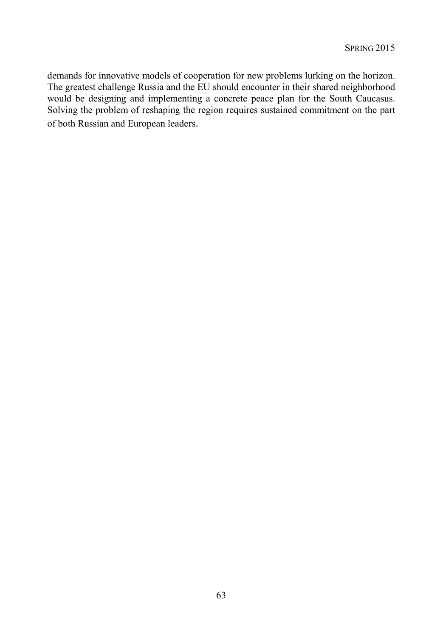demands for innovative models of cooperation for new problems lurking on the horizon. The greatest challenge Russia and the EU should encounter in their shared neighborhood would be designing and implementing a concrete peace plan for the South Caucasus. Solving the problem of reshaping the region requires sustained commitment on the part of both Russian and European leaders.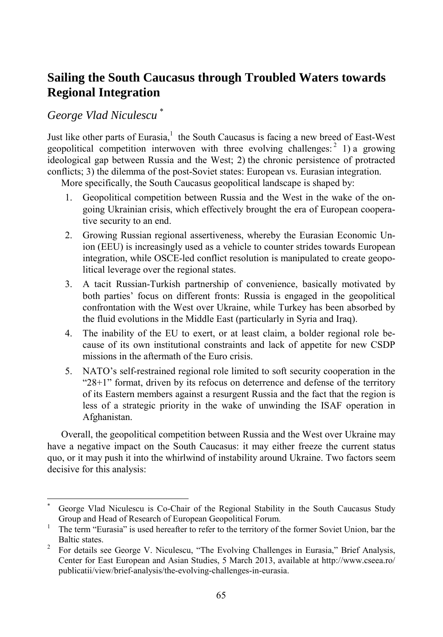# **Sailing the South Caucasus through Troubled Waters towards Regional Integration**

*George Vlad Niculescu* \*

l

Just like other parts of Eurasia,<sup>1</sup> the South Caucasus is facing a new breed of East-West geopolitical competition interwoven with three evolving challenges:  $2$  1) a growing ideological gap between Russia and the West; 2) the chronic persistence of protracted conflicts; 3) the dilemma of the post-Soviet states: European vs. Eurasian integration.

More specifically, the South Caucasus geopolitical landscape is shaped by:

- 1. Geopolitical competition between Russia and the West in the wake of the ongoing Ukrainian crisis, which effectively brought the era of European cooperative security to an end.
- 2. Growing Russian regional assertiveness, whereby the Eurasian Economic Union (EEU) is increasingly used as a vehicle to counter strides towards European integration, while OSCE-led conflict resolution is manipulated to create geopolitical leverage over the regional states.
- 3. A tacit Russian-Turkish partnership of convenience, basically motivated by both parties' focus on different fronts: Russia is engaged in the geopolitical confrontation with the West over Ukraine, while Turkey has been absorbed by the fluid evolutions in the Middle East (particularly in Syria and Iraq).
- 4. The inability of the EU to exert, or at least claim, a bolder regional role because of its own institutional constraints and lack of appetite for new CSDP missions in the aftermath of the Euro crisis.
- 5. NATO's self-restrained regional role limited to soft security cooperation in the "28+1" format, driven by its refocus on deterrence and defense of the territory of its Eastern members against a resurgent Russia and the fact that the region is less of a strategic priority in the wake of unwinding the ISAF operation in Afghanistan.

Overall, the geopolitical competition between Russia and the West over Ukraine may have a negative impact on the South Caucasus: it may either freeze the current status quo, or it may push it into the whirlwind of instability around Ukraine. Two factors seem decisive for this analysis:

<sup>\*</sup> George Vlad Niculescu is Co-Chair of the Regional Stability in the South Caucasus Study Group and Head of Research of European Geopolitical Forum.<br><sup>1</sup> The term "European" is used becauster to refer to the territory of t

The term "Eurasia" is used hereafter to refer to the territory of the former Soviet Union, bar the Baltic states.

For details see George V. Niculescu, "The Evolving Challenges in Eurasia," Brief Analysis, Center for East European and Asian Studies, 5 March 2013, available at http://www.cseea.ro/ publicatii/view/brief-analysis/the-evolving-challenges-in-eurasia.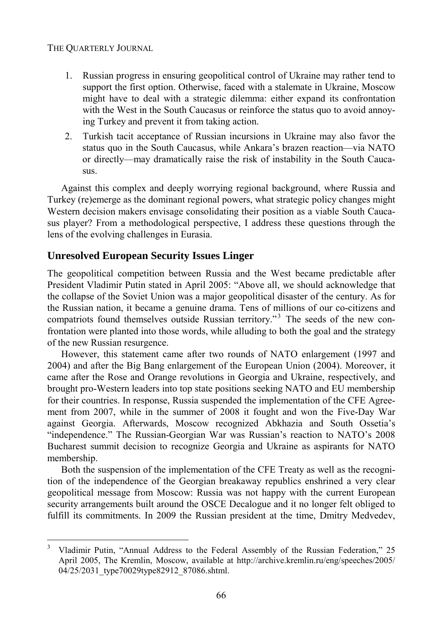- 1. Russian progress in ensuring geopolitical control of Ukraine may rather tend to support the first option. Otherwise, faced with a stalemate in Ukraine, Moscow might have to deal with a strategic dilemma: either expand its confrontation with the West in the South Caucasus or reinforce the status quo to avoid annoying Turkey and prevent it from taking action.
- 2. Turkish tacit acceptance of Russian incursions in Ukraine may also favor the status quo in the South Caucasus, while Ankara's brazen reaction—via NATO or directly—may dramatically raise the risk of instability in the South Caucasus.

Against this complex and deeply worrying regional background, where Russia and Turkey (re)emerge as the dominant regional powers, what strategic policy changes might Western decision makers envisage consolidating their position as a viable South Caucasus player? From a methodological perspective, I address these questions through the lens of the evolving challenges in Eurasia.

## **Unresolved European Security Issues Linger**

The geopolitical competition between Russia and the West became predictable after President Vladimir Putin stated in April 2005: "Above all, we should acknowledge that the collapse of the Soviet Union was a major geopolitical disaster of the century. As for the Russian nation, it became a genuine drama. Tens of millions of our co-citizens and compatriots found themselves outside Russian territory."<sup>3</sup> The seeds of the new confrontation were planted into those words, while alluding to both the goal and the strategy of the new Russian resurgence.

However, this statement came after two rounds of NATO enlargement (1997 and 2004) and after the Big Bang enlargement of the European Union (2004). Moreover, it came after the Rose and Orange revolutions in Georgia and Ukraine, respectively, and brought pro-Western leaders into top state positions seeking NATO and EU membership for their countries. In response, Russia suspended the implementation of the CFE Agreement from 2007, while in the summer of 2008 it fought and won the Five-Day War against Georgia. Afterwards, Moscow recognized Abkhazia and South Ossetia's "independence." The Russian-Georgian War was Russian's reaction to NATO's 2008 Bucharest summit decision to recognize Georgia and Ukraine as aspirants for NATO membership.

Both the suspension of the implementation of the CFE Treaty as well as the recognition of the independence of the Georgian breakaway republics enshrined a very clear geopolitical message from Moscow: Russia was not happy with the current European security arrangements built around the OSCE Decalogue and it no longer felt obliged to fulfill its commitments. In 2009 the Russian president at the time, Dmitry Medvedev,

<sup>&</sup>lt;sup>2</sup><br>3 Vladimir Putin, "Annual Address to the Federal Assembly of the Russian Federation," 25 April 2005, The Kremlin, Moscow, available at http://archive.kremlin.ru/eng/speeches/2005/ 04/25/2031\_type70029type82912\_87086.shtml.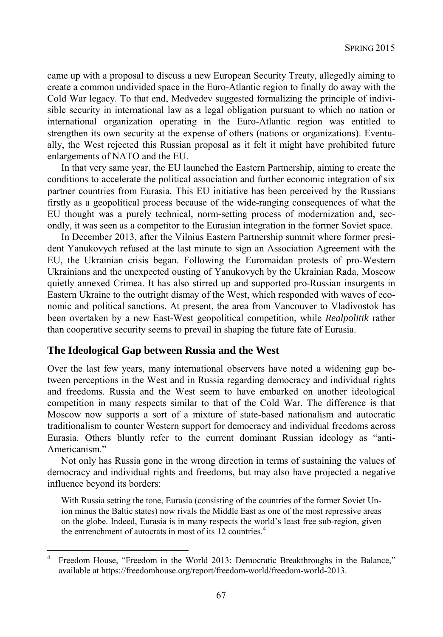came up with a proposal to discuss a new European Security Treaty, allegedly aiming to create a common undivided space in the Euro-Atlantic region to finally do away with the Cold War legacy. To that end, Medvedev suggested formalizing the principle of indivisible security in international law as a legal obligation pursuant to which no nation or international organization operating in the Euro-Atlantic region was entitled to strengthen its own security at the expense of others (nations or organizations). Eventually, the West rejected this Russian proposal as it felt it might have prohibited future enlargements of NATO and the EU.

In that very same year, the EU launched the Eastern Partnership, aiming to create the conditions to accelerate the political association and further economic integration of six partner countries from Eurasia. This EU initiative has been perceived by the Russians firstly as a geopolitical process because of the wide-ranging consequences of what the EU thought was a purely technical, norm-setting process of modernization and, secondly, it was seen as a competitor to the Eurasian integration in the former Soviet space.

In December 2013, after the Vilnius Eastern Partnership summit where former president Yanukovych refused at the last minute to sign an Association Agreement with the EU, the Ukrainian crisis began. Following the Euromaidan protests of pro-Western Ukrainians and the unexpected ousting of Yanukovych by the Ukrainian Rada, Moscow quietly annexed Crimea. It has also stirred up and supported pro-Russian insurgents in Eastern Ukraine to the outright dismay of the West, which responded with waves of economic and political sanctions. At present, the area from Vancouver to Vladivostok has been overtaken by a new East-West geopolitical competition, while *Realpolitik* rather than cooperative security seems to prevail in shaping the future fate of Eurasia.

## **The Ideological Gap between Russia and the West**

l

Over the last few years, many international observers have noted a widening gap between perceptions in the West and in Russia regarding democracy and individual rights and freedoms. Russia and the West seem to have embarked on another ideological competition in many respects similar to that of the Cold War. The difference is that Moscow now supports a sort of a mixture of state-based nationalism and autocratic traditionalism to counter Western support for democracy and individual freedoms across Eurasia. Others bluntly refer to the current dominant Russian ideology as "anti-Americanism."

Not only has Russia gone in the wrong direction in terms of sustaining the values of democracy and individual rights and freedoms, but may also have projected a negative influence beyond its borders:

With Russia setting the tone, Eurasia (consisting of the countries of the former Soviet Union minus the Baltic states) now rivals the Middle East as one of the most repressive areas on the globe. Indeed, Eurasia is in many respects the world's least free sub-region, given the entrenchment of autocrats in most of its 12 countries.<sup>4</sup>

<sup>4</sup> Freedom House, "Freedom in the World 2013: Democratic Breakthroughs in the Balance," available at https://freedomhouse.org/report/freedom-world/freedom-world-2013.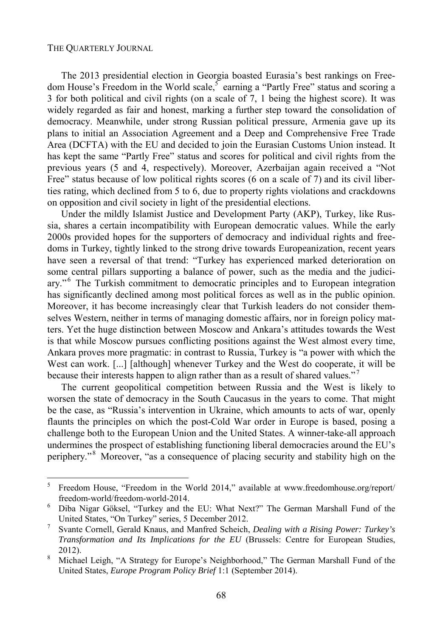The 2013 presidential election in Georgia boasted Eurasia's best rankings on Freedom House's Freedom in the World scale,<sup>5</sup> earning a "Partly Free" status and scoring a 3 for both political and civil rights (on a scale of 7, 1 being the highest score). It was widely regarded as fair and honest, marking a further step toward the consolidation of democracy. Meanwhile, under strong Russian political pressure, Armenia gave up its plans to initial an Association Agreement and a Deep and Comprehensive Free Trade Area (DCFTA) with the EU and decided to join the Eurasian Customs Union instead. It has kept the same "Partly Free" status and scores for political and civil rights from the previous years (5 and 4, respectively). Moreover, Azerbaijan again received a "Not Free" status because of low political rights scores (6 on a scale of 7) and its civil liberties rating, which declined from 5 to 6, due to property rights violations and crackdowns on opposition and civil society in light of the presidential elections.

Under the mildly Islamist Justice and Development Party (AKP), Turkey, like Russia, shares a certain incompatibility with European democratic values. While the early 2000s provided hopes for the supporters of democracy and individual rights and freedoms in Turkey, tightly linked to the strong drive towards Europeanization, recent years have seen a reversal of that trend: "Turkey has experienced marked deterioration on some central pillars supporting a balance of power, such as the media and the judiciary."<sup>6</sup> The Turkish commitment to democratic principles and to European integration has significantly declined among most political forces as well as in the public opinion. Moreover, it has become increasingly clear that Turkish leaders do not consider themselves Western, neither in terms of managing domestic affairs, nor in foreign policy matters. Yet the huge distinction between Moscow and Ankara's attitudes towards the West is that while Moscow pursues conflicting positions against the West almost every time, Ankara proves more pragmatic: in contrast to Russia, Turkey is "a power with which the West can work. [...] [although] whenever Turkey and the West do cooperate, it will be because their interests happen to align rather than as a result of shared values."<sup>7</sup>

The current geopolitical competition between Russia and the West is likely to worsen the state of democracy in the South Caucasus in the years to come. That might be the case, as "Russia's intervention in Ukraine, which amounts to acts of war, openly flaunts the principles on which the post-Cold War order in Europe is based, posing a challenge both to the European Union and the United States. A winner-take-all approach undermines the prospect of establishing functioning liberal democracies around the EU's periphery."<sup>8</sup> Moreover, "as a consequence of placing security and stability high on the

 5 Freedom House, "Freedom in the World 2014," available at www.freedomhouse.org/report/ freedom-world/freedom-world-2014. 6

Diba Nigar Göksel, "Turkey and the EU: What Next?" The German Marshall Fund of the United States, "On Turkey" series, 5 December 2012. 7

Svante Cornell, Gerald Knaus, and Manfred Scheich, *Dealing with a Rising Power: Turkey's Transformation and Its Implications for the EU* (Brussels: Centre for European Studies,  $2012$ ).

Michael Leigh, "A Strategy for Europe's Neighborhood," The German Marshall Fund of the United States, *Europe Program Policy Brief* 1:1 (September 2014).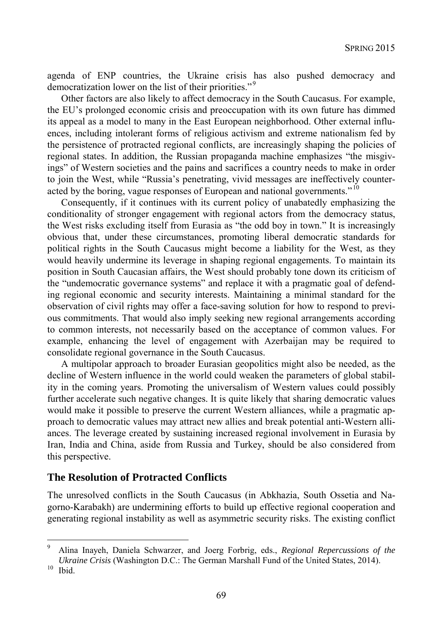agenda of ENP countries, the Ukraine crisis has also pushed democracy and democratization lower on the list of their priorities."<sup>9</sup>

Other factors are also likely to affect democracy in the South Caucasus. For example, the EU's prolonged economic crisis and preoccupation with its own future has dimmed its appeal as a model to many in the East European neighborhood. Other external influences, including intolerant forms of religious activism and extreme nationalism fed by the persistence of protracted regional conflicts, are increasingly shaping the policies of regional states. In addition, the Russian propaganda machine emphasizes "the misgivings" of Western societies and the pains and sacrifices a country needs to make in order to join the West, while "Russia's penetrating, vivid messages are ineffectively counteracted by the boring, vague responses of European and national governments."<sup>10</sup>

Consequently, if it continues with its current policy of unabatedly emphasizing the conditionality of stronger engagement with regional actors from the democracy status, the West risks excluding itself from Eurasia as "the odd boy in town." It is increasingly obvious that, under these circumstances, promoting liberal democratic standards for political rights in the South Caucasus might become a liability for the West, as they would heavily undermine its leverage in shaping regional engagements. To maintain its position in South Caucasian affairs, the West should probably tone down its criticism of the "undemocratic governance systems" and replace it with a pragmatic goal of defending regional economic and security interests. Maintaining a minimal standard for the observation of civil rights may offer a face-saving solution for how to respond to previous commitments. That would also imply seeking new regional arrangements according to common interests, not necessarily based on the acceptance of common values. For example, enhancing the level of engagement with Azerbaijan may be required to consolidate regional governance in the South Caucasus.

A multipolar approach to broader Eurasian geopolitics might also be needed, as the decline of Western influence in the world could weaken the parameters of global stability in the coming years. Promoting the universalism of Western values could possibly further accelerate such negative changes. It is quite likely that sharing democratic values would make it possible to preserve the current Western alliances, while a pragmatic approach to democratic values may attract new allies and break potential anti-Western alliances. The leverage created by sustaining increased regional involvement in Eurasia by Iran, India and China, aside from Russia and Turkey, should be also considered from this perspective.

## **The Resolution of Protracted Conflicts**

The unresolved conflicts in the South Caucasus (in Abkhazia, South Ossetia and Nagorno-Karabakh) are undermining efforts to build up effective regional cooperation and generating regional instability as well as asymmetric security risks. The existing conflict

l

<sup>9</sup> Alina Inayeh, Daniela Schwarzer, and Joerg Forbrig, eds., *Regional Repercussions of the Ukraine Crisis* (Washington D.C.: The German Marshall Fund of the United States, 2014).<br><sup>10</sup> Ibid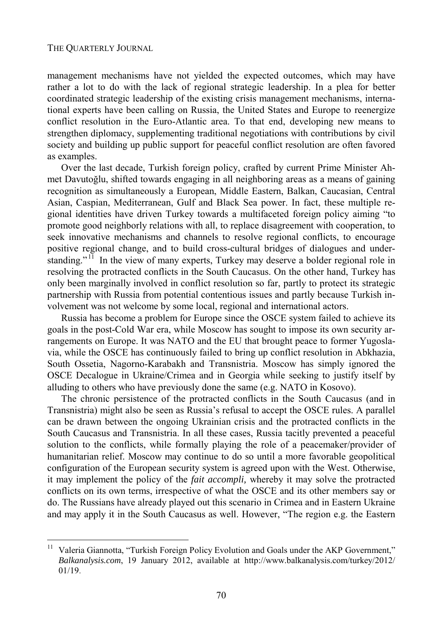l

management mechanisms have not yielded the expected outcomes, which may have rather a lot to do with the lack of regional strategic leadership. In a plea for better coordinated strategic leadership of the existing crisis management mechanisms, international experts have been calling on Russia, the United States and Europe to reenergize conflict resolution in the Euro-Atlantic area. To that end, developing new means to strengthen diplomacy, supplementing traditional negotiations with contributions by civil society and building up public support for peaceful conflict resolution are often favored as examples.

Over the last decade, Turkish foreign policy, crafted by current Prime Minister Ahmet Davutoğlu, shifted towards engaging in all neighboring areas as a means of gaining recognition as simultaneously a European, Middle Eastern, Balkan, Caucasian, Central Asian, Caspian, Mediterranean, Gulf and Black Sea power. In fact, these multiple regional identities have driven Turkey towards a multifaceted foreign policy aiming "to promote good neighborly relations with all, to replace disagreement with cooperation, to seek innovative mechanisms and channels to resolve regional conflicts, to encourage positive regional change, and to build cross-cultural bridges of dialogues and understanding."<sup>11</sup> In the view of many experts, Turkey may deserve a bolder regional role in resolving the protracted conflicts in the South Caucasus. On the other hand, Turkey has only been marginally involved in conflict resolution so far, partly to protect its strategic partnership with Russia from potential contentious issues and partly because Turkish involvement was not welcome by some local, regional and international actors.

Russia has become a problem for Europe since the OSCE system failed to achieve its goals in the post-Cold War era, while Moscow has sought to impose its own security arrangements on Europe. It was NATO and the EU that brought peace to former Yugoslavia, while the OSCE has continuously failed to bring up conflict resolution in Abkhazia, South Ossetia, Nagorno-Karabakh and Transnistria. Moscow has simply ignored the OSCE Decalogue in Ukraine/Crimea and in Georgia while seeking to justify itself by alluding to others who have previously done the same (e.g. NATO in Kosovo).

The chronic persistence of the protracted conflicts in the South Caucasus (and in Transnistria) might also be seen as Russia's refusal to accept the OSCE rules. A parallel can be drawn between the ongoing Ukrainian crisis and the protracted conflicts in the South Caucasus and Transnistria. In all these cases, Russia tacitly prevented a peaceful solution to the conflicts, while formally playing the role of a peacemaker/provider of humanitarian relief. Moscow may continue to do so until a more favorable geopolitical configuration of the European security system is agreed upon with the West. Otherwise, it may implement the policy of the *fait accompli,* whereby it may solve the protracted conflicts on its own terms, irrespective of what the OSCE and its other members say or do. The Russians have already played out this scenario in Crimea and in Eastern Ukraine and may apply it in the South Caucasus as well. However, "The region e.g. the Eastern

Valeria Giannotta, "Turkish Foreign Policy Evolution and Goals under the AKP Government," *Balkanalysis.com*, 19 January 2012, available at http://www.balkanalysis.com/turkey/2012/ 01/19.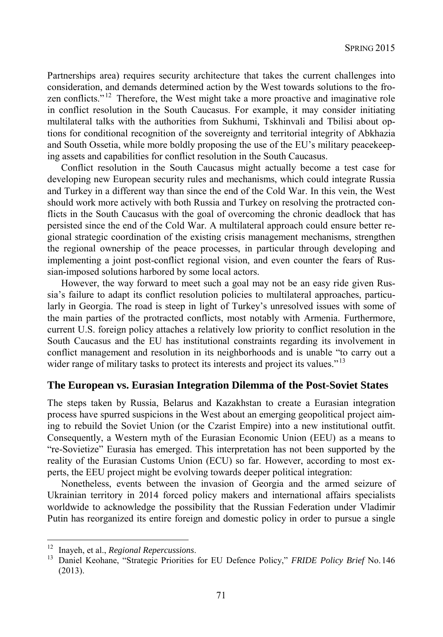Partnerships area) requires security architecture that takes the current challenges into consideration, and demands determined action by the West towards solutions to the frozen conflicts.<sup>" 12</sup> Therefore, the West might take a more proactive and imaginative role in conflict resolution in the South Caucasus. For example, it may consider initiating multilateral talks with the authorities from Sukhumi, Tskhinvali and Tbilisi about options for conditional recognition of the sovereignty and territorial integrity of Abkhazia and South Ossetia, while more boldly proposing the use of the EU's military peacekeeping assets and capabilities for conflict resolution in the South Caucasus.

Conflict resolution in the South Caucasus might actually become a test case for developing new European security rules and mechanisms, which could integrate Russia and Turkey in a different way than since the end of the Cold War. In this vein, the West should work more actively with both Russia and Turkey on resolving the protracted conflicts in the South Caucasus with the goal of overcoming the chronic deadlock that has persisted since the end of the Cold War. A multilateral approach could ensure better regional strategic coordination of the existing crisis management mechanisms, strengthen the regional ownership of the peace processes, in particular through developing and implementing a joint post-conflict regional vision, and even counter the fears of Russian-imposed solutions harbored by some local actors.

However, the way forward to meet such a goal may not be an easy ride given Russia's failure to adapt its conflict resolution policies to multilateral approaches, particularly in Georgia. The road is steep in light of Turkey's unresolved issues with some of the main parties of the protracted conflicts, most notably with Armenia. Furthermore, current U.S. foreign policy attaches a relatively low priority to conflict resolution in the South Caucasus and the EU has institutional constraints regarding its involvement in conflict management and resolution in its neighborhoods and is unable "to carry out a wider range of military tasks to protect its interests and project its values."<sup>13</sup>

### **The European vs. Eurasian Integration Dilemma of the Post-Soviet States**

The steps taken by Russia, Belarus and Kazakhstan to create a Eurasian integration process have spurred suspicions in the West about an emerging geopolitical project aiming to rebuild the Soviet Union (or the Czarist Empire) into a new institutional outfit. Consequently, a Western myth of the Eurasian Economic Union (EEU) as a means to "re-Sovietize" Eurasia has emerged. This interpretation has not been supported by the reality of the Eurasian Customs Union (ECU) so far. However, according to most experts, the EEU project might be evolving towards deeper political integration:

Nonetheless, events between the invasion of Georgia and the armed seizure of Ukrainian territory in 2014 forced policy makers and international affairs specialists worldwide to acknowledge the possibility that the Russian Federation under Vladimir Putin has reorganized its entire foreign and domestic policy in order to pursue a single

<sup>&</sup>lt;sup>12</sup> Inayeh, et al., *Regional Repercussions*.<br><sup>13</sup> Daniel Keohane, "Strategic Priorities for EU Defence Policy," *FRIDE Policy Brief* No. 146 (2013).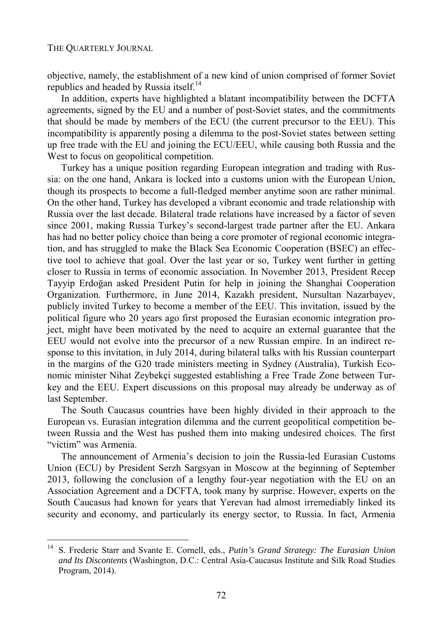l

objective, namely, the establishment of a new kind of union comprised of former Soviet republics and headed by Russia itself.<sup>14</sup>

In addition, experts have highlighted a blatant incompatibility between the DCFTA agreements, signed by the EU and a number of post-Soviet states, and the commitments that should be made by members of the ECU (the current precursor to the EEU). This incompatibility is apparently posing a dilemma to the post-Soviet states between setting up free trade with the EU and joining the ECU/EEU, while causing both Russia and the West to focus on geopolitical competition.

Turkey has a unique position regarding European integration and trading with Russia: on the one hand, Ankara is locked into a customs union with the European Union, though its prospects to become a full-fledged member anytime soon are rather minimal. On the other hand, Turkey has developed a vibrant economic and trade relationship with Russia over the last decade. Bilateral trade relations have increased by a factor of seven since 2001, making Russia Turkey's second-largest trade partner after the EU. Ankara has had no better policy choice than being a core promoter of regional economic integration, and has struggled to make the Black Sea Economic Cooperation (BSEC) an effective tool to achieve that goal. Over the last year or so, Turkey went further in getting closer to Russia in terms of economic association. In November 2013, President Recep Tayyip Erdoğan asked President Putin for help in joining the Shanghai Cooperation Organization. Furthermore, in June 2014, Kazakh president, Nursultan Nazarbayev, publicly invited Turkey to become a member of the EEU. This invitation, issued by the political figure who 20 years ago first proposed the Eurasian economic integration project, might have been motivated by the need to acquire an external guarantee that the EEU would not evolve into the precursor of a new Russian empire. In an indirect response to this invitation, in July 2014, during bilateral talks with his Russian counterpart in the margins of the G20 trade ministers meeting in Sydney (Australia), Turkish Economic minister Nihat Zeybekçi suggested establishing a Free Trade Zone between Turkey and the EEU. Expert discussions on this proposal may already be underway as of last September.

The South Caucasus countries have been highly divided in their approach to the European vs. Eurasian integration dilemma and the current geopolitical competition between Russia and the West has pushed them into making undesired choices. The first "victim" was Armenia.

The announcement of Armenia's decision to join the Russia-led Eurasian Customs Union (ECU) by President Serzh Sargsyan in Moscow at the beginning of September 2013, following the conclusion of a lengthy four-year negotiation with the EU on an Association Agreement and a DCFTA, took many by surprise. However, experts on the South Caucasus had known for years that Yerevan had almost irremediably linked its security and economy, and particularly its energy sector, to Russia. In fact, Armenia

<sup>14</sup> S. Frederic Starr and Svante E. Cornell, eds., *Putin's Grand Strategy: The Eurasian Union and Its Discontents* (Washington, D.C.: Central Asia-Caucasus Institute and Silk Road Studies Program, 2014).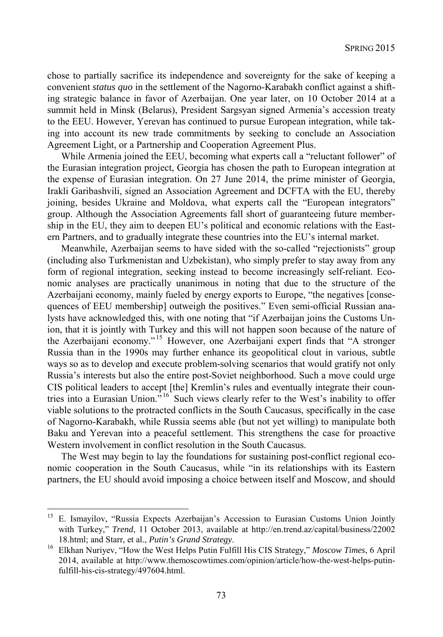chose to partially sacrifice its independence and sovereignty for the sake of keeping a convenient *status quo* in the settlement of the Nagorno-Karabakh conflict against a shifting strategic balance in favor of Azerbaijan. One year later, on 10 October 2014 at a summit held in Minsk (Belarus), President Sargsyan signed Armenia's accession treaty to the EEU. However, Yerevan has continued to pursue European integration, while taking into account its new trade commitments by seeking to conclude an Association Agreement Light, or a Partnership and Cooperation Agreement Plus.

While Armenia joined the EEU, becoming what experts call a "reluctant follower" of the Eurasian integration project, Georgia has chosen the path to European integration at the expense of Eurasian integration. On 27 June 2014, the prime minister of Georgia, Irakli Garibashvili, signed an Association Agreement and DCFTA with the EU, thereby joining, besides Ukraine and Moldova, what experts call the "European integrators" group. Although the Association Agreements fall short of guaranteeing future membership in the EU, they aim to deepen EU's political and economic relations with the Eastern Partners, and to gradually integrate these countries into the EU's internal market.

Meanwhile, Azerbaijan seems to have sided with the so-called "rejectionists" group (including also Turkmenistan and Uzbekistan), who simply prefer to stay away from any form of regional integration, seeking instead to become increasingly self-reliant. Economic analyses are practically unanimous in noting that due to the structure of the Azerbaijani economy, mainly fueled by energy exports to Europe, "the negatives [consequences of EEU membership] outweigh the positives." Even semi-official Russian analysts have acknowledged this, with one noting that "if Azerbaijan joins the Customs Union, that it is jointly with Turkey and this will not happen soon because of the nature of the Azerbaijani economy." 15 However, one Azerbaijani expert finds that "A stronger Russia than in the 1990s may further enhance its geopolitical clout in various, subtle ways so as to develop and execute problem-solving scenarios that would gratify not only Russia's interests but also the entire post-Soviet neighborhood. Such a move could urge CIS political leaders to accept [the] Kremlin's rules and eventually integrate their countries into a Eurasian Union.<sup>"16</sup> Such views clearly refer to the West's inability to offer viable solutions to the protracted conflicts in the South Caucasus, specifically in the case of Nagorno-Karabakh, while Russia seems able (but not yet willing) to manipulate both Baku and Yerevan into a peaceful settlement. This strengthens the case for proactive Western involvement in conflict resolution in the South Caucasus.

The West may begin to lay the foundations for sustaining post-conflict regional economic cooperation in the South Caucasus, while "in its relationships with its Eastern partners, the EU should avoid imposing a choice between itself and Moscow, and should

<sup>15</sup> 15 E. Ismayilov, "Russia Expects Azerbaijan's Accession to Eurasian Customs Union Jointly with Turkey," *Trend*, 11 October 2013, available at http://en.trend.az/capital/business/22002 18.html; and Starr, et al., *Putin's Grand Strategy*. 16 Elkhan Nuriyev, "How the West Helps Putin Fulfill His CIS Strategy," *Moscow Times*, 6 April

<sup>2014,</sup> available at http://www.themoscowtimes.com/opinion/article/how-the-west-helps-putinfulfill-his-cis-strategy/497604.html.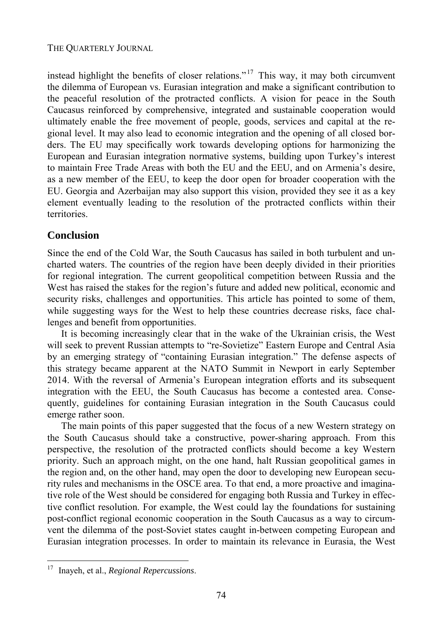### THE QUARTERLY JOURNAL

instead highlight the benefits of closer relations."<sup>17</sup> This way, it may both circumvent the dilemma of European vs. Eurasian integration and make a significant contribution to the peaceful resolution of the protracted conflicts. A vision for peace in the South Caucasus reinforced by comprehensive, integrated and sustainable cooperation would ultimately enable the free movement of people, goods, services and capital at the regional level. It may also lead to economic integration and the opening of all closed borders. The EU may specifically work towards developing options for harmonizing the European and Eurasian integration normative systems, building upon Turkey's interest to maintain Free Trade Areas with both the EU and the EEU, and on Armenia's desire, as a new member of the EEU, to keep the door open for broader cooperation with the EU. Georgia and Azerbaijan may also support this vision, provided they see it as a key element eventually leading to the resolution of the protracted conflicts within their territories.

# **Conclusion**

Since the end of the Cold War, the South Caucasus has sailed in both turbulent and uncharted waters. The countries of the region have been deeply divided in their priorities for regional integration. The current geopolitical competition between Russia and the West has raised the stakes for the region's future and added new political, economic and security risks, challenges and opportunities. This article has pointed to some of them, while suggesting ways for the West to help these countries decrease risks, face challenges and benefit from opportunities.

It is becoming increasingly clear that in the wake of the Ukrainian crisis, the West will seek to prevent Russian attempts to "re-Sovietize" Eastern Europe and Central Asia by an emerging strategy of "containing Eurasian integration." The defense aspects of this strategy became apparent at the NATO Summit in Newport in early September 2014. With the reversal of Armenia's European integration efforts and its subsequent integration with the EEU, the South Caucasus has become a contested area. Consequently, guidelines for containing Eurasian integration in the South Caucasus could emerge rather soon.

The main points of this paper suggested that the focus of a new Western strategy on the South Caucasus should take a constructive, power-sharing approach. From this perspective, the resolution of the protracted conflicts should become a key Western priority. Such an approach might, on the one hand, halt Russian geopolitical games in the region and, on the other hand, may open the door to developing new European security rules and mechanisms in the OSCE area. To that end, a more proactive and imaginative role of the West should be considered for engaging both Russia and Turkey in effective conflict resolution. For example, the West could lay the foundations for sustaining post-conflict regional economic cooperation in the South Caucasus as a way to circumvent the dilemma of the post-Soviet states caught in-between competing European and Eurasian integration processes. In order to maintain its relevance in Eurasia, the West

<sup>17</sup> Inayeh, et al., *Regional Repercussions*.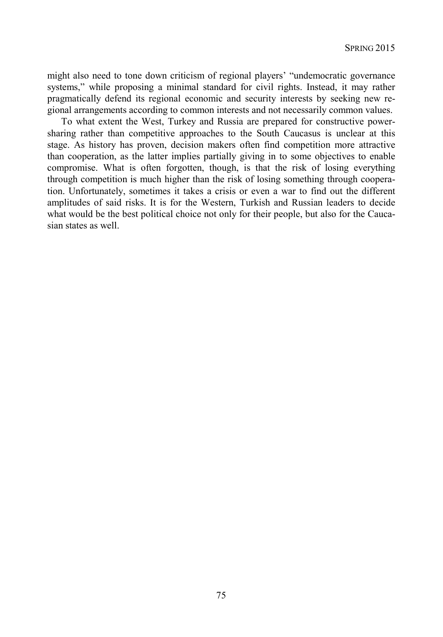might also need to tone down criticism of regional players' "undemocratic governance systems," while proposing a minimal standard for civil rights. Instead, it may rather pragmatically defend its regional economic and security interests by seeking new regional arrangements according to common interests and not necessarily common values.

To what extent the West, Turkey and Russia are prepared for constructive powersharing rather than competitive approaches to the South Caucasus is unclear at this stage. As history has proven, decision makers often find competition more attractive than cooperation, as the latter implies partially giving in to some objectives to enable compromise. What is often forgotten, though, is that the risk of losing everything through competition is much higher than the risk of losing something through cooperation. Unfortunately, sometimes it takes a crisis or even a war to find out the different amplitudes of said risks. It is for the Western, Turkish and Russian leaders to decide what would be the best political choice not only for their people, but also for the Caucasian states as well.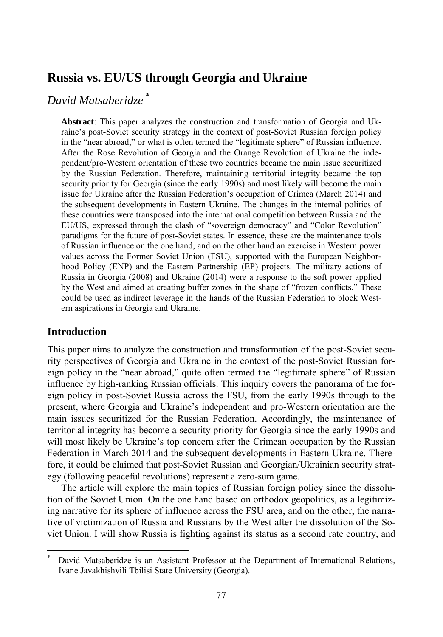# **Russia vs. EU/US through Georgia and Ukraine**

# *David Matsaberidze* \*

**Abstract**: This paper analyzes the construction and transformation of Georgia and Ukraine's post-Soviet security strategy in the context of post-Soviet Russian foreign policy in the "near abroad," or what is often termed the "legitimate sphere" of Russian influence. After the Rose Revolution of Georgia and the Orange Revolution of Ukraine the independent/pro-Western orientation of these two countries became the main issue securitized by the Russian Federation. Therefore, maintaining territorial integrity became the top security priority for Georgia (since the early 1990s) and most likely will become the main issue for Ukraine after the Russian Federation's occupation of Crimea (March 2014) and the subsequent developments in Eastern Ukraine. The changes in the internal politics of these countries were transposed into the international competition between Russia and the EU/US, expressed through the clash of "sovereign democracy" and "Color Revolution" paradigms for the future of post-Soviet states. In essence, these are the maintenance tools of Russian influence on the one hand, and on the other hand an exercise in Western power values across the Former Soviet Union (FSU), supported with the European Neighborhood Policy (ENP) and the Eastern Partnership (EP) projects. The military actions of Russia in Georgia (2008) and Ukraine (2014) were a response to the soft power applied by the West and aimed at creating buffer zones in the shape of "frozen conflicts." These could be used as indirect leverage in the hands of the Russian Federation to block Western aspirations in Georgia and Ukraine.

# **Introduction**

l

This paper aims to analyze the construction and transformation of the post-Soviet security perspectives of Georgia and Ukraine in the context of the post-Soviet Russian foreign policy in the "near abroad," quite often termed the "legitimate sphere" of Russian influence by high-ranking Russian officials. This inquiry covers the panorama of the foreign policy in post-Soviet Russia across the FSU, from the early 1990s through to the present, where Georgia and Ukraine's independent and pro-Western orientation are the main issues securitized for the Russian Federation. Accordingly, the maintenance of territorial integrity has become a security priority for Georgia since the early 1990s and will most likely be Ukraine's top concern after the Crimean occupation by the Russian Federation in March 2014 and the subsequent developments in Eastern Ukraine. Therefore, it could be claimed that post-Soviet Russian and Georgian/Ukrainian security strategy (following peaceful revolutions) represent a zero-sum game.

The article will explore the main topics of Russian foreign policy since the dissolution of the Soviet Union. On the one hand based on orthodox geopolitics, as a legitimizing narrative for its sphere of influence across the FSU area, and on the other, the narrative of victimization of Russia and Russians by the West after the dissolution of the Soviet Union. I will show Russia is fighting against its status as a second rate country, and

<sup>\*</sup> David Matsaberidze is an Assistant Professor at the Department of International Relations, Ivane Javakhishvili Tbilisi State University (Georgia).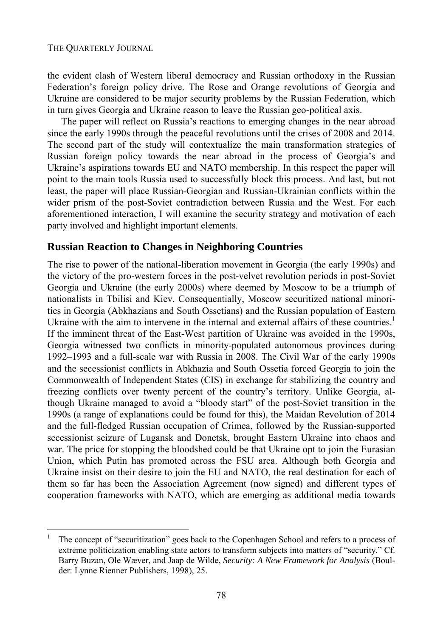l

the evident clash of Western liberal democracy and Russian orthodoxy in the Russian Federation's foreign policy drive. The Rose and Orange revolutions of Georgia and Ukraine are considered to be major security problems by the Russian Federation, which in turn gives Georgia and Ukraine reason to leave the Russian geo-political axis.

The paper will reflect on Russia's reactions to emerging changes in the near abroad since the early 1990s through the peaceful revolutions until the crises of 2008 and 2014. The second part of the study will contextualize the main transformation strategies of Russian foreign policy towards the near abroad in the process of Georgia's and Ukraine's aspirations towards EU and NATO membership. In this respect the paper will point to the main tools Russia used to successfully block this process. And last, but not least, the paper will place Russian-Georgian and Russian-Ukrainian conflicts within the wider prism of the post-Soviet contradiction between Russia and the West. For each aforementioned interaction, I will examine the security strategy and motivation of each party involved and highlight important elements.

## **Russian Reaction to Changes in Neighboring Countries**

The rise to power of the national-liberation movement in Georgia (the early 1990s) and the victory of the pro-western forces in the post-velvet revolution periods in post-Soviet Georgia and Ukraine (the early 2000s) where deemed by Moscow to be a triumph of nationalists in Tbilisi and Kiev. Consequentially, Moscow securitized national minorities in Georgia (Abkhazians and South Ossetians) and the Russian population of Eastern Ukraine with the aim to intervene in the internal and external affairs of these countries.<sup>1</sup> If the imminent threat of the East-West partition of Ukraine was avoided in the 1990s, Georgia witnessed two conflicts in minority-populated autonomous provinces during 1992–1993 and a full-scale war with Russia in 2008. The Civil War of the early 1990s and the secessionist conflicts in Abkhazia and South Ossetia forced Georgia to join the Commonwealth of Independent States (CIS) in exchange for stabilizing the country and freezing conflicts over twenty percent of the country's territory. Unlike Georgia, although Ukraine managed to avoid a "bloody start" of the post-Soviet transition in the 1990s (a range of explanations could be found for this), the Maidan Revolution of 2014 and the full-fledged Russian occupation of Crimea, followed by the Russian-supported secessionist seizure of Lugansk and Donetsk, brought Eastern Ukraine into chaos and war. The price for stopping the bloodshed could be that Ukraine opt to join the Eurasian Union, which Putin has promoted across the FSU area. Although both Georgia and Ukraine insist on their desire to join the EU and NATO, the real destination for each of them so far has been the Association Agreement (now signed) and different types of cooperation frameworks with NATO, which are emerging as additional media towards

<sup>1</sup> The concept of "securitization" goes back to the Copenhagen School and refers to a process of extreme politicization enabling state actors to transform subjects into matters of "security." Cf. Barry Buzan, Ole Wæver, and Jaap de Wilde, *Security: A New Framework for Analysis* (Boulder: Lynne Rienner Publishers, 1998), 25.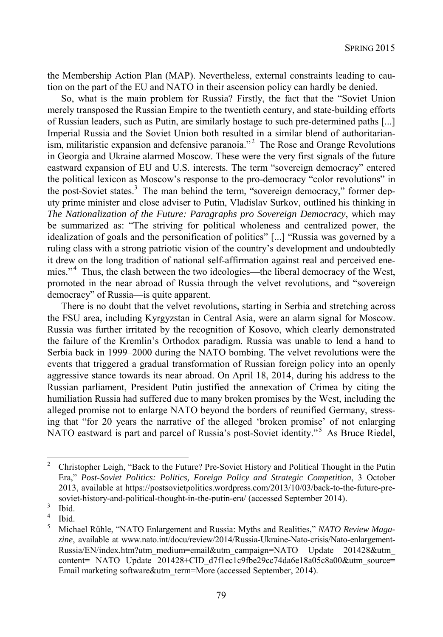the Membership Action Plan (MAP). Nevertheless, external constraints leading to caution on the part of the EU and NATO in their ascension policy can hardly be denied.

So, what is the main problem for Russia? Firstly, the fact that the "Soviet Union merely transposed the Russian Empire to the twentieth century, and state-building efforts of Russian leaders, such as Putin, are similarly hostage to such pre-determined paths [...] Imperial Russia and the Soviet Union both resulted in a similar blend of authoritarianism, militaristic expansion and defensive paranoia."<sup>2</sup> The Rose and Orange Revolutions in Georgia and Ukraine alarmed Moscow. These were the very first signals of the future eastward expansion of EU and U.S. interests. The term "sovereign democracy" entered the political lexicon as Moscow's response to the pro-democracy "color revolutions" in the post-Soviet states.<sup>3</sup> The man behind the term, "sovereign democracy," former deputy prime minister and close adviser to Putin, Vladislav Surkov, outlined his thinking in *The Nationalization of the Future: Paragraphs pro Sovereign Democracy*, which may be summarized as: "The striving for political wholeness and centralized power, the idealization of goals and the personification of politics" [...] "Russia was governed by a ruling class with a strong patriotic vision of the country's development and undoubtedly it drew on the long tradition of national self-affirmation against real and perceived enemies."<sup>4</sup> Thus, the clash between the two ideologies—the liberal democracy of the West, promoted in the near abroad of Russia through the velvet revolutions, and "sovereign democracy" of Russia—is quite apparent.

There is no doubt that the velvet revolutions, starting in Serbia and stretching across the FSU area, including Kyrgyzstan in Central Asia, were an alarm signal for Moscow. Russia was further irritated by the recognition of Kosovo, which clearly demonstrated the failure of the Kremlin's Orthodox paradigm. Russia was unable to lend a hand to Serbia back in 1999–2000 during the NATO bombing. The velvet revolutions were the events that triggered a gradual transformation of Russian foreign policy into an openly aggressive stance towards its near abroad. On April 18, 2014, during his address to the Russian parliament, President Putin justified the annexation of Crimea by citing the humiliation Russia had suffered due to many broken promises by the West, including the alleged promise not to enlarge NATO beyond the borders of reunified Germany, stressing that "for 20 years the narrative of the alleged 'broken promise' of not enlarging NATO eastward is part and parcel of Russia's post-Soviet identity."<sup>5</sup> As Bruce Riedel,

<sup>2</sup> Christopher Leigh, "Back to the Future? Pre-Soviet History and Political Thought in the Putin Era," *Post-Soviet Politics: Politics, Foreign Policy and Strategic Competition*, 3 October 2013, available at https://postsovietpolitics.wordpress.com/2013/10/03/back-to-the-future-presoviet-history-and-political-thought-in-the-putin-era/ (accessed September 2014).

Ibid. 4

Ibid. 5

Michael Rühle, "NATO Enlargement and Russia: Myths and Realities," *NATO Review Magazine*, available at www.nato.int/docu/review/2014/Russia-Ukraine-Nato-crisis/Nato-enlargement-Russia/EN/index.htm?utm\_medium=email&utm\_campaign=NATO Update 201428&utm content= NATO Update 201428+CID\_d7f1ec1c9fbe29cc74da6e18a05c8a00&utm\_source= Email marketing software&utm\_term=More (accessed September, 2014).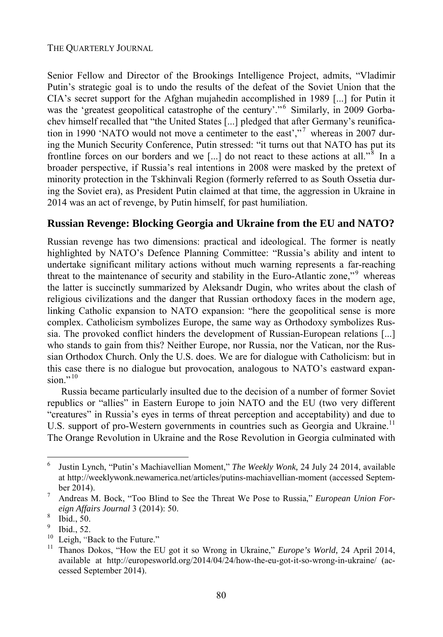### THE QUARTERLY JOURNAL

Senior Fellow and Director of the Brookings Intelligence Project, admits, "Vladimir Putin's strategic goal is to undo the results of the defeat of the Soviet Union that the CIA's secret support for the Afghan mujahedin accomplished in 1989 [...] for Putin it was the 'greatest geopolitical catastrophe of the century'."<sup>6</sup> Similarly, in 2009 Gorbachev himself recalled that "the United States [...] pledged that after Germany's reunification in 1990 'NATO would not move a centimeter to the east',"<sup>7</sup> whereas in 2007 during the Munich Security Conference, Putin stressed: "it turns out that NATO has put its frontline forces on our borders and we [...] do not react to these actions at all.<sup>"8</sup> In a broader perspective, if Russia's real intentions in 2008 were masked by the pretext of minority protection in the Tskhinvali Region (formerly referred to as South Ossetia during the Soviet era), as President Putin claimed at that time, the aggression in Ukraine in 2014 was an act of revenge, by Putin himself, for past humiliation.

# **Russian Revenge: Blocking Georgia and Ukraine from the EU and NATO?**

Russian revenge has two dimensions: practical and ideological. The former is neatly highlighted by NATO's Defence Planning Committee: "Russia's ability and intent to undertake significant military actions without much warning represents a far-reaching threat to the maintenance of security and stability in the Euro-Atlantic zone,"<sup>9</sup> whereas the latter is succinctly summarized by Aleksandr Dugin, who writes about the clash of religious civilizations and the danger that Russian orthodoxy faces in the modern age, linking Catholic expansion to NATO expansion: "here the geopolitical sense is more complex. Catholicism symbolizes Europe, the same way as Orthodoxy symbolizes Russia. The provoked conflict hinders the development of Russian-European relations [...] who stands to gain from this? Neither Europe, nor Russia, nor the Vatican, nor the Russian Orthodox Church. Only the U.S. does. We are for dialogue with Catholicism: but in this case there is no dialogue but provocation, analogous to NATO's eastward expansion." $^{10}$ 

Russia became particularly insulted due to the decision of a number of former Soviet republics or "allies" in Eastern Europe to join NATO and the EU (two very different "creatures" in Russia's eyes in terms of threat perception and acceptability) and due to U.S. support of pro-Western governments in countries such as Georgia and Ukraine.<sup>11</sup> The Orange Revolution in Ukraine and the Rose Revolution in Georgia culminated with

<sup>6</sup> Justin Lynch, "Putin's Machiavellian Moment," *The Weekly Wonk,* 24 July 24 2014, available at http://weeklywonk.newamerica.net/articles/putins-machiavellian-moment (accessed September 2014).

Andreas M. Bock, "Too Blind to See the Threat We Pose to Russia," *European Union Foreign Affairs Journal* 3 (2014): 50.

Ibid., 50.

<sup>9</sup>  $\frac{9}{10}$  Ibid., 52.

<sup>10</sup> Leigh, "Back to the Future." 11 Thanos Dokos, "How the EU got it so Wrong in Ukraine," *Europe's World,* 24 April 2014, available at http://europesworld.org/2014/04/24/how-the-eu-got-it-so-wrong-in-ukraine/ (accessed September 2014).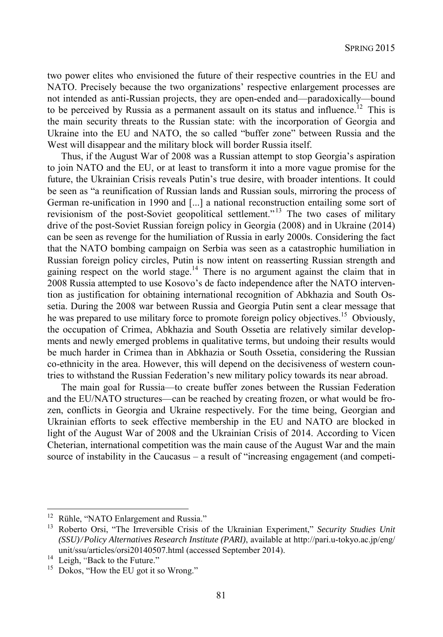two power elites who envisioned the future of their respective countries in the EU and NATO. Precisely because the two organizations' respective enlargement processes are not intended as anti-Russian projects, they are open-ended and—paradoxically—bound to be perceived by Russia as a permanent assault on its status and influence.<sup>12</sup> This is the main security threats to the Russian state: with the incorporation of Georgia and Ukraine into the EU and NATO, the so called "buffer zone" between Russia and the West will disappear and the military block will border Russia itself.

Thus, if the August War of 2008 was a Russian attempt to stop Georgia's aspiration to join NATO and the EU, or at least to transform it into a more vague promise for the future, the Ukrainian Crisis reveals Putin's true desire, with broader intentions. It could be seen as "a reunification of Russian lands and Russian souls, mirroring the process of German re-unification in 1990 and [...] a national reconstruction entailing some sort of revisionism of the post-Soviet geopolitical settlement."<sup>13</sup> The two cases of military drive of the post-Soviet Russian foreign policy in Georgia (2008) and in Ukraine (2014) can be seen as revenge for the humiliation of Russia in early 2000s. Considering the fact that the NATO bombing campaign on Serbia was seen as a catastrophic humiliation in Russian foreign policy circles, Putin is now intent on reasserting Russian strength and gaining respect on the world stage.<sup>14</sup> There is no argument against the claim that in 2008 Russia attempted to use Kosovo's de facto independence after the NATO intervention as justification for obtaining international recognition of Abkhazia and South Ossetia. During the 2008 war between Russia and Georgia Putin sent a clear message that he was prepared to use military force to promote foreign policy objectives.<sup>15</sup> Obviously, the occupation of Crimea, Abkhazia and South Ossetia are relatively similar developments and newly emerged problems in qualitative terms, but undoing their results would be much harder in Crimea than in Abkhazia or South Ossetia, considering the Russian co-ethnicity in the area. However, this will depend on the decisiveness of western countries to withstand the Russian Federation's new military policy towards its near abroad.

The main goal for Russia—to create buffer zones between the Russian Federation and the EU/NATO structures—can be reached by creating frozen, or what would be frozen, conflicts in Georgia and Ukraine respectively. For the time being, Georgian and Ukrainian efforts to seek effective membership in the EU and NATO are blocked in light of the August War of 2008 and the Ukrainian Crisis of 2014. According to Vicen Cheterian, international competition was the main cause of the August War and the main source of instability in the Caucasus – a result of "increasing engagement (and competi-

<sup>&</sup>lt;sup>12</sup> Rühle, "NATO Enlargement and Russia."<br><sup>13</sup> Poberto Orgi, "The Irrayargible Crisis of

<sup>13</sup> Roberto Orsi, "The Irreversible Crisis of the Ukrainian Experiment," *Security Studies Unit (SSU)/Policy Alternatives Research Institute (PARI)*, available at http://pari.u-tokyo.ac.jp/eng/ unit/ssu/articles/orsi20140507.html (accessed September 2014).<br><sup>14</sup> Leigh, "Back to the Future."<br><sup>15</sup> Dokos, "How the EU got it so Wrong."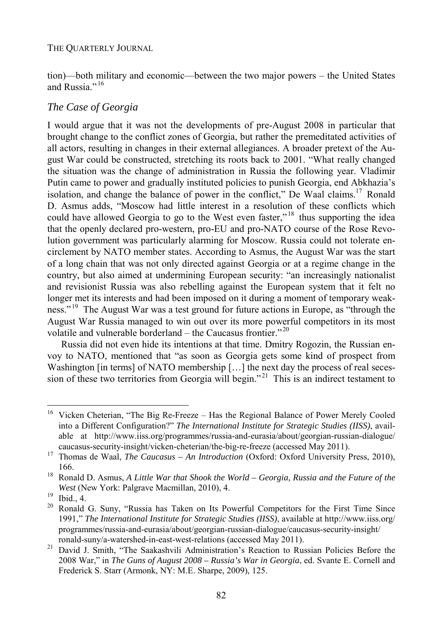tion)—both military and economic—between the two major powers – the United States and Russia." <sup>16</sup>

## *The Case of Georgia*

I would argue that it was not the developments of pre-August 2008 in particular that brought change to the conflict zones of Georgia, but rather the premeditated activities of all actors, resulting in changes in their external allegiances. A broader pretext of the August War could be constructed, stretching its roots back to 2001. "What really changed the situation was the change of administration in Russia the following year. Vladimir Putin came to power and gradually instituted policies to punish Georgia, end Abkhazia's isolation, and change the balance of power in the conflict," De Waal claims.<sup>17</sup> Ronald D. Asmus adds, "Moscow had little interest in a resolution of these conflicts which could have allowed Georgia to go to the West even faster,"<sup>18</sup> thus supporting the idea that the openly declared pro-western, pro-EU and pro-NATO course of the Rose Revolution government was particularly alarming for Moscow. Russia could not tolerate encirclement by NATO member states. According to Asmus, the August War was the start of a long chain that was not only directed against Georgia or at a regime change in the country, but also aimed at undermining European security: "an increasingly nationalist and revisionist Russia was also rebelling against the European system that it felt no longer met its interests and had been imposed on it during a moment of temporary weakness."<sup>19</sup> The August War was a test ground for future actions in Europe, as "through the August War Russia managed to win out over its more powerful competitors in its most volatile and vulnerable borderland – the Caucasus frontier."<sup>20</sup>

Russia did not even hide its intentions at that time. Dmitry Rogozin, the Russian envoy to NATO, mentioned that "as soon as Georgia gets some kind of prospect from Washington [in terms] of NATO membership [...] the next day the process of real seces- $\frac{1}{2}$  sion of these two territories from Georgia will begin."<sup>21</sup> This is an indirect testament to

 $16\,$ 16 Vicken Cheterian, "The Big Re-Freeze – Has the Regional Balance of Power Merely Cooled into a Different Configuration?" *The International Institute for Strategic Studies (IISS)*, available at http://www.iiss.org/programmes/russia-and-eurasia/about/georgian-russian-dialogue/

caucasus-security-insight/vicken-cheterian/the-big-re-freeze (accessed May 2011). 17 Thomas de Waal, *The Caucasus – An Introduction* (Oxford: Oxford University Press, 2010),

<sup>166. 18</sup> Ronald D. Asmus, *A Little War that Shook the World – Georgia, Russia and the Future of the West* (New York: Palgrave Macmillan, 2010), 4.<br><sup>19</sup> Ibid., 4.<br><sup>20</sup> Popeld G. Supy. "Pussia has Taken on Its Po

<sup>20</sup> Ronald G. Suny, "Russia has Taken on Its Powerful Competitors for the First Time Since 1991," *The International Institute for Strategic Studies (IISS)*, available at http://www.iiss.org/ programmes/russia-and-eurasia/about/georgian-russian-dialogue/caucasus-security-insight/

ronald-suny/a-watershed-in-east-west-relations (accessed May 2011). 21 David J. Smith, "The Saakashvili Administration's Reaction to Russian Policies Before the 2008 War," in *The Guns of August 2008 – Russia's War in Georgia*, ed. Svante E. Cornell and Frederick S. Starr (Armonk, NY: M.E. Sharpe, 2009), 125.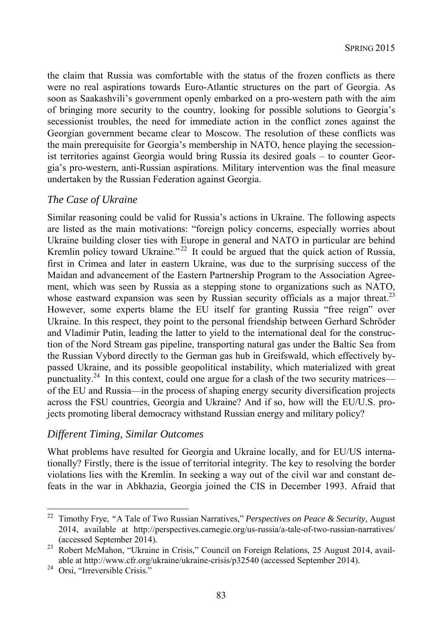the claim that Russia was comfortable with the status of the frozen conflicts as there were no real aspirations towards Euro-Atlantic structures on the part of Georgia. As soon as Saakashvili's government openly embarked on a pro-western path with the aim of bringing more security to the country, looking for possible solutions to Georgia's secessionist troubles, the need for immediate action in the conflict zones against the Georgian government became clear to Moscow. The resolution of these conflicts was the main prerequisite for Georgia's membership in NATO, hence playing the secessionist territories against Georgia would bring Russia its desired goals – to counter Georgia's pro-western, anti-Russian aspirations. Military intervention was the final measure undertaken by the Russian Federation against Georgia.

### *The Case of Ukraine*

Similar reasoning could be valid for Russia's actions in Ukraine. The following aspects are listed as the main motivations: "foreign policy concerns, especially worries about Ukraine building closer ties with Europe in general and NATO in particular are behind Kremlin policy toward Ukraine."<sup>22</sup> It could be argued that the quick action of Russia, first in Crimea and later in eastern Ukraine, was due to the surprising success of the Maidan and advancement of the Eastern Partnership Program to the Association Agreement, which was seen by Russia as a stepping stone to organizations such as NATO, whose eastward expansion was seen by Russian security officials as a major threat.<sup>23</sup> However, some experts blame the EU itself for granting Russia "free reign" over Ukraine. In this respect, they point to the personal friendship between Gerhard Schröder and Vladimir Putin, leading the latter to yield to the international deal for the construction of the Nord Stream gas pipeline, transporting natural gas under the Baltic Sea from the Russian Vybord directly to the German gas hub in Greifswald, which effectively bypassed Ukraine, and its possible geopolitical instability, which materialized with great punctuality.<sup>24</sup> In this context, could one argue for a clash of the two security matrices of the EU and Russia—in the process of shaping energy security diversification projects across the FSU countries, Georgia and Ukraine? And if so, how will the EU/U.S. projects promoting liberal democracy withstand Russian energy and military policy?

### *Different Timing, Similar Outcomes*

What problems have resulted for Georgia and Ukraine locally, and for EU/US internationally? Firstly, there is the issue of territorial integrity. The key to resolving the border violations lies with the Kremlin. In seeking a way out of the civil war and constant defeats in the war in Abkhazia, Georgia joined the CIS in December 1993. Afraid that

<sup>22</sup> Timothy Frye, *"*A Tale of Two Russian Narratives," *Perspectives on Peace & Security*, August 2014, available at http://perspectives.carnegie.org/us-russia/a-tale-of-two-russian-narratives/

<sup>(</sup>accessed September 2014). 23 Robert McMahon, "Ukraine in Crisis," Council on Foreign Relations, 25 August 2014, available at http://www.cfr.org/ukraine/ukraine-crisis/p32540 (accessed September 2014).<br><sup>24</sup> Orsi, "Irreversible Crisis."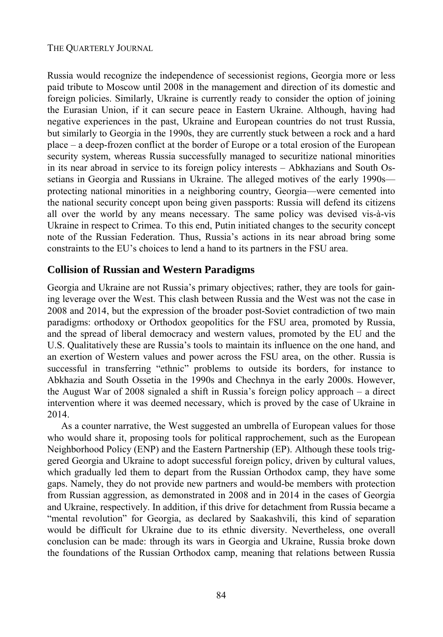#### THE QUARTERLY JOURNAL

Russia would recognize the independence of secessionist regions, Georgia more or less paid tribute to Moscow until 2008 in the management and direction of its domestic and foreign policies. Similarly, Ukraine is currently ready to consider the option of joining the Eurasian Union, if it can secure peace in Eastern Ukraine. Although, having had negative experiences in the past, Ukraine and European countries do not trust Russia, but similarly to Georgia in the 1990s, they are currently stuck between a rock and a hard place – a deep-frozen conflict at the border of Europe or a total erosion of the European security system, whereas Russia successfully managed to securitize national minorities in its near abroad in service to its foreign policy interests – Abkhazians and South Ossetians in Georgia and Russians in Ukraine. The alleged motives of the early 1990s protecting national minorities in a neighboring country, Georgia—were cemented into the national security concept upon being given passports: Russia will defend its citizens all over the world by any means necessary. The same policy was devised vis-à-vis Ukraine in respect to Crimea. To this end, Putin initiated changes to the security concept note of the Russian Federation. Thus, Russia's actions in its near abroad bring some constraints to the EU's choices to lend a hand to its partners in the FSU area.

### **Collision of Russian and Western Paradigms**

Georgia and Ukraine are not Russia's primary objectives; rather, they are tools for gaining leverage over the West. This clash between Russia and the West was not the case in 2008 and 2014, but the expression of the broader post-Soviet contradiction of two main paradigms: orthodoxy or Orthodox geopolitics for the FSU area, promoted by Russia, and the spread of liberal democracy and western values, promoted by the EU and the U.S. Qualitatively these are Russia's tools to maintain its influence on the one hand, and an exertion of Western values and power across the FSU area, on the other. Russia is successful in transferring "ethnic" problems to outside its borders, for instance to Abkhazia and South Ossetia in the 1990s and Chechnya in the early 2000s. However, the August War of 2008 signaled a shift in Russia's foreign policy approach – a direct intervention where it was deemed necessary, which is proved by the case of Ukraine in 2014.

As a counter narrative, the West suggested an umbrella of European values for those who would share it, proposing tools for political rapprochement, such as the European Neighborhood Policy (ENP) and the Eastern Partnership (EP). Although these tools triggered Georgia and Ukraine to adopt successful foreign policy, driven by cultural values, which gradually led them to depart from the Russian Orthodox camp, they have some gaps. Namely, they do not provide new partners and would-be members with protection from Russian aggression, as demonstrated in 2008 and in 2014 in the cases of Georgia and Ukraine, respectively. In addition, if this drive for detachment from Russia became a "mental revolution" for Georgia, as declared by Saakashvili, this kind of separation would be difficult for Ukraine due to its ethnic diversity. Nevertheless, one overall conclusion can be made: through its wars in Georgia and Ukraine, Russia broke down the foundations of the Russian Orthodox camp, meaning that relations between Russia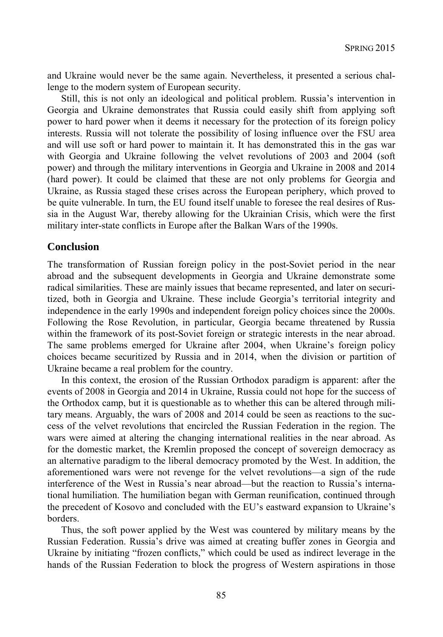and Ukraine would never be the same again. Nevertheless, it presented a serious challenge to the modern system of European security.

Still, this is not only an ideological and political problem. Russia's intervention in Georgia and Ukraine demonstrates that Russia could easily shift from applying soft power to hard power when it deems it necessary for the protection of its foreign policy interests. Russia will not tolerate the possibility of losing influence over the FSU area and will use soft or hard power to maintain it. It has demonstrated this in the gas war with Georgia and Ukraine following the velvet revolutions of 2003 and 2004 (soft power) and through the military interventions in Georgia and Ukraine in 2008 and 2014 (hard power). It could be claimed that these are not only problems for Georgia and Ukraine, as Russia staged these crises across the European periphery, which proved to be quite vulnerable. In turn, the EU found itself unable to foresee the real desires of Russia in the August War, thereby allowing for the Ukrainian Crisis, which were the first military inter-state conflicts in Europe after the Balkan Wars of the 1990s.

### **Conclusion**

The transformation of Russian foreign policy in the post-Soviet period in the near abroad and the subsequent developments in Georgia and Ukraine demonstrate some radical similarities. These are mainly issues that became represented, and later on securitized, both in Georgia and Ukraine. These include Georgia's territorial integrity and independence in the early 1990s and independent foreign policy choices since the 2000s. Following the Rose Revolution, in particular, Georgia became threatened by Russia within the framework of its post-Soviet foreign or strategic interests in the near abroad. The same problems emerged for Ukraine after 2004, when Ukraine's foreign policy choices became securitized by Russia and in 2014, when the division or partition of Ukraine became a real problem for the country.

In this context, the erosion of the Russian Orthodox paradigm is apparent: after the events of 2008 in Georgia and 2014 in Ukraine, Russia could not hope for the success of the Orthodox camp, but it is questionable as to whether this can be altered through military means. Arguably, the wars of 2008 and 2014 could be seen as reactions to the success of the velvet revolutions that encircled the Russian Federation in the region. The wars were aimed at altering the changing international realities in the near abroad. As for the domestic market, the Kremlin proposed the concept of sovereign democracy as an alternative paradigm to the liberal democracy promoted by the West. In addition, the aforementioned wars were not revenge for the velvet revolutions—a sign of the rude interference of the West in Russia's near abroad—but the reaction to Russia's international humiliation. The humiliation began with German reunification, continued through the precedent of Kosovo and concluded with the EU's eastward expansion to Ukraine's borders.

Thus, the soft power applied by the West was countered by military means by the Russian Federation. Russia's drive was aimed at creating buffer zones in Georgia and Ukraine by initiating "frozen conflicts," which could be used as indirect leverage in the hands of the Russian Federation to block the progress of Western aspirations in those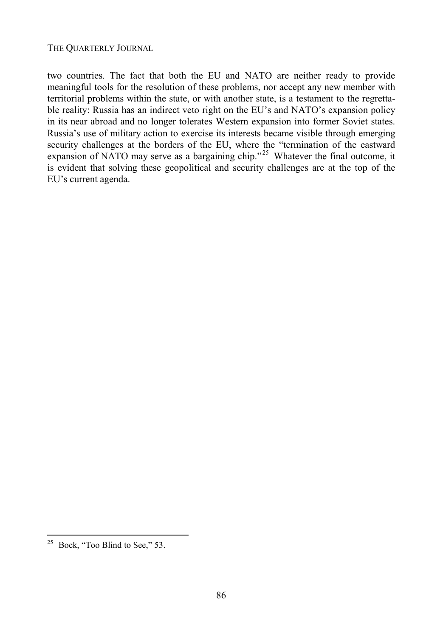two countries. The fact that both the EU and NATO are neither ready to provide meaningful tools for the resolution of these problems, nor accept any new member with territorial problems within the state, or with another state, is a testament to the regrettable reality: Russia has an indirect veto right on the EU's and NATO's expansion policy in its near abroad and no longer tolerates Western expansion into former Soviet states. Russia's use of military action to exercise its interests became visible through emerging security challenges at the borders of the EU, where the "termination of the eastward expansion of NATO may serve as a bargaining chip."<sup>25</sup> Whatever the final outcome, it is evident that solving these geopolitical and security challenges are at the top of the EU's current agenda.

 $25$  Bock, "Too Blind to See," 53.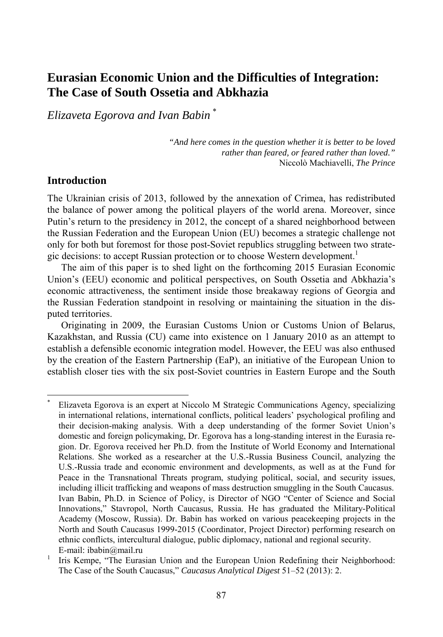# **Eurasian Economic Union and the Difficulties of Integration: The Case of South Ossetia and Abkhazia**

*Elizaveta Egorova and Ivan Babin* \*

*"And here comes in the question whether it is better to be loved rather than feared, or feared rather than loved."*  Niccolò Machiavelli, *The Prince*

# **Introduction**

l

The Ukrainian crisis of 2013, followed by the annexation of Crimea, has redistributed the balance of power among the political players of the world arena. Moreover, since Putin's return to the presidency in 2012, the concept of a shared neighborhood between the Russian Federation and the European Union (EU) becomes a strategic challenge not only for both but foremost for those post-Soviet republics struggling between two strategic decisions: to accept Russian protection or to choose Western development.<sup>1</sup>

The aim of this paper is to shed light on the forthcoming 2015 Eurasian Economic Union's (EEU) economic and political perspectives, on South Ossetia and Abkhazia's economic attractiveness, the sentiment inside those breakaway regions of Georgia and the Russian Federation standpoint in resolving or maintaining the situation in the disputed territories.

Originating in 2009, the Eurasian Customs Union or Customs Union of Belarus, Kazakhstan, and Russia (CU) came into existence on 1 January 2010 as an attempt to establish a defensible economic integration model. However, the EEU was also enthused by the creation of the Eastern Partnership (EaP), an initiative of the European Union to establish closer ties with the six post-Soviet countries in Eastern Europe and the South

<sup>\*</sup> Elizaveta Egorova is an expert at Niccolo M Strategic Communications Agency, specializing in international relations, international conflicts, political leaders' psychological profiling and their decision-making analysis. With a deep understanding of the former Soviet Union's domestic and foreign policymaking, Dr. Egorova has a long-standing interest in the Eurasia region. Dr. Egorova received her Ph.D. from the Institute of World Economy and International Relations. She worked as a researcher at the U.S.-Russia Business Council, analyzing the U.S.-Russia trade and economic environment and developments, as well as at the Fund for Peace in the Transnational Threats program, studying political, social, and security issues, including illicit trafficking and weapons of mass destruction smuggling in the South Caucasus. Ivan Babin, Ph.D. in Science of Policy, is Director of NGO "Center of Science and Social Innovations," Stavropol, North Caucasus, Russia. He has graduated the Military-Political Academy (Moscow, Russia). Dr. Babin has worked on various peacekeeping projects in the North and South Caucasus 1999-2015 (Coordinator, Project Director) performing research on ethnic conflicts, intercultural dialogue, public diplomacy, national and regional security. E-mail: ibabin@mail.ru

<sup>1</sup> Iris Kempe, "The Eurasian Union and the European Union Redefining their Neighborhood: The Case of the South Caucasus," *Caucasus Analytical Digest* 51–52 (2013): 2.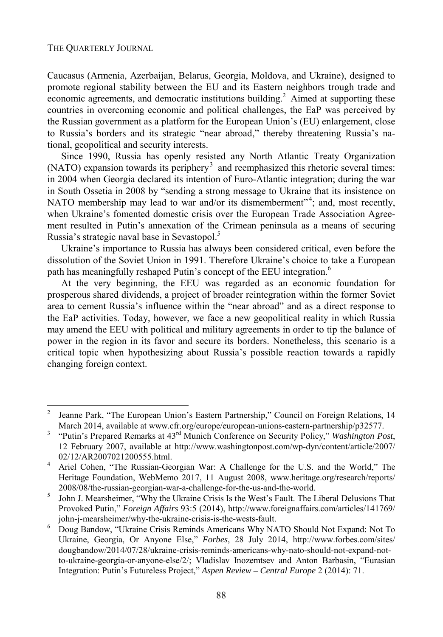#### THE QUARTERLY JOURNAL

l

Caucasus (Armenia, Azerbaijan, Belarus, Georgia, Moldova, and Ukraine), designed to promote regional stability between the EU and its Eastern neighbors trough trade and economic agreements, and democratic institutions building.<sup>2</sup> Aimed at supporting these countries in overcoming economic and political challenges, the EaP was perceived by the Russian government as a platform for the European Union's (EU) enlargement, close to Russia's borders and its strategic "near abroad," thereby threatening Russia's national, geopolitical and security interests.

Since 1990, Russia has openly resisted any North Atlantic Treaty Organization (NATO) expansion towards its periphery<sup>3</sup> and reemphasized this rhetoric several times: in 2004 when Georgia declared its intention of Euro-Atlantic integration; during the war in South Ossetia in 2008 by "sending a strong message to Ukraine that its insistence on NATO membership may lead to war and/or its dismemberment"<sup>4</sup>; and, most recently, when Ukraine's fomented domestic crisis over the European Trade Association Agreement resulted in Putin's annexation of the Crimean peninsula as a means of securing Russia's strategic naval base in Sevastopol.<sup>5</sup>

Ukraine's importance to Russia has always been considered critical, even before the dissolution of the Soviet Union in 1991. Therefore Ukraine's choice to take a European path has meaningfully reshaped Putin's concept of the EEU integration.6

At the very beginning, the EEU was regarded as an economic foundation for prosperous shared dividends, a project of broader reintegration within the former Soviet area to cement Russia's influence within the "near abroad" and as a direct response to the EaP activities. Today, however, we face a new geopolitical reality in which Russia may amend the EEU with political and military agreements in order to tip the balance of power in the region in its favor and secure its borders. Nonetheless, this scenario is a critical topic when hypothesizing about Russia's possible reaction towards a rapidly changing foreign context.

<sup>2</sup> Jeanne Park, "The European Union's Eastern Partnership," Council on Foreign Relations, 14 March 2014, available at www.cfr.org/europe/european-unions-eastern-partnership/p32577.

 <sup>&</sup>quot;Putin's Prepared Remarks at 43rd Munich Conference on Security Policy," *Washington Post*, 12 February 2007, available at http://www.washingtonpost.com/wp-dyn/content/article/2007/ 02/12/AR2007021200555.html.

Ariel Cohen, "The Russian-Georgian War: A Challenge for the U.S. and the World," The Heritage Foundation, WebMemo 2017, 11 August 2008, www.heritage.org/research/reports/  $2008/08$ /the-russian-georgian-war-a-challenge-for-the-us-and-the-world.<br>5 Iohn J. Mearsheimer. "Why the Ukraine Crisis Is the West's Fault. The I

John J. Mearsheimer, "Why the Ukraine Crisis Is the West's Fault. The Liberal Delusions That Provoked Putin," *Foreign Affairs* 93:5 (2014), http://www.foreignaffairs.com/articles/141769/ john-j-mearsheimer/why-the-ukraine-crisis-is-the-wests-fault. 6

Doug Bandow, "Ukraine Crisis Reminds Americans Why NATO Should Not Expand: Not To Ukraine, Georgia, Or Anyone Else," *Forbes*, 28 July 2014, http://www.forbes.com/sites/ dougbandow/2014/07/28/ukraine-crisis-reminds-americans-why-nato-should-not-expand-notto-ukraine-georgia-or-anyone-else/2/; Vladislav Inozemtsev and Anton Barbasin, "Eurasian Integration: Putin's Futureless Project," *Aspen Review – Central Europe* 2 (2014): 71.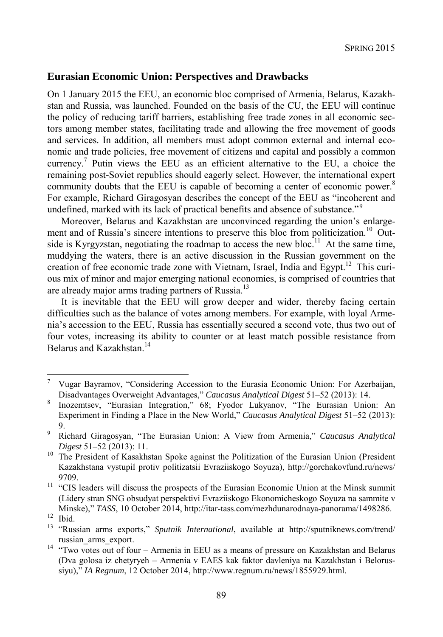## **Eurasian Economic Union: Perspectives and Drawbacks**

On 1 January 2015 the EEU, an economic bloc comprised of Armenia, Belarus, Kazakhstan and Russia, was launched. Founded on the basis of the CU, the EEU will continue the policy of reducing tariff barriers, establishing free trade zones in all economic sectors among member states, facilitating trade and allowing the free movement of goods and services. In addition, all members must adopt common external and internal economic and trade policies, free movement of citizens and capital and possibly a common currency.<sup>7</sup> Putin views the EEU as an efficient alternative to the EU, a choice the remaining post-Soviet republics should eagerly select. However, the international expert community doubts that the EEU is capable of becoming a center of economic power.<sup>8</sup> For example, Richard Giragosyan describes the concept of the EEU as "incoherent and undefined, marked with its lack of practical benefits and absence of substance."<sup>9</sup>

Moreover, Belarus and Kazakhstan are unconvinced regarding the union's enlargement and of Russia's sincere intentions to preserve this bloc from politicization.<sup>10</sup> Outside is Kyrgyzstan, negotiating the roadmap to access the new bloc.<sup>11</sup> At the same time. muddying the waters, there is an active discussion in the Russian government on the creation of free economic trade zone with Vietnam, Israel, India and Egypt.<sup>12</sup> This curious mix of minor and major emerging national economies, is comprised of countries that are already major arms trading partners of Russia.<sup>13</sup>

It is inevitable that the EEU will grow deeper and wider, thereby facing certain difficulties such as the balance of votes among members. For example, with loyal Armenia's accession to the EEU, Russia has essentially secured a second vote, thus two out of four votes, increasing its ability to counter or at least match possible resistance from Belarus and Kazakhstan.<sup>14</sup>

<sup>-&</sup>lt;br>7 Vugar Bayramov, "Considering Accession to the Eurasia Economic Union: For Azerbaijan, Disadvantages Overweight Advantages," *Caucasus Analytical Digest* 51–52 (2013): 14. 8

Inozemtsev, "Eurasian Integration," 68; Fyodor Lukyanov, "The Eurasian Union: An Experiment in Finding a Place in the New World," *Caucasus Analytical Digest* 51–52 (2013):  $9.9.9.$ 

Richard Giragosyan, "The Eurasian Union: A View from Armenia," *Caucasus Analytical* 

*Digest* 51–52 (2013): 11.<br><sup>10</sup> The President of Kasakhstan Spoke against the Politization of the Eurasian Union (President Kazakhstana vystupil protiv politizatsii Evraziiskogo Soyuza), http://gorchakovfund.ru/news/

<sup>9709.&</sup>lt;br><sup>11</sup> "CIS leaders will discuss the prospects of the Eurasian Economic Union at the Minsk summit (Lidery stran SNG obsudyat perspektivi Evraziiskogo Ekonomicheskogo Soyuza na sammite v Minske)," *TASS*, 10 October 2014, http://itar-tass.com/mezhdunarodnaya-panorama/1498286.<br><sup>12</sup> Ibid

<sup>13 &</sup>quot;Russian arms exports," *Sputnik International*, available at http://sputniknews.com/trend/

russian\_arms\_export. 14 "Two votes out of four – Armenia in EEU as a means of pressure on Kazakhstan and Belarus (Dva golosa iz chetyryeh – Armenia v EAES kak faktor davleniya na Kazakhstan i Belorussiyu)," *IA Regnum*, 12 October 2014, http://www.regnum.ru/news/1855929.html.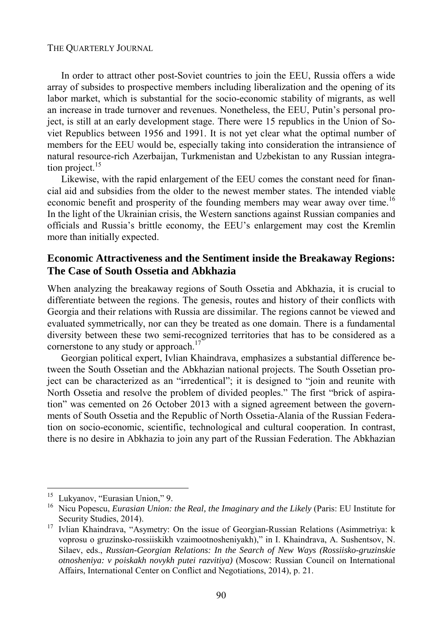#### THE QUARTERLY JOURNAL

In order to attract other post-Soviet countries to join the EEU, Russia offers a wide array of subsides to prospective members including liberalization and the opening of its labor market, which is substantial for the socio-economic stability of migrants, as well an increase in trade turnover and revenues. Nonetheless, the EEU, Putin's personal project, is still at an early development stage. There were 15 republics in the Union of Soviet Republics between 1956 and 1991. It is not yet clear what the optimal number of members for the EEU would be, especially taking into consideration the intransience of natural resource-rich Azerbaijan, Turkmenistan and Uzbekistan to any Russian integration project.<sup>15</sup>

Likewise, with the rapid enlargement of the EEU comes the constant need for financial aid and subsidies from the older to the newest member states. The intended viable economic benefit and prosperity of the founding members may wear away over time.<sup>16</sup> In the light of the Ukrainian crisis, the Western sanctions against Russian companies and officials and Russia's brittle economy, the EEU's enlargement may cost the Kremlin more than initially expected.

## **Economic Attractiveness and the Sentiment inside the Breakaway Regions: The Case of South Ossetia and Abkhazia**

When analyzing the breakaway regions of South Ossetia and Abkhazia, it is crucial to differentiate between the regions. The genesis, routes and history of their conflicts with Georgia and their relations with Russia are dissimilar. The regions cannot be viewed and evaluated symmetrically, nor can they be treated as one domain. There is a fundamental diversity between these two semi-recognized territories that has to be considered as a cornerstone to any study or approach.<sup>17</sup>

Georgian political expert, Ivlian Khaindrava, emphasizes a substantial difference between the South Ossetian and the Abkhazian national projects. The South Ossetian project can be characterized as an "irredentical"; it is designed to "join and reunite with North Ossetia and resolve the problem of divided peoples." The first "brick of aspiration" was cemented on 26 October 2013 with a signed agreement between the governments of South Ossetia and the Republic of North Ossetia-Alania of the Russian Federation on socio-economic, scientific, technological and cultural cooperation. In contrast, there is no desire in Abkhazia to join any part of the Russian Federation. The Abkhazian

<sup>&</sup>lt;sup>15</sup> Lukyanov, "Eurasian Union," 9.

<sup>16</sup> Nicu Popescu, *Eurasian Union: the Real, the Imaginary and the Likely* (Paris: EU Institute for

Security Studies, 2014). 17 Ivlian Khaindrava, "Asymetry: On the issue of Georgian-Russian Relations (Asimmetriya: k voprosu o gruzinsko-rossiiskikh vzaimootnosheniyakh)," in I. Khaindrava, A. Sushentsov, N. Silaev, eds., *Russian-Georgian Relations: In the Search of New Ways (Rossiisko-gruzinskie otnosheniya: v poiskakh novykh putei razvitiya)* (Moscow: Russian Council on International Affairs, International Center on Conflict and Negotiations, 2014), p. 21.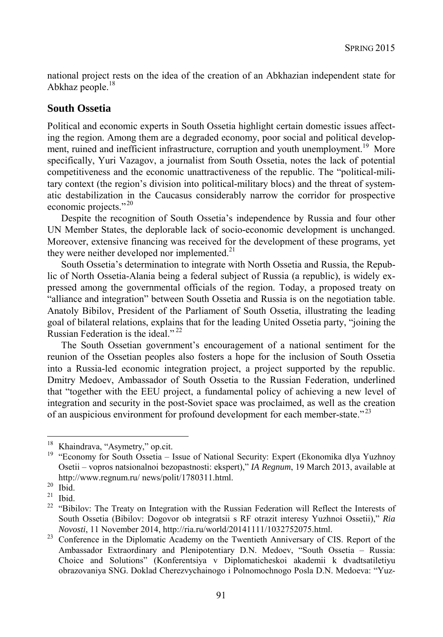national project rests on the idea of the creation of an Abkhazian independent state for Abkhaz people.<sup>18</sup>

### **South Ossetia**

Political and economic experts in South Ossetia highlight certain domestic issues affecting the region. Among them are a degraded economy, poor social and political development, ruined and inefficient infrastructure, corruption and youth unemployment.<sup>19</sup> More specifically, Yuri Vazagov, a journalist from South Ossetia, notes the lack of potential competitiveness and the economic unattractiveness of the republic. The "political-military context (the region's division into political-military blocs) and the threat of systematic destabilization in the Caucasus considerably narrow the corridor for prospective economic projects."<sup>20</sup>

Despite the recognition of South Ossetia's independence by Russia and four other UN Member States, the deplorable lack of socio-economic development is unchanged. Moreover, extensive financing was received for the development of these programs, yet they were neither developed nor implemented. $21$ 

South Ossetia's determination to integrate with North Ossetia and Russia, the Republic of North Ossetia-Alania being a federal subject of Russia (a republic), is widely expressed among the governmental officials of the region. Today, a proposed treaty on "alliance and integration" between South Ossetia and Russia is on the negotiation table. Anatoly Bibilov, President of the Parliament of South Ossetia, illustrating the leading goal of bilateral relations, explains that for the leading United Ossetia party, "joining the Russian Federation is the ideal."<sup>22</sup>

The South Ossetian government's encouragement of a national sentiment for the reunion of the Ossetian peoples also fosters a hope for the inclusion of South Ossetia into a Russia-led economic integration project, a project supported by the republic. Dmitry Medoev, Ambassador of South Ossetia to the Russian Federation, underlined that "together with the EEU project, a fundamental policy of achieving a new level of integration and security in the post-Soviet space was proclaimed, as well as the creation of an auspicious environment for profound development for each member-state."<sup>23</sup>

<sup>&</sup>lt;sup>18</sup> Khaindrava, "Asymetry," op.cit.

<sup>&</sup>lt;sup>19</sup> "Economy for South Ossetia – Issue of National Security: Expert (Ekonomika dlya Yuzhnoy Osetii – vopros natsionalnoi bezopastnosti: ekspert)," *IA Regnum*, 19 March 2013, available at http://www.regnum.ru/ news/polit/1780311.html. 20 Ibid.

 $21$  Ibid.

<sup>&</sup>lt;sup>22</sup> "Bibilov: The Treaty on Integration with the Russian Federation will Reflect the Interests of South Ossetia (Bibilov: Dogovor ob integratsii s RF otrazit interesy Yuzhnoi Ossetii)," *Ria* 

*Novosti*, 11 November 2014, http://ria.ru/world/20141111/1032752075.html.<br><sup>23</sup> Conference in the Diplomatic Academy on the Twentieth Anniversary of CIS. Report of the Ambassador Extraordinary and Plenipotentiary D.N. Medoev, "South Ossetia – Russia: Choice and Solutions" (Konferentsiya v Diplomaticheskoi akademii k dvadtsatiletiyu obrazovaniya SNG. Doklad Cherezvychainogo i Polnomochnogo Posla D.N. Medoeva: "Yuz-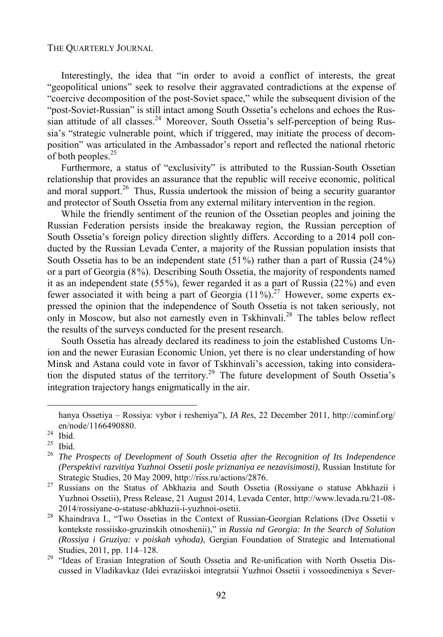Interestingly, the idea that "in order to avoid a conflict of interests, the great "geopolitical unions" seek to resolve their aggravated contradictions at the expense of "coercive decomposition of the post-Soviet space," while the subsequent division of the "post-Soviet-Russian" is still intact among South Ossetia's echelons and echoes the Russian attitude of all classes.<sup>24</sup> Moreover, South Ossetia's self-perception of being Russia's "strategic vulnerable point, which if triggered, may initiate the process of decomposition" was articulated in the Ambassador's report and reflected the national rhetoric of both peoples.<sup>25</sup>

Furthermore, a status of "exclusivity" is attributed to the Russian-South Ossetian relationship that provides an assurance that the republic will receive economic, political and moral support.<sup>26</sup> Thus, Russia undertook the mission of being a security guarantor and protector of South Ossetia from any external military intervention in the region.

While the friendly sentiment of the reunion of the Ossetian peoples and joining the Russian Federation persists inside the breakaway region, the Russian perception of South Ossetia's foreign policy direction slightly differs. According to a 2014 poll conducted by the Russian Levada Center, a majority of the Russian population insists that South Ossetia has to be an independent state (51%) rather than a part of Russia (24%) or a part of Georgia (8%). Describing South Ossetia, the majority of respondents named it as an independent state (55%), fewer regarded it as a part of Russia (22%) and even fewer associated it with being a part of Georgia (11%).<sup>27</sup> However, some experts expressed the opinion that the independence of South Ossetia is not taken seriously, not only in Moscow, but also not earnestly even in Tskhinvali.28 The tables below reflect the results of the surveys conducted for the present research.

South Ossetia has already declared its readiness to join the established Customs Union and the newer Eurasian Economic Union, yet there is no clear understanding of how Minsk and Astana could vote in favor of Tskhinvali's accession, taking into consideration the disputed status of the territory.<sup>29</sup> The future development of South Ossetia's integration trajectory hangs enigmatically in the air.

hanya Ossetiya – Rossiya: vybor i resheniya"), *IA Res*, 22 December 2011, http://cominf.org/ en/node/1166490880.<br>
<sup>24</sup> Ibid.<br>
<sup>25</sup> Ibid.

 $rac{25}{26}$  Ibid.

<sup>26</sup> *The Prospects of Development of South Ossetia after the Recognition of Its Independence (Perspektivi razvitiya Yuzhnoi Ossetii posle priznaniya ee nezavisimosti)*, Russian Institute for

Strategic Studies, 20 May 2009, http://riss.ru/actions/2876. 27 Russians on the Status of Abkhazia and South Ossetia (Rossiyane o statuse Abkhazii i Yuzhnoi Ossetii), Press Release, 21 August 2014, Levada Center, http://www.levada.ru/21-08- 2014/rossiyane-o-statuse-abkhazii-i-yuzhnoi-osetii.<br><sup>28</sup> Khaindrava I., "Two Ossetias in the Context of Russian-Georgian Relations (Dve Ossetii v

kontekste rossiisko-gruzinskih otnoshenii)," in *Russia nd Georgia: In the Search of Solution (Rossiya i Gruziya: v poiskah vyhoda)*, Gergian Foundation of Strategic and International Studies, 2011, pp. 114–128.<br>
"Ideas of Erasian Integration of South Ossetia and Re-unification with North Ossetia Dis-

cussed in Vladikavkaz (Idei evraziiskoi integratsii Yuzhnoi Ossetii i vossoedineniya s Sever-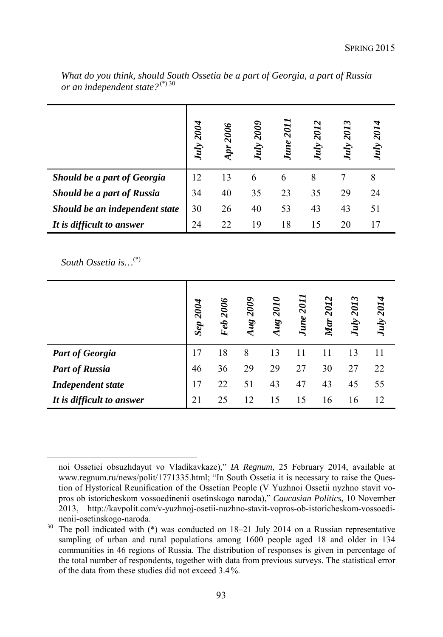|                                | July 2004 | 2006 | <b>2009</b><br>July | <b>June 2011</b> | July 2012 | <b>July 2013</b> | July 2014 |
|--------------------------------|-----------|------|---------------------|------------------|-----------|------------------|-----------|
| Should be a part of Georgia    | 12        | 13   | 6                   | 6                | 8         |                  | 8         |
| Should be a part of Russia     | 34        | 40   | 35                  | 23               | 35        | 29               | 24        |
| Should be an independent state | 30        | 26   | 40                  | 53               | 43        | 43               | 51        |
| It is difficult to answer      | 24        | 22   | 19                  | 18               | 15        | 20               |           |

*What do you think, should South Ossetia be a part of Georgia, a part of Russia or an independent state?*(\*) 30

*South Ossetia is…*(\*)

|                           | 2004<br>Sep | 2006<br>Feb | 2009<br>Aug | 2010<br>Aug | <b>2011</b><br>June | 2012<br>Mar | 2013<br>July | July 2014 |
|---------------------------|-------------|-------------|-------------|-------------|---------------------|-------------|--------------|-----------|
| <b>Part of Georgia</b>    | 17          | 18          | 8           | 13          | 11                  |             | 13           |           |
| <b>Part of Russia</b>     | 46          | 36          | 29          | 29          | 27                  | 30          | 27           | 22        |
| <b>Independent state</b>  | 17          | 22          | 51          | 43          | 47                  | 43          | 45           | 55        |
| It is difficult to answer | 21          | 25          | (2)         | 15          | 15                  | 16          | 16           | 12        |

noi Ossetiei obsuzhdayut vo Vladikavkaze)," *IA Regnum*, 25 February 2014, available at www.regnum.ru/news/polit/1771335.html; "In South Ossetia it is necessary to raise the Question of Hystorical Reunification of the Ossetian People (V Yuzhnoi Ossetii nyzhno stavit vopros ob istoricheskom vossoedinenii osetinskogo naroda)," *Caucasian Politics*, 10 November 2013, http://kavpolit.com/v-yuzhnoj-osetii-nuzhno-stavit-vopros-ob-istoricheskom-vossoedinenii-osetinskogo-naroda.

<sup>&</sup>lt;sup>30</sup> The poll indicated with (\*) was conducted on 18–21 July 2014 on a Russian representative sampling of urban and rural populations among 1600 people aged 18 and older in 134 communities in 46 regions of Russia. The distribution of responses is given in percentage of the total number of respondents, together with data from previous surveys. The statistical error of the data from these studies did not exceed 3.4%.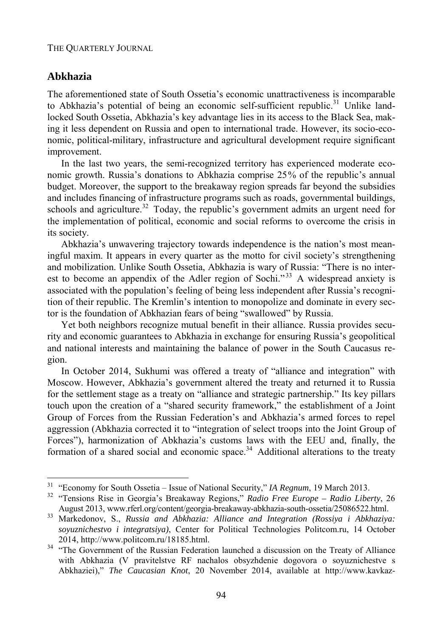### **Abkhazia**

The aforementioned state of South Ossetia's economic unattractiveness is incomparable to Abkhazia's potential of being an economic self-sufficient republic.<sup>31</sup> Unlike landlocked South Ossetia, Abkhazia's key advantage lies in its access to the Black Sea, making it less dependent on Russia and open to international trade. However, its socio-economic, political-military, infrastructure and agricultural development require significant improvement.

In the last two years, the semi-recognized territory has experienced moderate economic growth. Russia's donations to Abkhazia comprise 25% of the republic's annual budget. Moreover, the support to the breakaway region spreads far beyond the subsidies and includes financing of infrastructure programs such as roads, governmental buildings, schools and agriculture.<sup>32</sup> Today, the republic's government admits an urgent need for the implementation of political, economic and social reforms to overcome the crisis in its society.

Abkhazia's unwavering trajectory towards independence is the nation's most meaningful maxim. It appears in every quarter as the motto for civil society's strengthening and mobilization. Unlike South Ossetia, Abkhazia is wary of Russia: "There is no interest to become an appendix of the Adler region of Sochi."<sup>33</sup> A widespread anxiety is associated with the population's feeling of being less independent after Russia's recognition of their republic. The Kremlin's intention to monopolize and dominate in every sector is the foundation of Abkhazian fears of being "swallowed" by Russia.

Yet both neighbors recognize mutual benefit in their alliance. Russia provides security and economic guarantees to Abkhazia in exchange for ensuring Russia's geopolitical and national interests and maintaining the balance of power in the South Caucasus region.

In October 2014, Sukhumi was offered a treaty of "alliance and integration" with Moscow. However, Abkhazia's government altered the treaty and returned it to Russia for the settlement stage as a treaty on "alliance and strategic partnership." Its key pillars touch upon the creation of a "shared security framework," the establishment of a Joint Group of Forces from the Russian Federation's and Abkhazia's armed forces to repel aggression (Abkhazia corrected it to "integration of select troops into the Joint Group of Forces"), harmonization of Abkhazia's customs laws with the EEU and, finally, the formation of a shared social and economic space.<sup>34</sup> Additional alterations to the treaty

<sup>&</sup>lt;sup>31</sup> "Economy for South Ossetia - Issue of National Security," IA Regnum, 19 March 2013.

<sup>&</sup>lt;sup>32</sup> "Tensions Rise in Georgia's Breakaway Regions," *Radio Free Europe – Radio Liberty*, 26

August 2013, www.rferl.org/content/georgia-breakaway-abkhazia-south-ossetia/25086522.html. 33 Markedonov, S., *Russia and Abkhazia: Alliance and Integration (Rossiya i Abkhaziya: soyuznichestvo i integratsiya)*, Center for Political Technologies Politcom.ru, 14 October

<sup>2014,</sup> http://www.politcom.ru/18185.html. 34 "The Government of the Russian Federation launched a discussion on the Treaty of Alliance with Abkhazia (V pravitelstve RF nachalos obsyzhdenie dogovora o soyuznichestve s Abkhaziei)," *The Caucasian Knot*, 20 November 2014, available at http://www.kavkaz-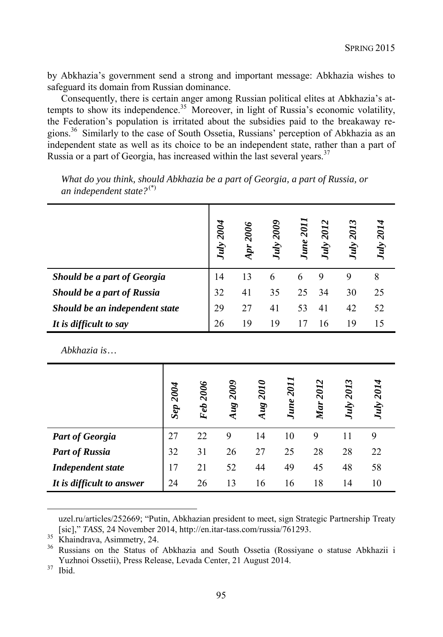by Abkhazia's government send a strong and important message: Abkhazia wishes to safeguard its domain from Russian dominance.

Consequently, there is certain anger among Russian political elites at Abkhazia's attempts to show its independence.<sup>35</sup> Moreover, in light of Russia's economic volatility, the Federation's population is irritated about the subsidies paid to the breakaway regions.36 Similarly to the case of South Ossetia, Russians' perception of Abkhazia as an independent state as well as its choice to be an independent state, rather than a part of Russia or a part of Georgia, has increased within the last several years.<sup>37</sup>

|                                |          |          | July 2004 | Apr 2006 | July 2009 | <b>June 2011</b> | July 2012       | July 2013 | July 2014 |
|--------------------------------|----------|----------|-----------|----------|-----------|------------------|-----------------|-----------|-----------|
| Should be a part of Georgia    |          |          | 14        | 13       | 6         | 6                | 9               | 9         | 8         |
| Should be a part of Russia     |          |          | 32        | 41       | 35        | 25               | 34              | 30        | 25        |
| Should be an independent state |          |          | 29        | 27       | 41        | 53               | 41              | 42        | 52        |
| It is difficult to say         |          | 26       | 19        | 19       | 17        | 16               | 19              | 15        |           |
| Abkhazia is                    |          |          |           |          |           |                  |                 |           |           |
|                                | Sep 2004 | Feb 2006 | Aug 2009  |          | Aug 2010  | <b>June 2011</b> | <b>Mar</b> 2012 | July 2013 | July 2014 |
| <b>Part of Georgia</b>         | 27       | 22       | 9         |          | 14        | 10               | 9               | 11        | 9         |
| <b>Part of Russia</b>          | 32       | 31       | 26        |          | 27        | 25               | 28              | 28        | 22        |
| <b>Independent state</b>       | 17       | 21       | 52        |          | 44        | 49               | 45              | 48        | 58        |
| It is difficult to answer      | 24       | 26       | 13        |          | 16        | 16               | 18              | 14        | 10        |

*What do you think, should Abkhazia be a part of Georgia, a part of Russia, or an independent state?*(\*)

uzel.ru/articles/252669; "Putin, Abkhazian president to meet, sign Strategic Partnership Treaty [sic]," *TASS*, 24 November 2014, http://en.itar-tass.com/russia/761293. 35 Khaindrava, Asimmetry, 24.

<sup>36</sup> Russians on the Status of Abkhazia and South Ossetia (Rossiyane o statuse Abkhazii i Yuzhnoi Ossetii), Press Release, Levada Center, 21 August 2014. 37 Ibid.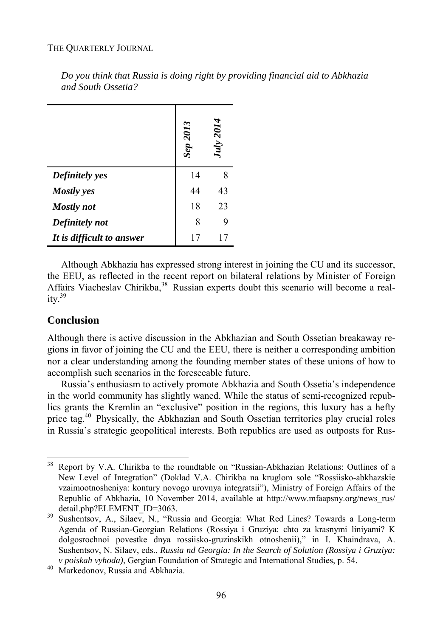#### THE QUARTERLY JOURNAL

|                           | .2013<br>Sep | July 2014 |
|---------------------------|--------------|-----------|
| Definitely yes            | 14           | 8         |
| <b>Mostly</b> yes         | 44           | 43        |
| <b>Mostly</b> not         | 18           | 23        |
| Definitely not            | 8            | q         |
| It is difficult to answer |              |           |

*Do you think that Russia is doing right by providing financial aid to Abkhazia and South Ossetia?* 

Although Abkhazia has expressed strong interest in joining the CU and its successor, the EEU, as reflected in the recent report on bilateral relations by Minister of Foreign Affairs Viacheslav Chirikba,<sup>38</sup> Russian experts doubt this scenario will become a real $itv<sup>39</sup>$ 

### **Conclusion**

l

Although there is active discussion in the Abkhazian and South Ossetian breakaway regions in favor of joining the CU and the EEU, there is neither a corresponding ambition nor a clear understanding among the founding member states of these unions of how to accomplish such scenarios in the foreseeable future.

Russia's enthusiasm to actively promote Abkhazia and South Ossetia's independence in the world community has slightly waned. While the status of semi-recognized republics grants the Kremlin an "exclusive" position in the regions, this luxury has a hefty price tag.40 Physically, the Abkhazian and South Ossetian territories play crucial roles in Russia's strategic geopolitical interests. Both republics are used as outposts for Rus-

<sup>&</sup>lt;sup>38</sup> Report by V.A. Chirikba to the roundtable on "Russian-Abkhazian Relations: Outlines of a New Level of Integration" (Doklad V.A. Chirikba na kruglom sole "Rossiisko-abkhazskie vzaimootnosheniya: kontury novogo urovnya integratsii"), Ministry of Foreign Affairs of the Republic of Abkhazia, 10 November 2014, available at http://www.mfaapsny.org/news\_rus/ detail.php?ELEMENT\_ID=3063.<br>Sushentsov, A., Silaev, N., "Russia and Georgia: What Red Lines? Towards a Long-term

Agenda of Russian-Georgian Relations (Rossiya i Gruziya: chto za krasnymi liniyami? K dolgosrochnoi povestke dnya rossiisko-gruzinskikh otnoshenii)," in I. Khaindrava, A. Sushentsov, N. Silaev, eds., *Russia nd Georgia: In the Search of Solution (Rossiya i Gruziya: v poiskah vyhoda)*, Gergian Foundation of Strategic and International Studies, p. 54. 40 Markedonov, Russia and Abkhazia.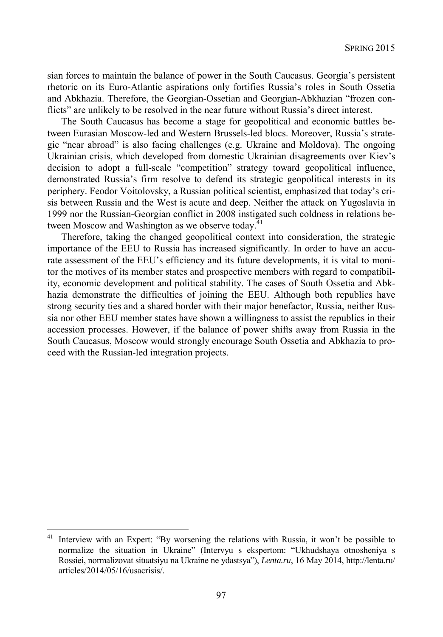sian forces to maintain the balance of power in the South Caucasus. Georgia's persistent rhetoric on its Euro-Atlantic aspirations only fortifies Russia's roles in South Ossetia and Abkhazia. Therefore, the Georgian-Ossetian and Georgian-Abkhazian "frozen conflicts" are unlikely to be resolved in the near future without Russia's direct interest.

The South Caucasus has become a stage for geopolitical and economic battles between Eurasian Moscow-led and Western Brussels-led blocs. Moreover, Russia's strategic "near abroad" is also facing challenges (e.g. Ukraine and Moldova). The ongoing Ukrainian crisis, which developed from domestic Ukrainian disagreements over Kiev's decision to adopt a full-scale "competition" strategy toward geopolitical influence, demonstrated Russia's firm resolve to defend its strategic geopolitical interests in its periphery. Feodor Voitolovsky, a Russian political scientist, emphasized that today's crisis between Russia and the West is acute and deep. Neither the attack on Yugoslavia in 1999 nor the Russian-Georgian conflict in 2008 instigated such coldness in relations between Moscow and Washington as we observe today. $41$ 

Therefore, taking the changed geopolitical context into consideration, the strategic importance of the EEU to Russia has increased significantly. In order to have an accurate assessment of the EEU's efficiency and its future developments, it is vital to monitor the motives of its member states and prospective members with regard to compatibility, economic development and political stability. The cases of South Ossetia and Abkhazia demonstrate the difficulties of joining the EEU. Although both republics have strong security ties and a shared border with their major benefactor, Russia, neither Russia nor other EEU member states have shown a willingness to assist the republics in their accession processes. However, if the balance of power shifts away from Russia in the South Caucasus, Moscow would strongly encourage South Ossetia and Abkhazia to proceed with the Russian-led integration projects.

Interview with an Expert: "By worsening the relations with Russia, it won't be possible to normalize the situation in Ukraine" (Intervyu s ekspertom: "Ukhudshaya otnosheniya s Rossiei, normalizovat situatsiyu na Ukraine ne ydastsya"), *Lenta.ru*, 16 May 2014, http://lenta.ru/ articles/2014/05/16/usacrisis/.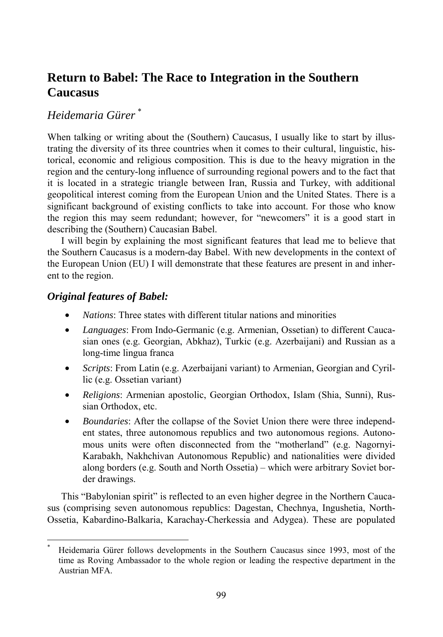# **Return to Babel: The Race to Integration in the Southern Caucasus**

# *Heidemaria Gürer* \*

When talking or writing about the (Southern) Caucasus, I usually like to start by illustrating the diversity of its three countries when it comes to their cultural, linguistic, historical, economic and religious composition. This is due to the heavy migration in the region and the century-long influence of surrounding regional powers and to the fact that it is located in a strategic triangle between Iran, Russia and Turkey, with additional geopolitical interest coming from the European Union and the United States. There is a significant background of existing conflicts to take into account. For those who know the region this may seem redundant; however, for "newcomers" it is a good start in describing the (Southern) Caucasian Babel.

I will begin by explaining the most significant features that lead me to believe that the Southern Caucasus is a modern-day Babel. With new developments in the context of the European Union (EU) I will demonstrate that these features are present in and inherent to the region.

## *Original features of Babel:*

l

- *Nations*: Three states with different titular nations and minorities
- *Languages*: From Indo-Germanic (e.g. Armenian, Ossetian) to different Caucasian ones (e.g. Georgian, Abkhaz), Turkic (e.g. Azerbaijani) and Russian as a long-time lingua franca
- *Scripts*: From Latin (e.g. Azerbaijani variant) to Armenian, Georgian and Cyrillic (e.g. Ossetian variant)
- *Religions*: Armenian apostolic, Georgian Orthodox, Islam (Shia, Sunni), Russian Orthodox, etc.
- *Boundaries*: After the collapse of the Soviet Union there were three independent states, three autonomous republics and two autonomous regions. Autonomous units were often disconnected from the "motherland" (e.g. Nagornyi-Karabakh, Nakhchivan Autonomous Republic) and nationalities were divided along borders (e.g. South and North Ossetia) – which were arbitrary Soviet border drawings.

This "Babylonian spirit" is reflected to an even higher degree in the Northern Caucasus (comprising seven autonomous republics: Dagestan, Chechnya, Ingushetia, North-Ossetia, Kabardino-Balkaria, Karachay-Cherkessia and Adygea). These are populated

<sup>\*</sup> Heidemaria Gürer follows developments in the Southern Caucasus since 1993, most of the time as Roving Ambassador to the whole region or leading the respective department in the Austrian MFA.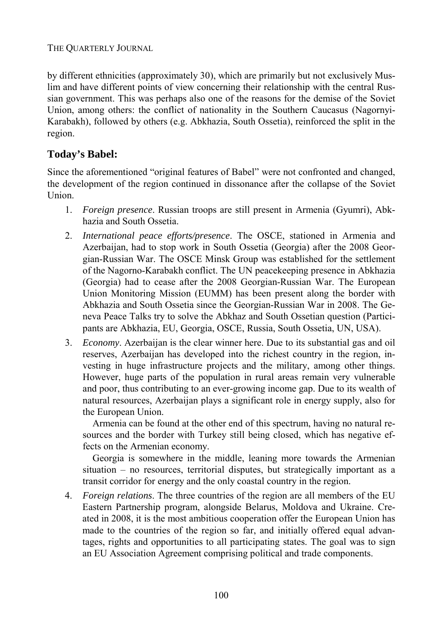by different ethnicities (approximately 30), which are primarily but not exclusively Muslim and have different points of view concerning their relationship with the central Russian government. This was perhaps also one of the reasons for the demise of the Soviet Union, among others: the conflict of nationality in the Southern Caucasus (Nagornyi-Karabakh), followed by others (e.g. Abkhazia, South Ossetia), reinforced the split in the region.

# **Today's Babel:**

Since the aforementioned "original features of Babel" were not confronted and changed, the development of the region continued in dissonance after the collapse of the Soviet Union.

- 1. *Foreign presence*. Russian troops are still present in Armenia (Gyumri), Abkhazia and South Ossetia.
- 2. *International peace efforts/presence*. The OSCE, stationed in Armenia and Azerbaijan, had to stop work in South Ossetia (Georgia) after the 2008 Georgian-Russian War. The OSCE Minsk Group was established for the settlement of the Nagorno-Karabakh conflict. The UN peacekeeping presence in Abkhazia (Georgia) had to cease after the 2008 Georgian-Russian War. The European Union Monitoring Mission (EUMM) has been present along the border with Abkhazia and South Ossetia since the Georgian-Russian War in 2008. The Geneva Peace Talks try to solve the Abkhaz and South Ossetian question (Participants are Abkhazia, EU, Georgia, OSCE, Russia, South Ossetia, UN, USA).
- 3. *Economy*. Azerbaijan is the clear winner here. Due to its substantial gas and oil reserves, Azerbaijan has developed into the richest country in the region, investing in huge infrastructure projects and the military, among other things. However, huge parts of the population in rural areas remain very vulnerable and poor, thus contributing to an ever-growing income gap. Due to its wealth of natural resources, Azerbaijan plays a significant role in energy supply, also for the European Union.

 Armenia can be found at the other end of this spectrum, having no natural resources and the border with Turkey still being closed, which has negative effects on the Armenian economy.

 Georgia is somewhere in the middle, leaning more towards the Armenian situation – no resources, territorial disputes, but strategically important as a transit corridor for energy and the only coastal country in the region.

4. *Foreign relations*. The three countries of the region are all members of the EU Eastern Partnership program, alongside Belarus, Moldova and Ukraine. Created in 2008, it is the most ambitious cooperation offer the European Union has made to the countries of the region so far, and initially offered equal advantages, rights and opportunities to all participating states. The goal was to sign an EU Association Agreement comprising political and trade components.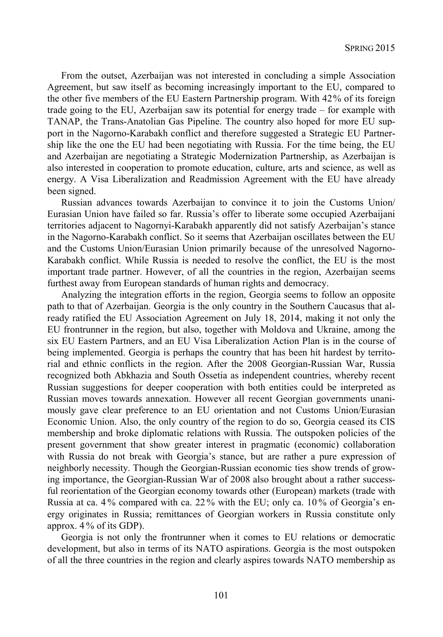From the outset, Azerbaijan was not interested in concluding a simple Association Agreement, but saw itself as becoming increasingly important to the EU, compared to the other five members of the EU Eastern Partnership program. With 42% of its foreign trade going to the EU, Azerbaijan saw its potential for energy trade – for example with TANAP, the Trans-Anatolian Gas Pipeline. The country also hoped for more EU support in the Nagorno-Karabakh conflict and therefore suggested a Strategic EU Partnership like the one the EU had been negotiating with Russia. For the time being, the EU and Azerbaijan are negotiating a Strategic Modernization Partnership, as Azerbaijan is also interested in cooperation to promote education, culture, arts and science, as well as energy. A Visa Liberalization and Readmission Agreement with the EU have already been signed.

Russian advances towards Azerbaijan to convince it to join the Customs Union/ Eurasian Union have failed so far. Russia's offer to liberate some occupied Azerbaijani territories adjacent to Nagornyi-Karabakh apparently did not satisfy Azerbaijan's stance in the Nagorno-Karabakh conflict. So it seems that Azerbaijan oscillates between the EU and the Customs Union/Eurasian Union primarily because of the unresolved Nagorno-Karabakh conflict. While Russia is needed to resolve the conflict, the EU is the most important trade partner. However, of all the countries in the region, Azerbaijan seems furthest away from European standards of human rights and democracy.

Analyzing the integration efforts in the region, Georgia seems to follow an opposite path to that of Azerbaijan. Georgia is the only country in the Southern Caucasus that already ratified the EU Association Agreement on July 18, 2014, making it not only the EU frontrunner in the region, but also, together with Moldova and Ukraine, among the six EU Eastern Partners, and an EU Visa Liberalization Action Plan is in the course of being implemented. Georgia is perhaps the country that has been hit hardest by territorial and ethnic conflicts in the region. After the 2008 Georgian-Russian War, Russia recognized both Abkhazia and South Ossetia as independent countries, whereby recent Russian suggestions for deeper cooperation with both entities could be interpreted as Russian moves towards annexation. However all recent Georgian governments unanimously gave clear preference to an EU orientation and not Customs Union/Eurasian Economic Union. Also, the only country of the region to do so, Georgia ceased its CIS membership and broke diplomatic relations with Russia. The outspoken policies of the present government that show greater interest in pragmatic (economic) collaboration with Russia do not break with Georgia's stance, but are rather a pure expression of neighborly necessity. Though the Georgian-Russian economic ties show trends of growing importance, the Georgian-Russian War of 2008 also brought about a rather successful reorientation of the Georgian economy towards other (European) markets (trade with Russia at ca. 4 % compared with ca. 22 % with the EU; only ca. 10 % of Georgia's energy originates in Russia; remittances of Georgian workers in Russia constitute only approx. 4 % of its GDP).

Georgia is not only the frontrunner when it comes to EU relations or democratic development, but also in terms of its NATO aspirations. Georgia is the most outspoken of all the three countries in the region and clearly aspires towards NATO membership as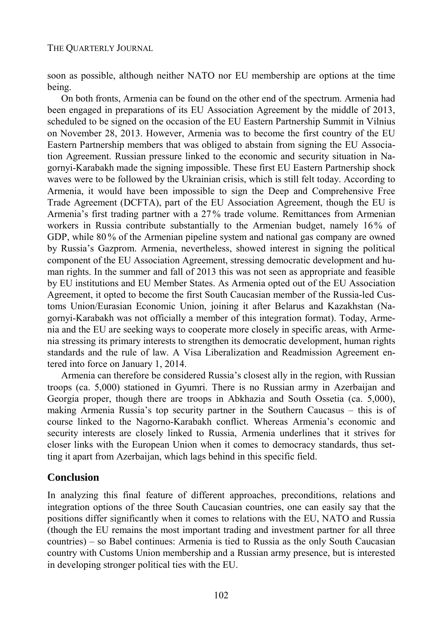soon as possible, although neither NATO nor EU membership are options at the time being.

On both fronts, Armenia can be found on the other end of the spectrum. Armenia had been engaged in preparations of its EU Association Agreement by the middle of 2013, scheduled to be signed on the occasion of the EU Eastern Partnership Summit in Vilnius on November 28, 2013. However, Armenia was to become the first country of the EU Eastern Partnership members that was obliged to abstain from signing the EU Association Agreement. Russian pressure linked to the economic and security situation in Nagornyi-Karabakh made the signing impossible. These first EU Eastern Partnership shock waves were to be followed by the Ukrainian crisis, which is still felt today. According to Armenia, it would have been impossible to sign the Deep and Comprehensive Free Trade Agreement (DCFTA), part of the EU Association Agreement, though the EU is Armenia's first trading partner with a 27% trade volume. Remittances from Armenian workers in Russia contribute substantially to the Armenian budget, namely 16% of GDP, while 80 % of the Armenian pipeline system and national gas company are owned by Russia's Gazprom. Armenia, nevertheless, showed interest in signing the political component of the EU Association Agreement, stressing democratic development and human rights. In the summer and fall of 2013 this was not seen as appropriate and feasible by EU institutions and EU Member States. As Armenia opted out of the EU Association Agreement, it opted to become the first South Caucasian member of the Russia-led Customs Union/Eurasian Economic Union, joining it after Belarus and Kazakhstan (Nagornyi-Karabakh was not officially a member of this integration format). Today, Armenia and the EU are seeking ways to cooperate more closely in specific areas, with Armenia stressing its primary interests to strengthen its democratic development, human rights standards and the rule of law. A Visa Liberalization and Readmission Agreement entered into force on January 1, 2014.

Armenia can therefore be considered Russia's closest ally in the region, with Russian troops (ca. 5,000) stationed in Gyumri. There is no Russian army in Azerbaijan and Georgia proper, though there are troops in Abkhazia and South Ossetia (ca. 5,000), making Armenia Russia's top security partner in the Southern Caucasus – this is of course linked to the Nagorno-Karabakh conflict. Whereas Armenia's economic and security interests are closely linked to Russia, Armenia underlines that it strives for closer links with the European Union when it comes to democracy standards, thus setting it apart from Azerbaijan, which lags behind in this specific field.

# **Conclusion**

In analyzing this final feature of different approaches, preconditions, relations and integration options of the three South Caucasian countries, one can easily say that the positions differ significantly when it comes to relations with the EU, NATO and Russia (though the EU remains the most important trading and investment partner for all three countries) – so Babel continues: Armenia is tied to Russia as the only South Caucasian country with Customs Union membership and a Russian army presence, but is interested in developing stronger political ties with the EU.